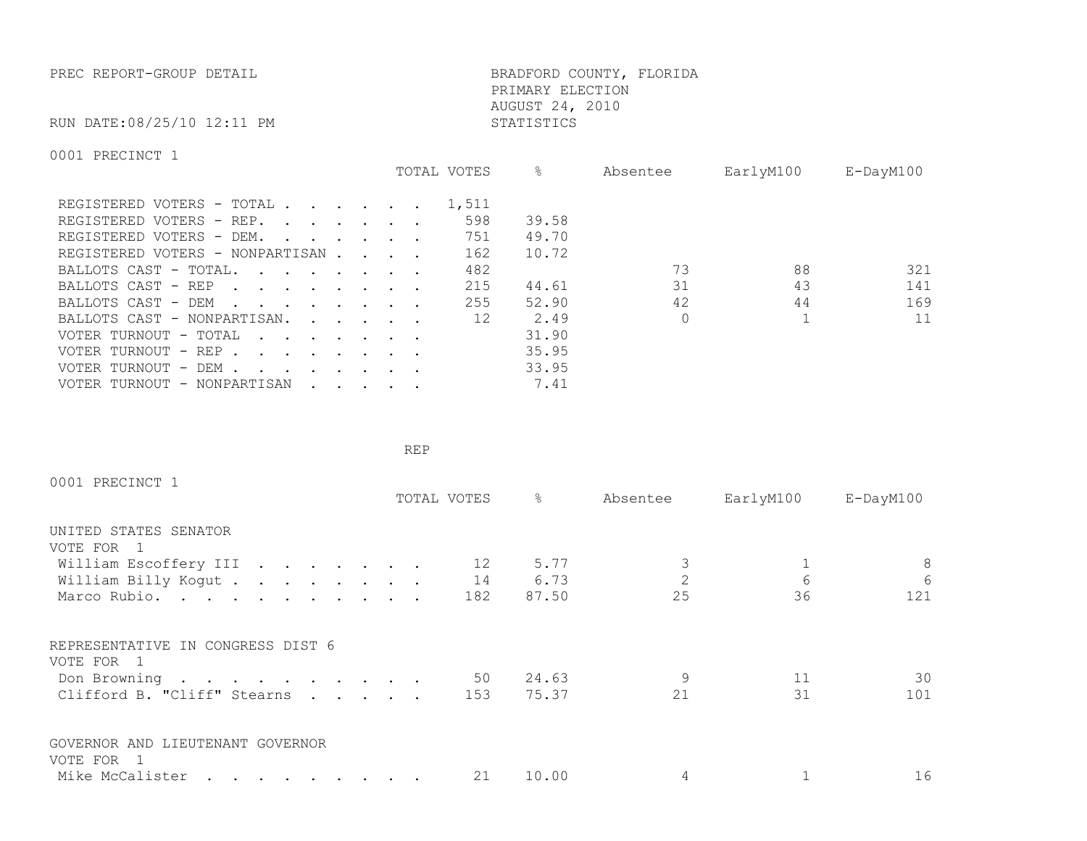PREC REPORT-GROUP DETAIL **BRADFORD COUNTY, FLORIDA**  PRIMARY ELECTION AUGUST 24, 2010

RUN DATE:08/25/10 12:11 PM STATISTICS

0001 PRECINCT 1

|                                                                                                                                                                                                                                                            | TOTAL VOTES | &     | Absentee | EarlyM100 | $E$ -DayM $100$ |
|------------------------------------------------------------------------------------------------------------------------------------------------------------------------------------------------------------------------------------------------------------|-------------|-------|----------|-----------|-----------------|
| REGISTERED VOTERS - TOTAL .<br>$\cdot$ $\cdot$ $\cdot$ $\cdot$ $\cdot$ $\cdot$                                                                                                                                                                             | 1,511       |       |          |           |                 |
| REGISTERED VOTERS - REP.<br>$\cdots$                                                                                                                                                                                                                       | 598         | 39.58 |          |           |                 |
| REGISTERED VOTERS - DEM.<br>$\mathbf{r}$ , $\mathbf{r}$ , $\mathbf{r}$ , $\mathbf{r}$                                                                                                                                                                      | 751         | 49.70 |          |           |                 |
| REGISTERED VOTERS - NONPARTISAN                                                                                                                                                                                                                            | 162         | 10.72 |          |           |                 |
| BALLOTS CAST - TOTAL.<br>$\cdot$                                                                                                                                                                                                                           | 482         |       | 73       | 88        | 321             |
| BALLOTS CAST - REP<br>$\mathbf{r}$ , and $\mathbf{r}$ , and $\mathbf{r}$ , and $\mathbf{r}$                                                                                                                                                                | 215         | 44.61 | 31       | 43        | 141             |
| BALLOTS CAST - DEM                                                                                                                                                                                                                                         | 255         | 52.90 | 42       | 44        | 169             |
| BALLOTS CAST - NONPARTISAN.<br>$\cdot$ $\cdot$ $\cdot$ $\cdot$ $\cdot$                                                                                                                                                                                     | 12          | 2.49  |          |           | 11              |
| VOTER TURNOUT - TOTAL                                                                                                                                                                                                                                      |             | 31.90 |          |           |                 |
| VOTER TURNOUT - REP                                                                                                                                                                                                                                        |             | 35.95 |          |           |                 |
| VOTER TURNOUT - DEM .<br>$\mathbf{r}$ . The set of the set of the set of the set of the set of the set of the set of the set of the set of the set of the set of the set of the set of the set of the set of the set of the set of the set of the set of t |             | 33.95 |          |           |                 |
| VOTER TURNOUT - NONPARTISAN<br>$\cdot$ $\cdot$ $\cdot$ $\cdot$ $\cdot$ $\cdot$                                                                                                                                                                             |             | 7.41  |          |           |                 |

**REP REP** 

| 0001 PRECINCT 1                                 |  |             |       |          |           |                 |
|-------------------------------------------------|--|-------------|-------|----------|-----------|-----------------|
|                                                 |  | TOTAL VOTES | &     | Absentee | EarlyM100 | $E$ -DayM $100$ |
| UNITED STATES SENATOR                           |  |             |       |          |           |                 |
| VOTE FOR 1                                      |  |             |       |          |           |                 |
| William Escoffery III                           |  | 12          | 5.77  |          |           | 8               |
| William Billy Kogut                             |  | 14          | 6.73  |          | 6         | $6\phantom{.}6$ |
| Marco Rubio.                                    |  | 182         | 87.50 | 25       | 36        | 121             |
| REPRESENTATIVE IN CONGRESS DIST 6<br>VOTE FOR 1 |  |             |       |          |           |                 |
| Don Browning                                    |  | 50          | 24.63 | 9        | 11        | 30              |
| Clifford B. "Cliff" Stearns                     |  | 153         | 75.37 | 21       | 31        | 101             |
| GOVERNOR AND LIEUTENANT GOVERNOR                |  |             |       |          |           |                 |
| VOTE FOR 1                                      |  |             |       |          |           |                 |
| Mike McCalister                                 |  | 21          | 10.00 |          |           | 16              |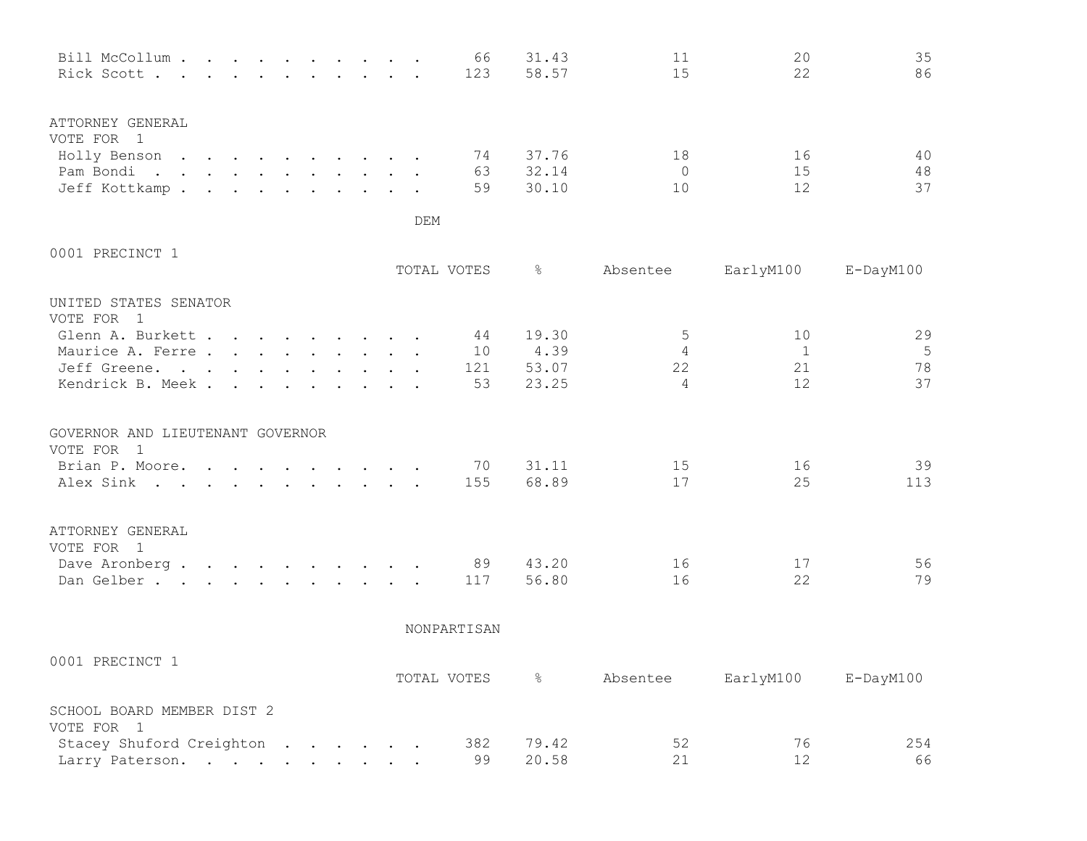| Bill McCollum<br>Rick Scott                                                    |  |  |  |  |            | 66<br>123             | 31.43<br>58.57                  | 11<br>15                       | 20<br>22                     | 35<br>86            |
|--------------------------------------------------------------------------------|--|--|--|--|------------|-----------------------|---------------------------------|--------------------------------|------------------------------|---------------------|
| ATTORNEY GENERAL<br>VOTE FOR 1<br>Holly Benson<br>Pam Bondi.<br>Jeff Kottkamp. |  |  |  |  | <b>DEM</b> | 74<br>63<br>59        | 37.76<br>32.14<br>30.10         | 18<br>$\Omega$<br>10           | 16<br>15<br>12               | 40<br>48<br>37      |
| 0001 PRECINCT 1                                                                |  |  |  |  |            | TOTAL VOTES           | $\frac{6}{6}$                   | Absentee                       | EarlyM100                    | $E$ -DayM $100$     |
| UNITED STATES SENATOR<br>VOTE FOR 1                                            |  |  |  |  |            |                       |                                 |                                |                              |                     |
| Glenn A. Burkett<br>Maurice A. Ferre<br>Jeff Greene.<br>Kendrick B. Meek.      |  |  |  |  |            | 44<br>10<br>121<br>53 | 19.30<br>4.39<br>53.07<br>23.25 | 5<br>4<br>22<br>$\overline{4}$ | 10<br>$\sqrt{1}$<br>21<br>12 | 29<br>5<br>78<br>37 |
| GOVERNOR AND LIEUTENANT GOVERNOR<br>VOTE FOR 1                                 |  |  |  |  |            |                       |                                 |                                |                              |                     |
| Brian P. Moore.<br>Alex Sink                                                   |  |  |  |  |            | 70<br>155             | 31.11<br>68.89                  | 15<br>17                       | 16<br>25                     | 39<br>113           |
| ATTORNEY GENERAL<br>VOTE FOR 1<br>Dave Aronberg<br>Dan Gelber.                 |  |  |  |  |            | 89<br>117             | 43.20<br>56.80                  | 16<br>16                       | 17<br>22                     | 56<br>79            |

NONPARTISAN

| 0001<br>L PRECINCT 1                     | TOTAL VOTES |       | Absentee | EarlyM100 | E-DayM100 |
|------------------------------------------|-------------|-------|----------|-----------|-----------|
| SCHOOL BOARD MEMBER DIST 2<br>VOTE FOR 1 |             |       |          |           |           |
| Stacey Shuford Creighton                 | 382         | 79.42 | 52       | 76        | 254       |
| Larry Paterson.                          | 99          | 20.58 |          |           | 66        |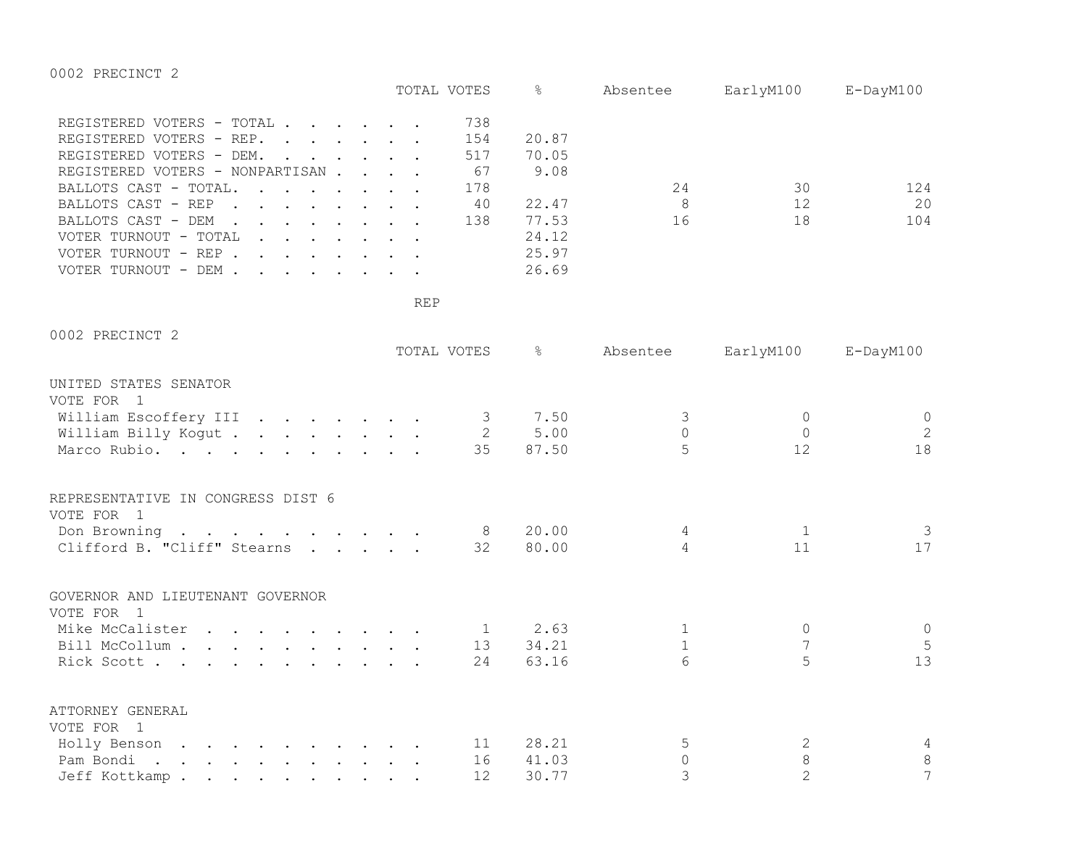0002 PRECINCT 2

|                                                                                                                                                                                                                                                                                          |            | TOTAL VOTES                                 | ိင                                                                  | Absentee                   | EarlyM100 E-DayM100 |                  |
|------------------------------------------------------------------------------------------------------------------------------------------------------------------------------------------------------------------------------------------------------------------------------------------|------------|---------------------------------------------|---------------------------------------------------------------------|----------------------------|---------------------|------------------|
| REGISTERED VOTERS - TOTAL<br>REGISTERED VOTERS - REP.<br>REGISTERED VOTERS - DEM.<br>$\ddot{\phantom{a}}$<br>REGISTERED VOTERS - NONPARTISAN<br>BALLOTS CAST - TOTAL.<br>BALLOTS CAST - REP<br>BALLOTS CAST - DEM<br>VOTER TURNOUT - TOTAL<br>VOTER TURNOUT - REP<br>VOTER TURNOUT - DEM |            | 738<br>154<br>517<br>67<br>178<br>40<br>138 | 20.87<br>70.05<br>9.08<br>22.47<br>77.53<br>24.12<br>25.97<br>26.69 | 24<br>8 <sup>8</sup><br>16 | 30<br>12<br>18      | 124<br>20<br>104 |
|                                                                                                                                                                                                                                                                                          | <b>REP</b> |                                             |                                                                     |                            |                     |                  |
| 0002 PRECINCT 2                                                                                                                                                                                                                                                                          |            | TOTAL VOTES                                 | $\frac{6}{5}$                                                       | Absentee                   | EarlyM100           | E-DayM100        |
| UNITED STATES SENATOR                                                                                                                                                                                                                                                                    |            |                                             |                                                                     |                            |                     |                  |
| VOTE FOR 1                                                                                                                                                                                                                                                                               |            |                                             |                                                                     |                            |                     |                  |
| William Escoffery III 3                                                                                                                                                                                                                                                                  |            |                                             | 7.50                                                                | $\mathcal{S}$              | $\circ$             | $\circ$          |
| William Billy Kogut                                                                                                                                                                                                                                                                      |            | $\overline{2}$<br>35                        | 5.00<br>87.50                                                       | $\Omega$<br>5              | $\Omega$<br>12      | 2<br>18          |
| Marco Rubio.                                                                                                                                                                                                                                                                             |            |                                             |                                                                     |                            |                     |                  |
| REPRESENTATIVE IN CONGRESS DIST 6                                                                                                                                                                                                                                                        |            |                                             |                                                                     |                            |                     |                  |
| VOTE FOR 1                                                                                                                                                                                                                                                                               |            |                                             |                                                                     |                            |                     |                  |
| Don Browning 8                                                                                                                                                                                                                                                                           |            |                                             | 20.00                                                               | 4                          | $\mathbf{1}$        | $\mathcal{S}$    |
| Clifford B. "Cliff" Stearns 32                                                                                                                                                                                                                                                           |            |                                             | 80.00                                                               | 4                          | 11                  | 17               |
| GOVERNOR AND LIEUTENANT GOVERNOR                                                                                                                                                                                                                                                         |            |                                             |                                                                     |                            |                     |                  |
| VOTE FOR 1                                                                                                                                                                                                                                                                               |            |                                             |                                                                     |                            |                     |                  |
| Mike McCalister                                                                                                                                                                                                                                                                          |            | $\overline{1}$                              | 2.63                                                                | $\mathbf{1}$               | $\circ$             | $\circ$          |
| Bill McCollum                                                                                                                                                                                                                                                                            |            | 13                                          | 34.21                                                               | $\mathbf{1}$               | 7                   | 5                |
| Rick Scott                                                                                                                                                                                                                                                                               |            | 24                                          | 63.16                                                               | 6                          | 5                   | 13               |
| ATTORNEY GENERAL                                                                                                                                                                                                                                                                         |            |                                             |                                                                     |                            |                     |                  |
| VOTE FOR 1                                                                                                                                                                                                                                                                               |            |                                             |                                                                     |                            |                     |                  |
| Holly Benson                                                                                                                                                                                                                                                                             |            | 11                                          | 28.21                                                               | 5                          | 2                   | 4                |
| Pam Bondi.                                                                                                                                                                                                                                                                               |            | 16                                          | 41.03                                                               | $\circ$                    | $\,8\,$             | 8                |
| Jeff Kottkamp                                                                                                                                                                                                                                                                            |            | 12                                          | 30.77                                                               | 3                          | $\overline{2}$      | 7                |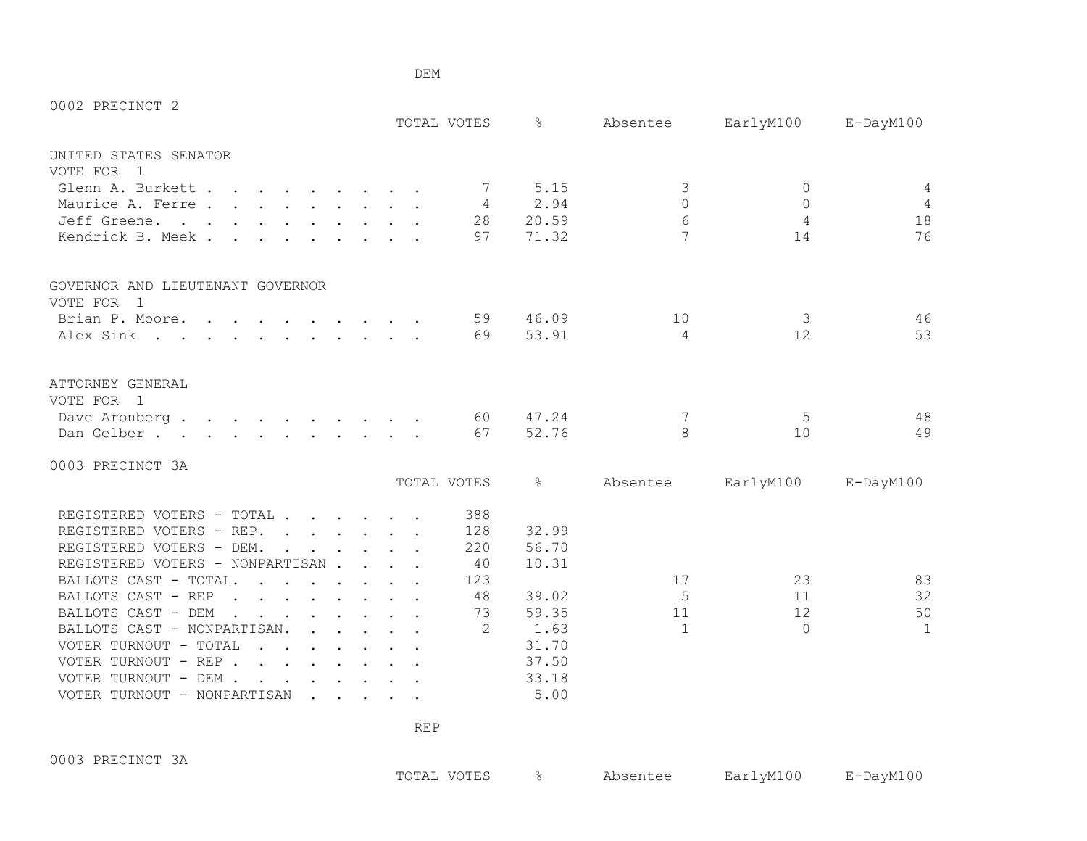| 0002 PRECINCT 2                                                                                                                                                                                                                                                   |  |               |               |              |                |                 |
|-------------------------------------------------------------------------------------------------------------------------------------------------------------------------------------------------------------------------------------------------------------------|--|---------------|---------------|--------------|----------------|-----------------|
|                                                                                                                                                                                                                                                                   |  | TOTAL VOTES   | $\frac{6}{2}$ | Absentee     | EarlyM100      | $E$ -DayM $100$ |
| UNITED STATES SENATOR                                                                                                                                                                                                                                             |  |               |               |              |                |                 |
| VOTE FOR<br>$\overline{1}$                                                                                                                                                                                                                                        |  |               |               |              |                |                 |
| Glenn A. Burkett                                                                                                                                                                                                                                                  |  | 7             | 5.15          | 3            | $\circ$        | $\overline{4}$  |
| Maurice A. Ferre                                                                                                                                                                                                                                                  |  | 4             | 2.94          | $\bigcap$    | $\Omega$       | $\overline{4}$  |
| Jeff Greene.                                                                                                                                                                                                                                                      |  | 28            | 20.59         | 6            | $\overline{4}$ | 18              |
| Kendrick B. Meek.                                                                                                                                                                                                                                                 |  | 97            | 71.32         | 7            | 14             | 76              |
| GOVERNOR AND LIEUTENANT GOVERNOR                                                                                                                                                                                                                                  |  |               |               |              |                |                 |
| VOTE FOR 1                                                                                                                                                                                                                                                        |  |               |               |              |                |                 |
| Brian P. Moore.                                                                                                                                                                                                                                                   |  | 59            | 46.09         | 10           | 3              | 46              |
| Alex Sink                                                                                                                                                                                                                                                         |  | 69            | 53.91         | 4            | 12             | 53              |
| ATTORNEY GENERAL<br>VOTE FOR 1                                                                                                                                                                                                                                    |  |               |               |              |                |                 |
| Dave Aronberg                                                                                                                                                                                                                                                     |  | 60            | 47.24         | 7            | 5              | 48              |
| Dan Gelber.                                                                                                                                                                                                                                                       |  | 67            | 52.76         | 8            | 10             | 49              |
|                                                                                                                                                                                                                                                                   |  |               |               |              |                |                 |
| 0003 PRECINCT 3A                                                                                                                                                                                                                                                  |  |               |               |              |                |                 |
|                                                                                                                                                                                                                                                                   |  | TOTAL VOTES   | $\approx$     | Absentee     | EarlyM100      | $E$ -DayM $100$ |
| REGISTERED VOTERS - TOTAL                                                                                                                                                                                                                                         |  | 388           |               |              |                |                 |
| REGISTERED VOTERS - REP.                                                                                                                                                                                                                                          |  | 128           | 32.99         |              |                |                 |
| REGISTERED VOTERS - DEM.                                                                                                                                                                                                                                          |  | 220           | 56.70         |              |                |                 |
| REGISTERED VOTERS - NONPARTISAN                                                                                                                                                                                                                                   |  | 40            | 10.31         |              |                |                 |
| BALLOTS CAST - TOTAL.<br>$\mathbf{r}$ , and $\mathbf{r}$ , and $\mathbf{r}$ , and $\mathbf{r}$                                                                                                                                                                    |  | 123           |               | 17           | 23             | 83              |
| BALLOTS CAST - REP<br>$\mathbf{r}$ , and $\mathbf{r}$ , and $\mathbf{r}$ , and $\mathbf{r}$                                                                                                                                                                       |  | 48            | 39.02         | .5           | 11             | 32              |
| BALLOTS CAST - DEM<br>$\mathbf{r}$ . The set of the set of the set of the set of the set of the set of the set of the set of the set of the set of the set of the set of the set of the set of the set of the set of the set of the set of the set of t<br>$\sim$ |  | 73            | 59.35         | 11           | 12             | 50              |
| BALLOTS CAST - NONPARTISAN.<br>$\mathbf{r}$ , $\mathbf{r}$ , $\mathbf{r}$ , $\mathbf{r}$ , $\mathbf{r}$                                                                                                                                                           |  | $\mathcal{L}$ | 1.63          | $\mathbf{1}$ | $\Omega$       | $\mathbf{1}$    |
| VOTER TURNOUT - TOTAL                                                                                                                                                                                                                                             |  |               | 31.70         |              |                |                 |
| VOTER TURNOUT - REP                                                                                                                                                                                                                                               |  |               | 37.50         |              |                |                 |
| VOTER TURNOUT - DEM .<br>$\mathbf{r}$ , $\mathbf{r}$ , $\mathbf{r}$ , $\mathbf{r}$                                                                                                                                                                                |  |               | 33.18         |              |                |                 |
| VOTER TURNOUT - NONPARTISAN<br>$\cdot$ $\cdot$ $\cdot$ $\cdot$ $\cdot$ $\cdot$                                                                                                                                                                                    |  |               | 5.00          |              |                |                 |

0003 PRECINCT 3A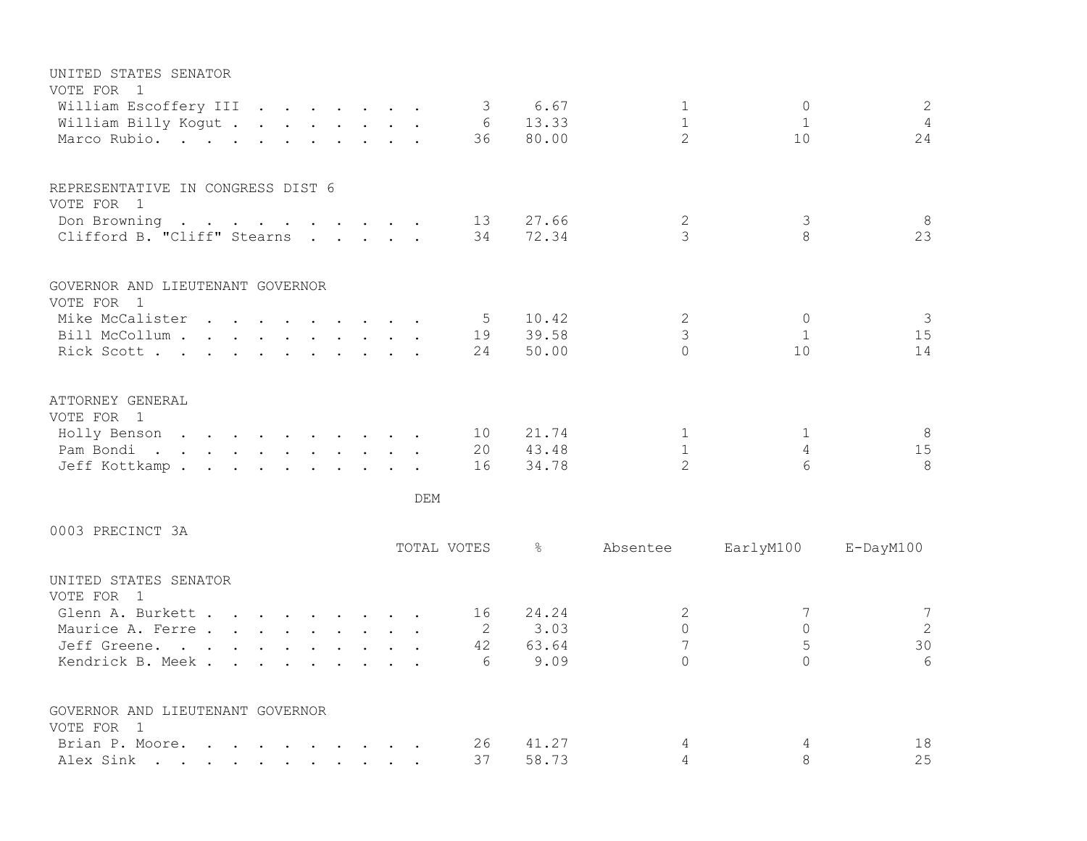| UNITED STATES SENATOR<br>VOTE FOR 1                                                                                                                                                                                                        |  |  |  |     |             |                |                     |              |                     |
|--------------------------------------------------------------------------------------------------------------------------------------------------------------------------------------------------------------------------------------------|--|--|--|-----|-------------|----------------|---------------------|--------------|---------------------|
| William Escoffery III                                                                                                                                                                                                                      |  |  |  |     | 3           | 6.67           | $\mathbf 1$         | $\circ$      | 2                   |
| William Billy Kogut                                                                                                                                                                                                                        |  |  |  |     | 6           | 13.33          | $\mathbf{1}$        | $\mathbf 1$  | $\overline{4}$      |
| Marco Rubio.                                                                                                                                                                                                                               |  |  |  |     | 36          | 80.00          | $\overline{2}$      | 10           | 24                  |
| REPRESENTATIVE IN CONGRESS DIST 6                                                                                                                                                                                                          |  |  |  |     |             |                |                     |              |                     |
| VOTE FOR 1                                                                                                                                                                                                                                 |  |  |  |     |             |                |                     |              |                     |
| Don Browning<br>$\mathbf{r}$ , and $\mathbf{r}$ , and $\mathbf{r}$ , and $\mathbf{r}$ , and $\mathbf{r}$                                                                                                                                   |  |  |  |     | 13          | 27.66          | 2                   | 3            | 8                   |
| Clifford B. "Cliff" Stearns                                                                                                                                                                                                                |  |  |  |     | 34          | 72.34          | 3                   | $\mathsf{R}$ | 23                  |
| GOVERNOR AND LIEUTENANT GOVERNOR                                                                                                                                                                                                           |  |  |  |     |             |                |                     |              |                     |
| VOTE FOR 1                                                                                                                                                                                                                                 |  |  |  |     |             |                |                     |              |                     |
| Mike McCalister                                                                                                                                                                                                                            |  |  |  |     | 5           | 10.42<br>39.58 | $\mathbf{2}$<br>3   | $\circ$<br>1 | $\mathcal{S}$<br>15 |
| Bill McCollum<br>Rick Scott                                                                                                                                                                                                                |  |  |  |     | 19<br>24    | 50.00          | $\Omega$            | 10           | 14                  |
|                                                                                                                                                                                                                                            |  |  |  |     |             |                |                     |              |                     |
| ATTORNEY GENERAL<br>VOTE FOR 1                                                                                                                                                                                                             |  |  |  |     |             |                |                     |              |                     |
| Holly Benson                                                                                                                                                                                                                               |  |  |  |     | 10          | 21.74          | 1                   | 1            | 8                   |
| Pam Bondi<br>. The second contract is a set of the second contract of the set of the second contract of the set of the set of the set of the set of the set of the set of the set of the set of the set of the set of the set of the set o |  |  |  |     | 20          | 43.48          | $\mathbf{1}$        | 4            | 15                  |
| Jeff Kottkamp.                                                                                                                                                                                                                             |  |  |  |     | 16          | 34.78          | $\overline{2}$      | 6            | 8                   |
|                                                                                                                                                                                                                                            |  |  |  | DEM |             |                |                     |              |                     |
| 0003 PRECINCT 3A                                                                                                                                                                                                                           |  |  |  |     |             |                |                     |              |                     |
|                                                                                                                                                                                                                                            |  |  |  |     | TOTAL VOTES | $\frac{6}{6}$  | Absentee            | EarlyM100    | $E$ -DayM $100$     |
| UNITED STATES SENATOR<br>VOTE FOR 1                                                                                                                                                                                                        |  |  |  |     |             |                |                     |              |                     |
| Glenn A. Burkett                                                                                                                                                                                                                           |  |  |  |     | 16          | 24.24          | 2                   | 7            | $7\phantom{.0}$     |
| Maurice A. Ferre                                                                                                                                                                                                                           |  |  |  |     | 2           | 3.03           | $\mathbf 0$         | $\circ$      | 2                   |
| Jeff Greene.                                                                                                                                                                                                                               |  |  |  |     | 42          | 63.64          | $\overline{7}$      | 5            | 30                  |
| Kendrick B. Meek.                                                                                                                                                                                                                          |  |  |  |     | 6           | 9.09           | $\Omega$            | $\Omega$     | 6                   |
| GOVERNOR AND LIEUTENANT GOVERNOR                                                                                                                                                                                                           |  |  |  |     |             |                |                     |              |                     |
| VOTE FOR 1                                                                                                                                                                                                                                 |  |  |  |     |             |                |                     |              |                     |
| Brian P. Moore.<br>$\mathbf{r}$ , and $\mathbf{r}$ , and $\mathbf{r}$ , and $\mathbf{r}$ , and $\mathbf{r}$                                                                                                                                |  |  |  |     | 26          | 41.27<br>58.73 | 4<br>$\overline{4}$ | 4<br>8       | 18<br>25            |
| Alex Sink<br>the contract of the contract of the contract of the contract of the contract of the contract of the contract of                                                                                                               |  |  |  |     | 37          |                |                     |              |                     |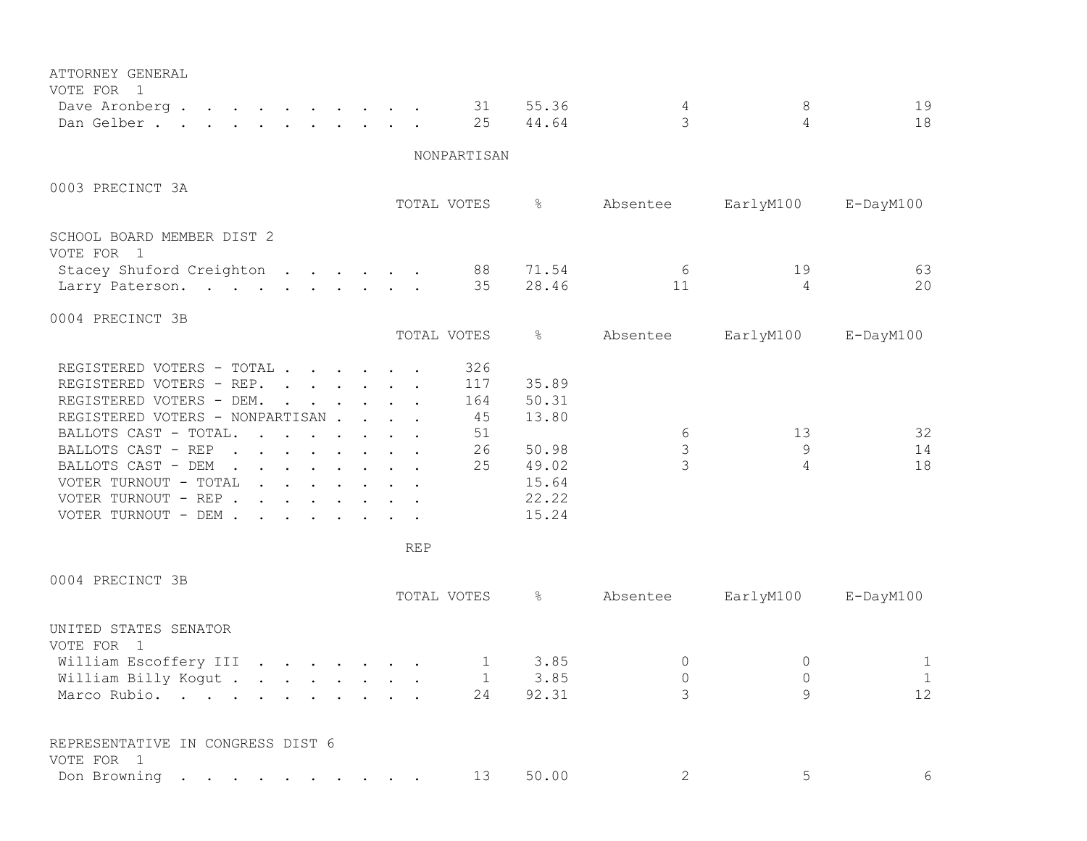| ATTORNEY GENERAL<br>VOTE FOR 1<br>Dave Aronberg                                                                                                                                                                                                                                                                                                             | 31                                                      | 55.36                                                                | 4                       | 8                  | 19                      |
|-------------------------------------------------------------------------------------------------------------------------------------------------------------------------------------------------------------------------------------------------------------------------------------------------------------------------------------------------------------|---------------------------------------------------------|----------------------------------------------------------------------|-------------------------|--------------------|-------------------------|
| Dan Gelber.                                                                                                                                                                                                                                                                                                                                                 | 25                                                      | 44.64                                                                | 3                       | 4                  | 18                      |
|                                                                                                                                                                                                                                                                                                                                                             | NONPARTISAN                                             |                                                                      |                         |                    |                         |
| 0003 PRECINCT 3A                                                                                                                                                                                                                                                                                                                                            | TOTAL VOTES                                             | $\frac{6}{6}$                                                        | Absentee                | EarlyM100          | E-DayM100               |
| SCHOOL BOARD MEMBER DIST 2<br>VOTE FOR 1<br>Stacey Shuford Creighton<br>Larry Paterson.                                                                                                                                                                                                                                                                     | 88<br>35                                                | 71.54<br>28.46                                                       | 6<br>11                 | 19<br>4            | 63<br>20                |
| 0004 PRECINCT 3B                                                                                                                                                                                                                                                                                                                                            | TOTAL VOTES                                             | $\frac{6}{6}$                                                        | Absentee                | EarlyM100          | E-DayM100               |
| REGISTERED VOTERS - TOTAL<br>REGISTERED VOTERS - REP.<br>REGISTERED VOTERS - DEM.<br>REGISTERED VOTERS - NONPARTISAN<br>BALLOTS CAST - TOTAL.<br>$\mathbf{r}$ , $\mathbf{r}$ , $\mathbf{r}$ , $\mathbf{r}$ , $\mathbf{r}$ , $\mathbf{r}$<br>BALLOTS CAST - REP<br>BALLOTS CAST - DEM<br>VOTER TURNOUT - TOTAL<br>VOTER TURNOUT - REP<br>VOTER TURNOUT - DEM | 326<br>117<br>164<br>45<br>51<br>26<br>25<br><b>REP</b> | 35.89<br>50.31<br>13.80<br>50.98<br>49.02<br>15.64<br>22.22<br>15.24 | 6<br>3<br>$\mathcal{L}$ | 13<br>9<br>4       | 32<br>14<br>18          |
| 0004 PRECINCT 3B                                                                                                                                                                                                                                                                                                                                            | TOTAL VOTES                                             | ိင                                                                   | Absentee                | EarlyM100          | E-DayM100               |
| UNITED STATES SENATOR<br>VOTE FOR 1<br>William Escoffery III<br>William Billy Kogut<br>Marco Rubio.                                                                                                                                                                                                                                                         | $\mathbf{1}$<br>1<br>24                                 | 3.85<br>3.85<br>92.31                                                | 0<br>$\Omega$<br>3      | 0<br>$\Omega$<br>9 | 1<br>$\mathbf{1}$<br>12 |
| REPRESENTATIVE IN CONGRESS DIST 6<br>VOTE FOR 1<br>Don Browning                                                                                                                                                                                                                                                                                             | 13                                                      | 50.00                                                                | 2                       | 5                  | 6                       |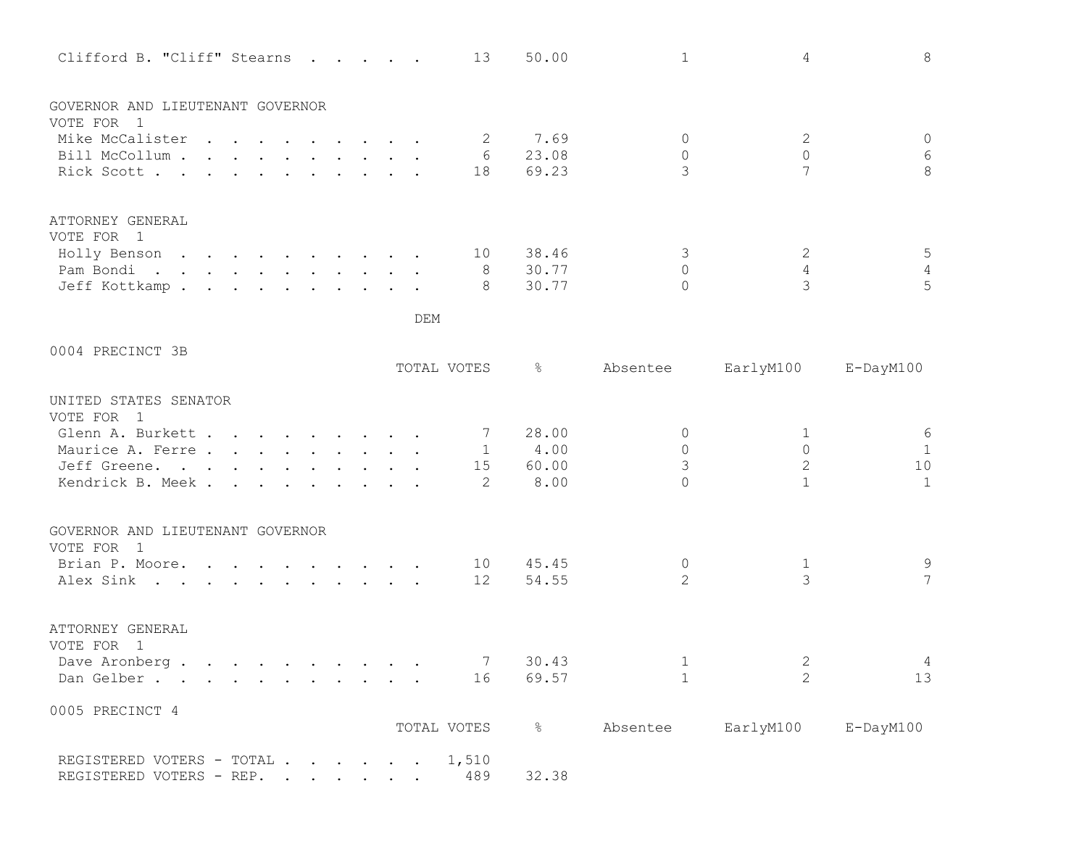| Clifford B. "Cliff" Stearns         |  |     | 13                  | 50.00         | $\mathbf{1}$         | 4              | 8               |
|-------------------------------------|--|-----|---------------------|---------------|----------------------|----------------|-----------------|
| GOVERNOR AND LIEUTENANT GOVERNOR    |  |     |                     |               |                      |                |                 |
| VOTE FOR 1                          |  |     |                     |               |                      |                |                 |
| Mike McCalister<br>Bill McCollum    |  |     | $\overline{2}$<br>6 | 7.69<br>23.08 | $\Omega$<br>$\Omega$ | 2<br>$\Omega$  | $\circ$<br>6    |
| Rick Scott                          |  |     | 18                  | 69.23         | 3                    | 7              | 8               |
|                                     |  |     |                     |               |                      |                |                 |
| ATTORNEY GENERAL                    |  |     |                     |               |                      |                |                 |
| VOTE FOR 1                          |  |     |                     |               |                      |                |                 |
| Holly Benson                        |  |     | 10                  | 38.46         | 3                    | 2              | 5               |
| Pam Bondi.                          |  |     | 8 <sup>8</sup>      | 30.77         | $\Omega$             | 4              | $\overline{4}$  |
| Jeff Kottkamp.                      |  |     | - 8                 | 30.77         | $\Omega$             | 3              | 5               |
|                                     |  | DEM |                     |               |                      |                |                 |
| 0004 PRECINCT 3B                    |  |     |                     |               |                      |                |                 |
|                                     |  |     | TOTAL VOTES         | ိင            | Absentee             | EarlyM100      | $E$ -DayM $100$ |
| UNITED STATES SENATOR<br>VOTE FOR 1 |  |     |                     |               |                      |                |                 |
| Glenn A. Burkett                    |  |     | $\overline{7}$      | 28.00         | $\Omega$             | 1              | $\epsilon$      |
| Maurice A. Ferre.                   |  |     |                     | 1 4.00        | $\Omega$             | $\Omega$       | $\mathbf{1}$    |
| Jeff Greene.                        |  |     |                     | 15 60.00      | 3                    | $\overline{2}$ | 10              |
| Kendrick B. Meek.                   |  |     | -2                  | 8.00          | $\cap$               | $\mathbf{1}$   | $\mathbf{1}$    |
| GOVERNOR AND LIEUTENANT GOVERNOR    |  |     |                     |               |                      |                |                 |
| VOTE FOR 1                          |  |     |                     |               |                      |                |                 |
| Brian P. Moore.                     |  |     | 10                  | 45.45         | 0                    | 1              | $\mathsf 9$     |
| Alex Sink                           |  |     | 12                  | 54.55         | $\overline{2}$       | 3              | $\overline{7}$  |
|                                     |  |     |                     |               |                      |                |                 |
| ATTORNEY GENERAL<br>VOTE FOR 1      |  |     |                     |               |                      |                |                 |
| Dave Aronberg.                      |  |     | 7                   | 30.43         | 1                    | 2              |                 |
| Dan Gelber.                         |  |     | 16                  | 69.57         | $\mathbf{1}$         | 2              | 13              |
|                                     |  |     |                     |               |                      |                |                 |
| 0005 PRECINCT 4                     |  |     | TOTAL VOTES         | $\frac{1}{6}$ | Absentee EarlyM100   |                | E-DayM100       |
|                                     |  |     |                     |               |                      |                |                 |
| REGISTERED VOTERS - TOTAL 1,510     |  |     |                     |               |                      |                |                 |
| REGISTERED VOTERS - REP.            |  |     | 489                 | 32.38         |                      |                |                 |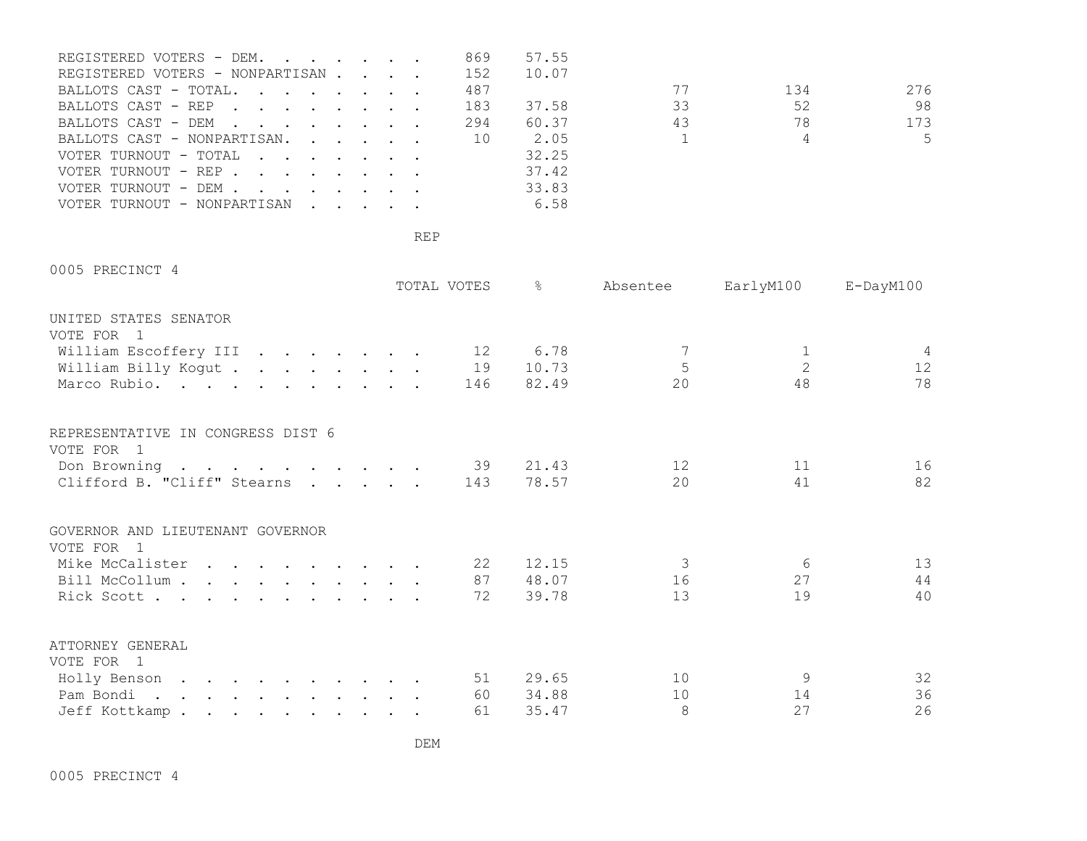| REGISTERED VOTERS - DEM.        |  |  | 869 | 57.55 |          |                |       |
|---------------------------------|--|--|-----|-------|----------|----------------|-------|
| REGISTERED VOTERS - NONPARTISAN |  |  | 152 | 10.07 |          |                |       |
| BALLOTS CAST - TOTAL.           |  |  | 487 |       | 77       | 134            | 276   |
| BALLOTS CAST - REP              |  |  | 183 | 37.58 | 33       | 52             | 98    |
| BALLOTS CAST - DEM              |  |  | 294 | 60.37 | 43       | 78             | 173   |
| BALLOTS CAST - NONPARTISAN. 10  |  |  |     | 2.05  | $\sim$ 1 | $\overline{4}$ | $5 -$ |
| VOTER TURNOUT - TOTAL           |  |  |     | 32.25 |          |                |       |
| VOTER TURNOUT - REP             |  |  |     | 37.42 |          |                |       |
| VOTER TURNOUT - DEM             |  |  |     | 33.83 |          |                |       |
| VOTER TURNOUT - NONPARTISAN     |  |  |     | 6.58  |          |                |       |

0005 PRECINCT 4

|                                   | TOTAL VOTES | $\approx$ | Absentee | EarlyM100 E-DayM100 |    |
|-----------------------------------|-------------|-----------|----------|---------------------|----|
| UNITED STATES SENATOR             |             |           |          |                     |    |
| VOTE FOR 1                        |             |           |          |                     |    |
| William Escoffery III 12 6.78     |             |           |          |                     |    |
| William Billy Kogut 19            |             | 10.73     | 5        | $\overline{2}$      | 12 |
| Marco Rubio.                      | 146         | 82.49     | 20       | 48                  | 78 |
| REPRESENTATIVE IN CONGRESS DIST 6 |             |           |          |                     |    |
| VOTE FOR 1                        |             |           |          |                     |    |
| Don Browning 39                   |             | 21.43     | 12       | 11                  | 16 |
| Clifford B. "Cliff" Stearns 143   |             | 78.57     | 20       | 41                  | 82 |
|                                   |             |           |          |                     |    |
| GOVERNOR AND LIEUTENANT GOVERNOR  |             |           |          |                     |    |
| VOTE FOR 1                        |             |           |          |                     |    |
| Mike McCalister                   | 22          | 12.15     | 3        | 6                   | 13 |
| Bill McCollum                     | 87 —        | 48.07     | 16       | 27                  | 44 |
| Rick Scott                        | 72          | 39.78     | 13       | 19                  | 40 |
| ATTORNEY GENERAL                  |             |           |          |                     |    |
| VOTE FOR 1                        |             |           |          |                     |    |
| Holly Benson                      | 51          | 29.65     | 10       | 9                   | 32 |
| Pam Bondi.                        | 60          | 34.88     | 10       | 14                  | 36 |
| Jeff Kottkamp                     | 61          | 35.47     | 8        | 27                  | 26 |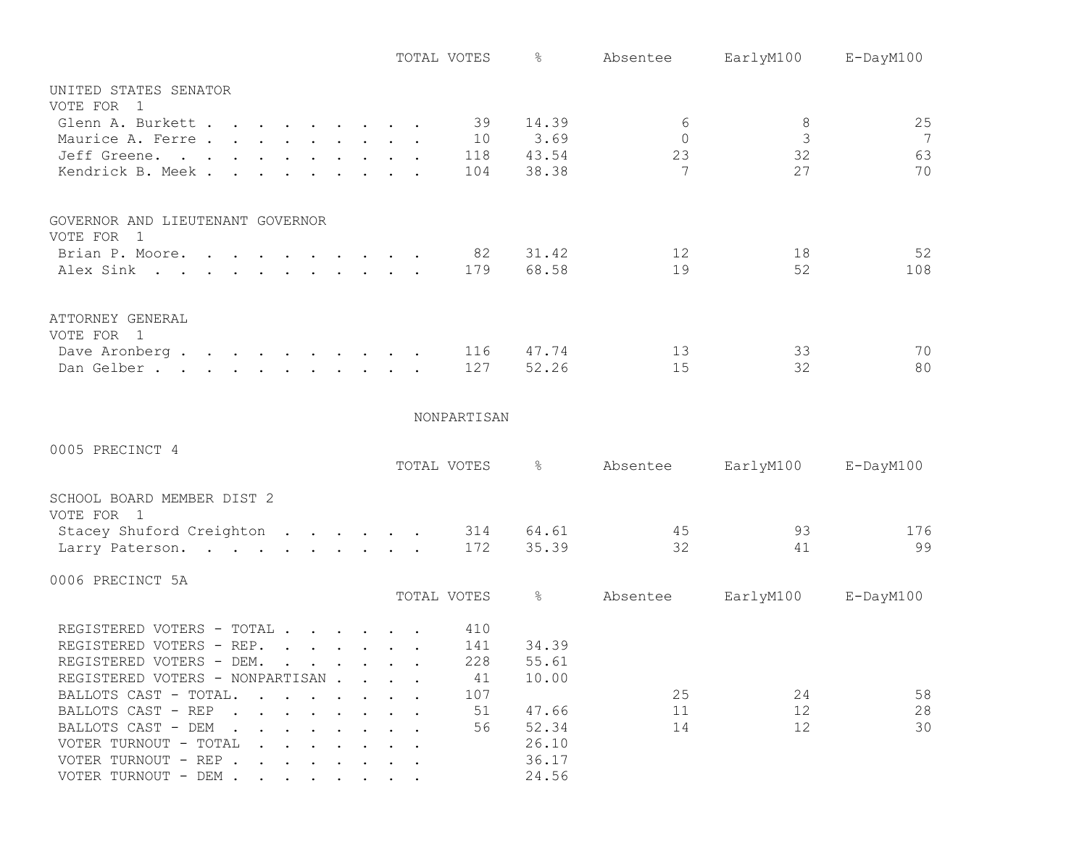|                                          |  | TOTAL VOTES | ႜ             | Absentee | EarlyM100     | E-DayM100       |
|------------------------------------------|--|-------------|---------------|----------|---------------|-----------------|
| UNITED STATES SENATOR                    |  |             |               |          |               |                 |
| VOTE FOR 1                               |  |             |               |          |               |                 |
| Glenn A. Burkett                         |  | 39          | 14.39         | 6        | 8             | 25              |
| Maurice A. Ferre                         |  | 10          | 3.69          | $\Omega$ | $\mathcal{S}$ | $7\phantom{.0}$ |
| Jeff Greene.                             |  |             | 118 43.54     | 23       | 32            | 63              |
| Kendrick B. Meek.                        |  | 104         | 38.38         | 7        | 27            | 70              |
| GOVERNOR AND LIEUTENANT GOVERNOR         |  |             |               |          |               |                 |
| VOTE FOR 1                               |  |             |               |          |               |                 |
| Brian P. Moore.                          |  | 82          | 31.42         | 12       | 18            | 52              |
| Alex Sink                                |  | 179         | 68.58         | 19       | 52            | 108             |
| ATTORNEY GENERAL                         |  |             |               |          |               |                 |
| VOTE FOR 1                               |  |             |               |          |               |                 |
| Dave Aronberg                            |  | 116         | 47.74         | 13       | 33            | 70              |
| Dan Gelber.                              |  | 127         | 52.26         | 15       | 32            | 80              |
|                                          |  | NONPARTISAN |               |          |               |                 |
|                                          |  |             |               |          |               |                 |
| 0005 PRECINCT 4                          |  |             |               |          |               |                 |
|                                          |  | TOTAL VOTES | $\frac{8}{6}$ | Absentee | EarlyM100     | E-DayM100       |
| SCHOOL BOARD MEMBER DIST 2<br>VOTE FOR 1 |  |             |               |          |               |                 |
| Stacey Shuford Creighton                 |  | 314         | 64.61         | 45       | 93            | 176             |
| Larry Paterson.                          |  | 172         | 35.39         | 32       | 41            | 99              |
| 0006 PRECINCT 5A                         |  |             | $\frac{6}{6}$ |          |               |                 |
|                                          |  | TOTAL VOTES |               | Absentee | EarlyM100     | E-DayM100       |
| REGISTERED VOTERS - TOTAL                |  | 410         |               |          |               |                 |
| REGISTERED VOTERS - REP.                 |  | 141         | 34.39         |          |               |                 |
| REGISTERED VOTERS - DEM.                 |  | 228         | 55.61         |          |               |                 |
| REGISTERED VOTERS - NONPARTISAN          |  | 41          | 10.00         |          |               |                 |
| BALLOTS CAST - TOTAL.                    |  | 107         |               | 25       | 24            | 58              |
| BALLOTS CAST - REP                       |  | 51          | 47.66         | 11       | 12            | 28              |
| BALLOTS CAST - DEM                       |  | 56          | 52.34         | 14       | 12            | 30              |
| VOTER TURNOUT - TOTAL                    |  |             | 26.10         |          |               |                 |
| VOTER TURNOUT - REP                      |  |             | 36.17         |          |               |                 |
| VOTER TURNOUT - DEM                      |  |             | 24.56         |          |               |                 |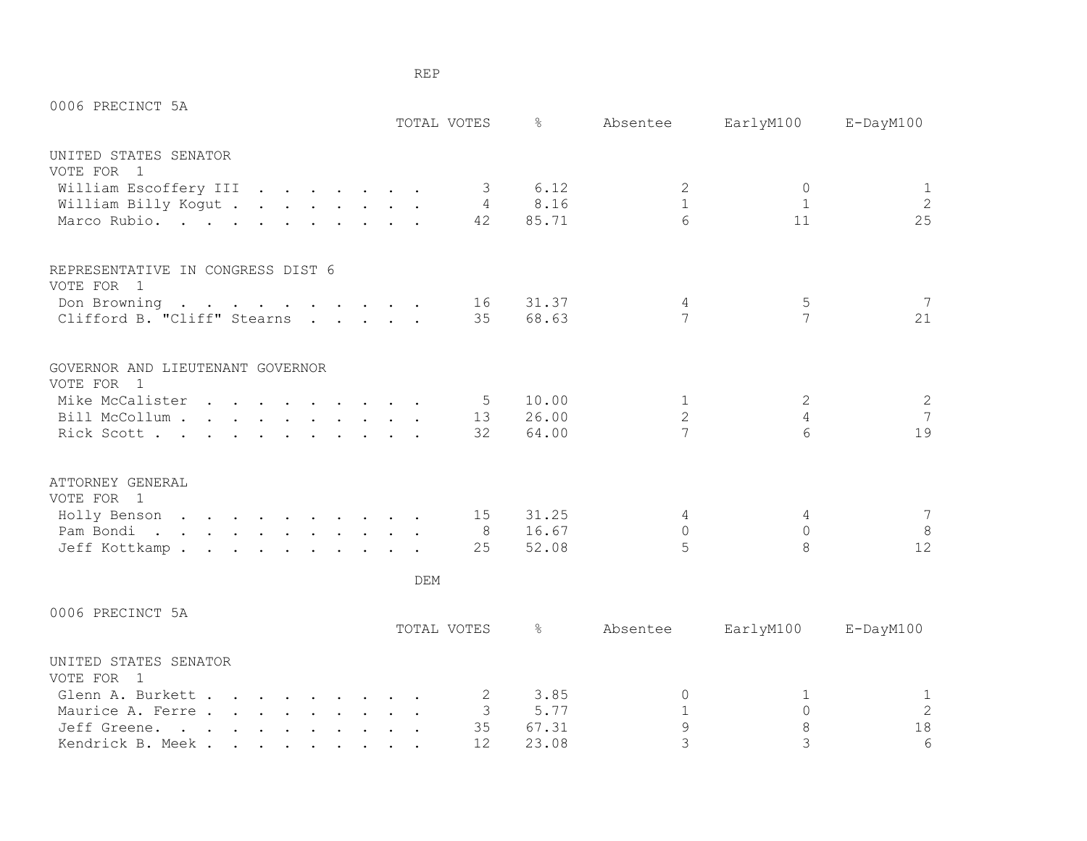| 0006 PRECINCT 5A                                |  |     |             |       |                |                  |                 |
|-------------------------------------------------|--|-----|-------------|-------|----------------|------------------|-----------------|
|                                                 |  |     | TOTAL VOTES | ⊱     | Absentee       | EarlyM100        | E-DayM100       |
| UNITED STATES SENATOR                           |  |     |             |       |                |                  |                 |
| VOTE FOR 1                                      |  |     |             |       |                |                  |                 |
| William Escoffery III                           |  |     | 3           | 6.12  | 2              | $\mathbf 0$      | 1               |
| William Billy Kogut                             |  |     | 4           | 8.16  | $\mathbf{1}$   | 1                | 2               |
| Marco Rubio.                                    |  |     | 42          | 85.71 | 6              | 11               | 25              |
| REPRESENTATIVE IN CONGRESS DIST 6<br>VOTE FOR 1 |  |     |             |       |                |                  |                 |
| Don Browning                                    |  |     | 16          | 31.37 | 4              | 5                | 7               |
| Clifford B. "Cliff" Stearns                     |  |     | 35          | 68.63 | 7              | 7                | 21              |
| GOVERNOR AND LIEUTENANT GOVERNOR<br>VOTE FOR 1  |  |     |             |       |                |                  |                 |
| Mike McCalister                                 |  |     | 5           | 10.00 | $\mathbf{1}$   | 2                | 2               |
| Bill McCollum                                   |  |     | 13          | 26.00 | $\overline{2}$ | $\overline{4}$   | 7               |
| Rick Scott                                      |  |     | 32          | 64.00 | 7              | $6 \overline{6}$ | 19              |
| ATTORNEY GENERAL<br>VOTE FOR 1                  |  |     |             |       |                |                  |                 |
| Holly Benson                                    |  |     | 15          | 31.25 | 4              | 4                | 7               |
| Pam Bondi.                                      |  |     | 8           | 16.67 | $\Omega$       | $\Omega$         | 8               |
| Jeff Kottkamp.                                  |  |     | 25          | 52.08 | 5              | 8                | 12              |
|                                                 |  | DEM |             |       |                |                  |                 |
| 0006 PRECINCT 5A                                |  |     |             |       |                |                  |                 |
|                                                 |  |     | TOTAL VOTES | ⊱     | Absentee       | EarlyM100        | $E$ -DayM $100$ |
| UNITED STATES SENATOR<br>VOTE FOR 1             |  |     |             |       |                |                  |                 |
| Glenn A. Burkett                                |  |     | 2           | 3.85  | 0              | 1                | $\mathbf{1}$    |
| Maurice A. Ferre                                |  |     | 3           | 5.77  | $\mathbf{1}$   | $\circ$          | 2               |
| Jeff Greene.                                    |  |     | 35          | 67.31 | $\mathsf 9$    | $\,8\,$          | 18              |
| Kendrick B. Meek.                               |  |     | 12          | 23.08 | 3              | 3                | 6               |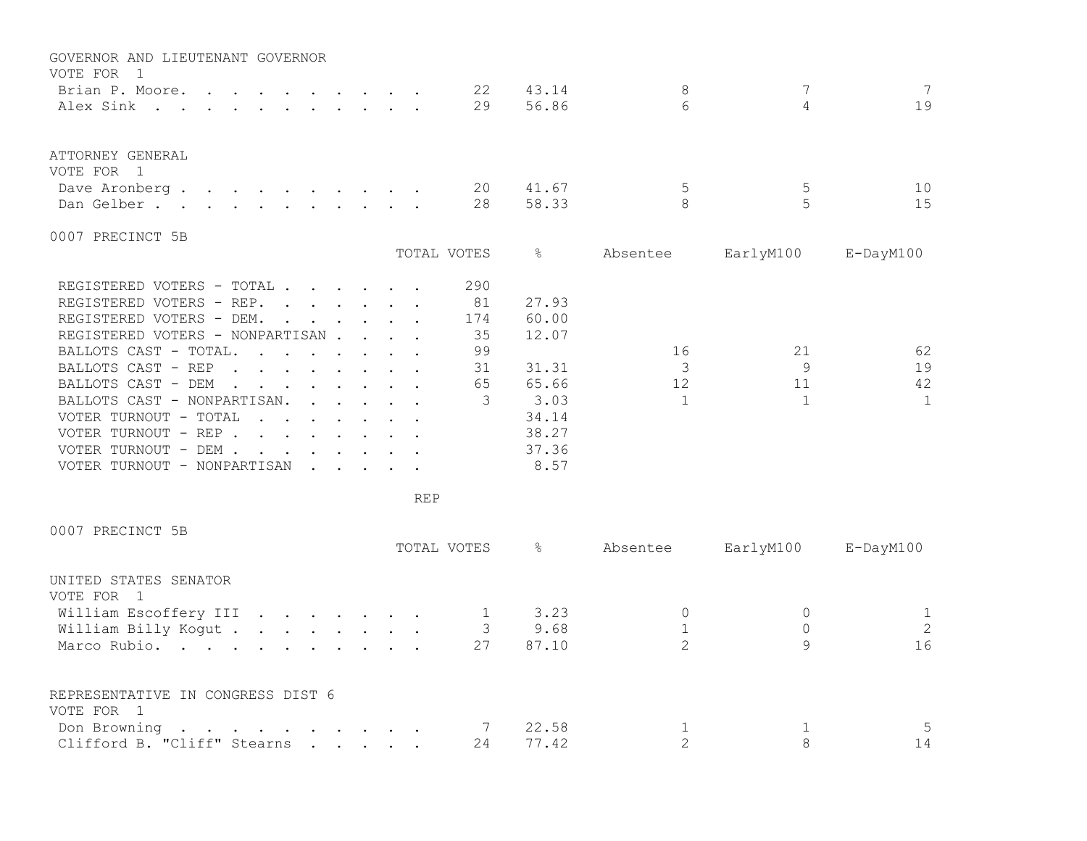| GOVERNOR AND LIEUTENANT GOVERNOR                                                                                                                                                                                                                          |                                                           |  |             |       |          |           |                 |
|-----------------------------------------------------------------------------------------------------------------------------------------------------------------------------------------------------------------------------------------------------------|-----------------------------------------------------------|--|-------------|-------|----------|-----------|-----------------|
| VOTE FOR<br>$\overline{1}$                                                                                                                                                                                                                                |                                                           |  |             |       |          | 7         | 7               |
| Brian P. Moore.                                                                                                                                                                                                                                           |                                                           |  | 22          | 43.14 | 8        |           |                 |
| Alex Sink                                                                                                                                                                                                                                                 |                                                           |  | 29          | 56.86 | 6        | 4         | 19              |
| ATTORNEY GENERAL                                                                                                                                                                                                                                          |                                                           |  |             |       |          |           |                 |
| VOTE FOR<br>$\overline{1}$                                                                                                                                                                                                                                |                                                           |  |             |       |          |           |                 |
| Dave Aronberg.<br>$\mathbf{r}$ , and $\mathbf{r}$ , and $\mathbf{r}$ , and $\mathbf{r}$ , and $\mathbf{r}$                                                                                                                                                |                                                           |  | 20          | 41.67 | 5        | 5         | 10              |
| Dan Gelber.                                                                                                                                                                                                                                               |                                                           |  | 28          | 58.33 | 8        | 5         | 15              |
| 0007 PRECINCT 5B                                                                                                                                                                                                                                          |                                                           |  |             |       |          |           |                 |
|                                                                                                                                                                                                                                                           |                                                           |  | TOTAL VOTES | &     | Absentee | EarlyM100 | $E$ -DayM $100$ |
| REGISTERED VOTERS - TOTAL.                                                                                                                                                                                                                                |                                                           |  | 290         |       |          |           |                 |
| REGISTERED VOTERS - REP.                                                                                                                                                                                                                                  | $\mathbf{r}$ , $\mathbf{r}$ , $\mathbf{r}$ , $\mathbf{r}$ |  | 81          | 27.93 |          |           |                 |
| REGISTERED VOTERS - DEM.                                                                                                                                                                                                                                  | $\mathbf{r}$ , $\mathbf{r}$ , $\mathbf{r}$ , $\mathbf{r}$ |  | 174         | 60.00 |          |           |                 |
| REGISTERED VOTERS - NONPARTISAN                                                                                                                                                                                                                           |                                                           |  | 35          | 12.07 |          |           |                 |
| BALLOTS CAST - TOTAL.<br>$\cdot$ $\cdot$ $\cdot$ $\cdot$ $\cdot$ $\cdot$ $\cdot$ $\cdot$                                                                                                                                                                  |                                                           |  | 99          |       | 16       | 21        | 62              |
| BALLOTS CAST - REP<br>$\mathbf{r}$ , $\mathbf{r}$ , $\mathbf{r}$ , $\mathbf{r}$ , $\mathbf{r}$<br>$\sim$                                                                                                                                                  |                                                           |  | 31          | 31.31 | 3        | 9         | 19              |
| BALLOTS CAST - DEM<br>$\mathbf{r}$ , and $\mathbf{r}$ , and $\mathbf{r}$ , and $\mathbf{r}$                                                                                                                                                               |                                                           |  | 65          | 65.66 | 12       | 11        | 42              |
| BALLOTS CAST - NONPARTISAN.                                                                                                                                                                                                                               | $\cdot$ $\cdot$ $\cdot$ $\cdot$ $\cdot$                   |  | 3           | 3.03  |          | 1         | 1               |
| VOTER TURNOUT - TOTAL                                                                                                                                                                                                                                     |                                                           |  |             | 34.14 |          |           |                 |
| VOTER TURNOUT - REP.<br>$\mathbf{r}$ . The contract of the contract of the contract of the contract of the contract of the contract of the contract of the contract of the contract of the contract of the contract of the contract of the contract of th |                                                           |  |             | 38.27 |          |           |                 |
| VOTER TURNOUT - DEM .<br>$\mathbf{r}$                                                                                                                                                                                                                     |                                                           |  |             | 37.36 |          |           |                 |
| VOTER TURNOUT - NONPARTISAN                                                                                                                                                                                                                               | $\cdot$ $\cdot$ $\cdot$ $\cdot$ $\cdot$ $\cdot$           |  |             | 8.57  |          |           |                 |
|                                                                                                                                                                                                                                                           |                                                           |  |             |       |          |           |                 |

| 0007 PRECINCT 5B                                                                                                                                               |  |  |  |             |               |          |              |                 |
|----------------------------------------------------------------------------------------------------------------------------------------------------------------|--|--|--|-------------|---------------|----------|--------------|-----------------|
|                                                                                                                                                                |  |  |  | TOTAL VOTES | $\frac{6}{6}$ | Absentee | EarlyM100    | $E$ -DayM $100$ |
| UNITED STATES SENATOR                                                                                                                                          |  |  |  |             |               |          |              |                 |
| VOTE FOR 1                                                                                                                                                     |  |  |  |             |               |          |              |                 |
| William Escoffery III                                                                                                                                          |  |  |  |             | 3.23          |          |              |                 |
| William Billy Kogut                                                                                                                                            |  |  |  |             | 9.68          |          |              | $\mathbf{2}$    |
| Marco Rubio.                                                                                                                                                   |  |  |  | 27          | 87.10         |          | $\mathsf{Q}$ | 16              |
| REPRESENTATIVE IN CONGRESS DIST 6                                                                                                                              |  |  |  |             |               |          |              |                 |
| VOTE FOR 1                                                                                                                                                     |  |  |  |             |               |          |              |                 |
| $\mathbf{r} = \mathbf{r} + \mathbf{r} + \mathbf{r} + \mathbf{r} + \mathbf{r} + \mathbf{r} + \mathbf{r} + \mathbf{r} + \mathbf{r} + \mathbf{r}$<br>Don Browning |  |  |  |             | 22.58         |          |              | 5.              |
| Clifford B. "Cliff" Stearns                                                                                                                                    |  |  |  | 24          | 77.42         |          |              | 14              |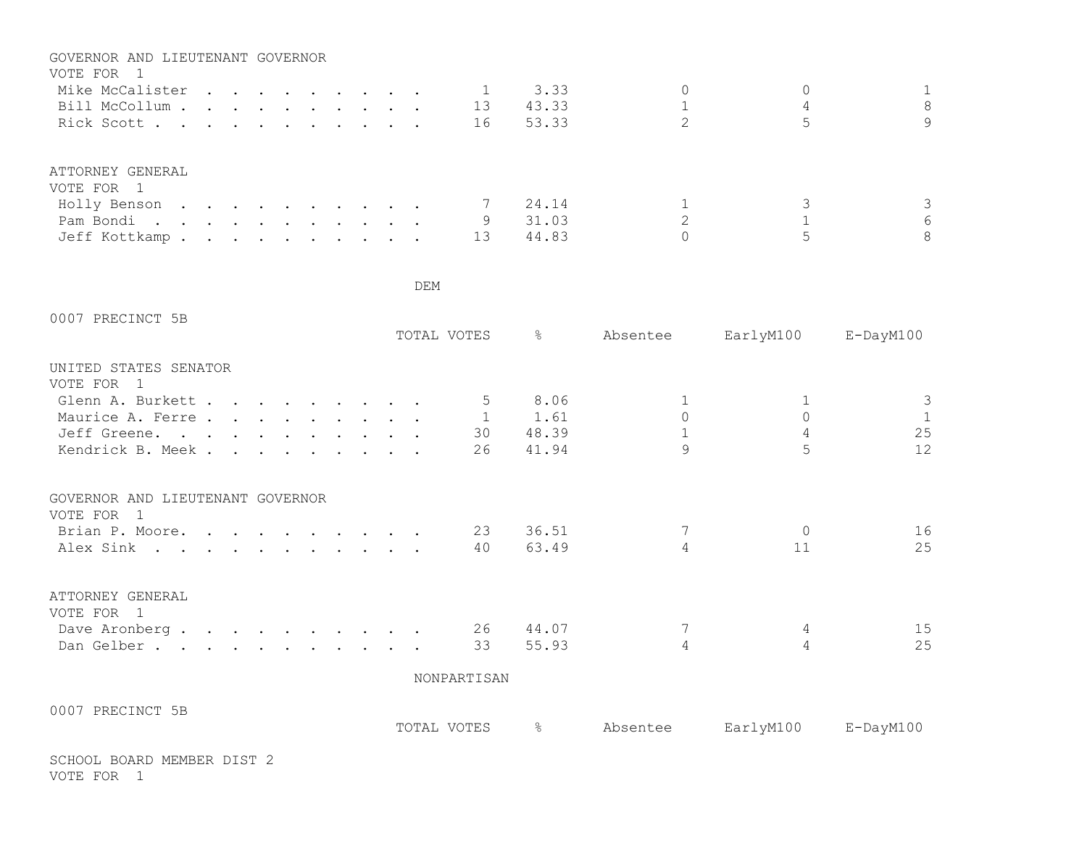| GOVERNOR AND LIEUTENANT GOVERNOR |  |  |  |  |    |       |   |   |
|----------------------------------|--|--|--|--|----|-------|---|---|
| VOTE FOR                         |  |  |  |  |    |       |   |   |
| Mike McCalister                  |  |  |  |  |    | 3.33  | 0 |   |
| Bill McCollum                    |  |  |  |  | 13 | 43.33 |   | 8 |
| Rick Scott                       |  |  |  |  | 16 | 53.33 |   | 9 |
|                                  |  |  |  |  |    |       |   |   |
| ATTORNEY GENERAL                 |  |  |  |  |    |       |   |   |
| VOTE FOR 1                       |  |  |  |  |    |       |   |   |
| Holly Benson                     |  |  |  |  |    | 24.14 |   |   |
| Pam Bondi.                       |  |  |  |  | 9  | 31.03 |   | 6 |
| Jeff Kottkamp                    |  |  |  |  | 13 | 44.83 |   | 8 |

| 0007 PRECINCT 5B                                    |  |  |  |  | TOTAL VOTES  | $\frac{6}{6}$ | Absentee       | EarlyM100      | E-DayM100    |
|-----------------------------------------------------|--|--|--|--|--------------|---------------|----------------|----------------|--------------|
| UNITED STATES SENATOR<br>VOTE FOR<br>$\overline{1}$ |  |  |  |  |              |               |                |                |              |
| Glenn A. Burkett                                    |  |  |  |  | 5            | 8.06          | 1              | 1              | 3            |
| Maurice A. Ferre                                    |  |  |  |  | $\mathbf{1}$ | 1.61          | $\mathsf{O}$   | $\circ$        | $\mathbf{1}$ |
| Jeff Greene.                                        |  |  |  |  | 30           | 48.39         |                | $\overline{4}$ | 25           |
| Kendrick B. Meek.                                   |  |  |  |  | 26           | 41.94         | $\mathsf{Q}$   |                | 12           |
| GOVERNOR AND LIEUTENANT GOVERNOR                    |  |  |  |  |              |               |                |                |              |
| VOTE FOR<br>$\overline{1}$                          |  |  |  |  | 23           | 36.51         |                | $\Omega$       | 16           |
| Brian P. Moore.<br>Alex Sink                        |  |  |  |  | 40           | 63.49         | 4              | 11             | 25           |
|                                                     |  |  |  |  |              |               |                |                |              |
| ATTORNEY GENERAL<br>VOTE FOR 1                      |  |  |  |  |              |               |                |                |              |
| Dave Aronberg 26                                    |  |  |  |  |              | 44.07         |                | 4              | 15           |
| Dan Gelber.                                         |  |  |  |  | 33           | 55.93         | $\overline{4}$ | 4              | 25           |
|                                                     |  |  |  |  | NONPARTISAN  |               |                |                |              |
| 0007 PRECINCT 5B                                    |  |  |  |  |              |               |                |                |              |
|                                                     |  |  |  |  | TOTAL VOTES  | $\frac{6}{6}$ | Absentee       | EarlyM100      | E-DayM100    |

SCHOOL BOARD MEMBER DIST 2 VOTE FOR 1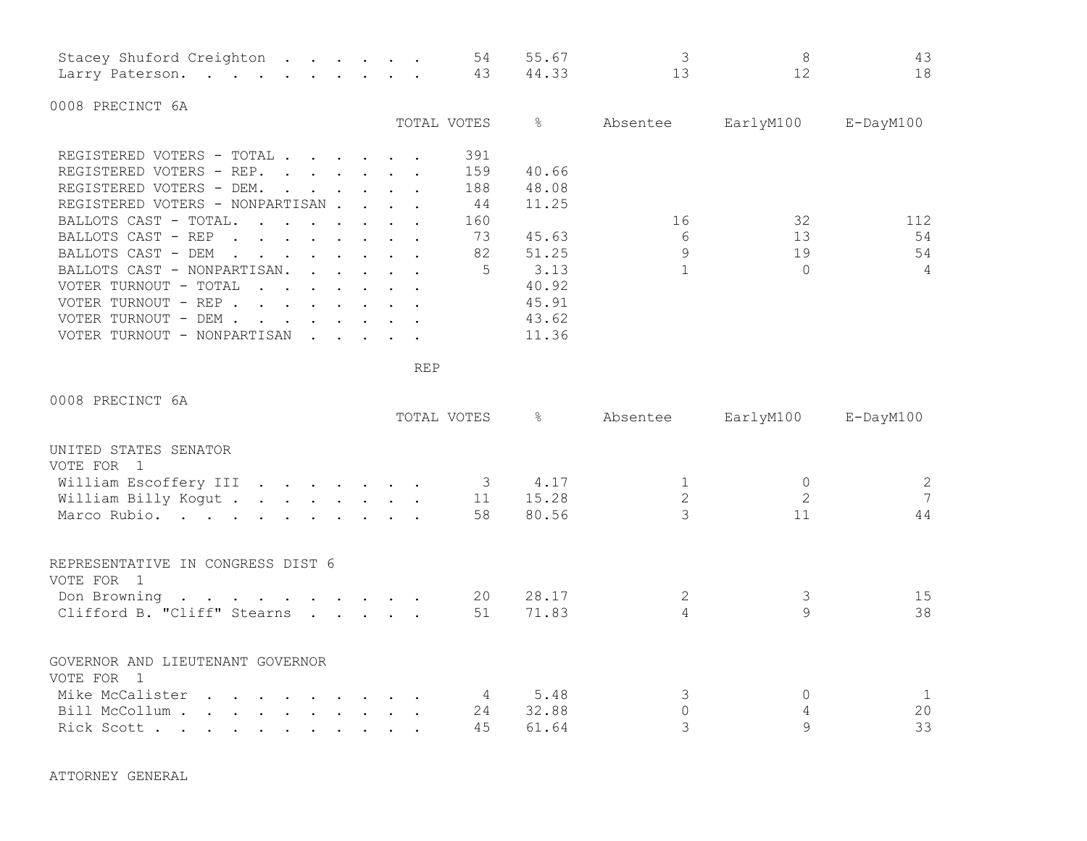| Stacey Shuford Creighton 54 55.67 |  |  |  |  |  |  |
|-----------------------------------|--|--|--|--|--|--|
| Larry Paterson. 43 44.33          |  |  |  |  |  |  |

0008 PRECINCT 6A

|                                                                                                               | TOTAL VOTES | ⊱     | Absentee | EarlyM100 | $E$ -DayM $100$ |
|---------------------------------------------------------------------------------------------------------------|-------------|-------|----------|-----------|-----------------|
| REGISTERED VOTERS - TOTAL .<br>$\cdot$ $\cdot$ $\cdot$ $\cdot$ $\cdot$ $\cdot$                                | 391         |       |          |           |                 |
| REGISTERED VOTERS - REP.                                                                                      | 159         | 40.66 |          |           |                 |
| REGISTERED VOTERS - DEM.<br>$\mathbf{r}$ , $\mathbf{r}$ , $\mathbf{r}$ , $\mathbf{r}$                         | 188         | 48.08 |          |           |                 |
| REGISTERED VOTERS - NONPARTISAN                                                                               | 44          | 11.25 |          |           |                 |
| BALLOTS CAST - TOTAL.<br>$\mathbf{r}$ , and $\mathbf{r}$ , and $\mathbf{r}$ , and $\mathbf{r}$                | 160         |       | 16       | 32        | 112             |
| BALLOTS CAST - REP<br><b>Contract Contract</b>                                                                | 73          | 45.63 | 6        | 13        | 54              |
| BALLOTS CAST - DEM<br>$\mathbf{r}$ , $\mathbf{r}$ , $\mathbf{r}$ , $\mathbf{r}$ , $\mathbf{r}$ , $\mathbf{r}$ | 82          | 51.25 | $\circ$  | 19        | 54              |
| BALLOTS CAST - NONPARTISAN.<br>$\cdot$ $\cdot$ $\cdot$ $\cdot$ $\cdot$ $\cdot$                                | 5           | 3.13  |          |           | 4               |
| VOTER TURNOUT - TOTAL<br>$\mathbf{r}$ , $\mathbf{r}$ , $\mathbf{r}$ , $\mathbf{r}$ , $\mathbf{r}$             |             | 40.92 |          |           |                 |
| VOTER TURNOUT - REP                                                                                           |             | 45.91 |          |           |                 |
| VOTER TURNOUT - DEM .<br>$\cdots$                                                                             |             | 43.62 |          |           |                 |
| VOTER TURNOUT - NONPARTISAN                                                                                   |             | 11.36 |          |           |                 |

REP

| 0008 PRECINCT 6A                                                                                                                   |  |             |                      |          |           |                       |
|------------------------------------------------------------------------------------------------------------------------------------|--|-------------|----------------------|----------|-----------|-----------------------|
|                                                                                                                                    |  | TOTAL VOTES | $\frac{1}{\sqrt{2}}$ | Absentee | EarlyM100 | E-DayM100             |
| UNITED STATES SENATOR                                                                                                              |  |             |                      |          |           |                       |
| VOTE FOR 1                                                                                                                         |  |             |                      |          |           |                       |
| William Escoffery III                                                                                                              |  |             | 4.17                 |          |           | $\mathbf{2}^{\prime}$ |
| William Billy Kogut                                                                                                                |  | 11          | 15.28                | 2        |           | $7\overline{ }$       |
| Marco Rubio.                                                                                                                       |  | 58          | 80.56                |          | 11        | 44                    |
| REPRESENTATIVE IN CONGRESS DIST 6<br>VOTE FOR 1                                                                                    |  |             |                      |          |           |                       |
| Don Browning                                                                                                                       |  | 20          | 28.17                | 2        | 3         | 15                    |
| Clifford B. "Cliff" Stearns                                                                                                        |  | 51          | 71.83                |          | 9         | 38                    |
| GOVERNOR AND LIEUTENANT GOVERNOR<br>VOTE FOR 1                                                                                     |  |             |                      |          |           |                       |
| Mike McCalister<br>the contract of the contract of the contract of the contract of the contract of the contract of the contract of |  |             | 5.48                 |          |           | 1                     |
| Bill McCollum                                                                                                                      |  | 24          | 32.88                |          |           | 20                    |
| Rick Scott                                                                                                                         |  | 45          | 61.64                |          | 9         | 33                    |

ATTORNEY GENERAL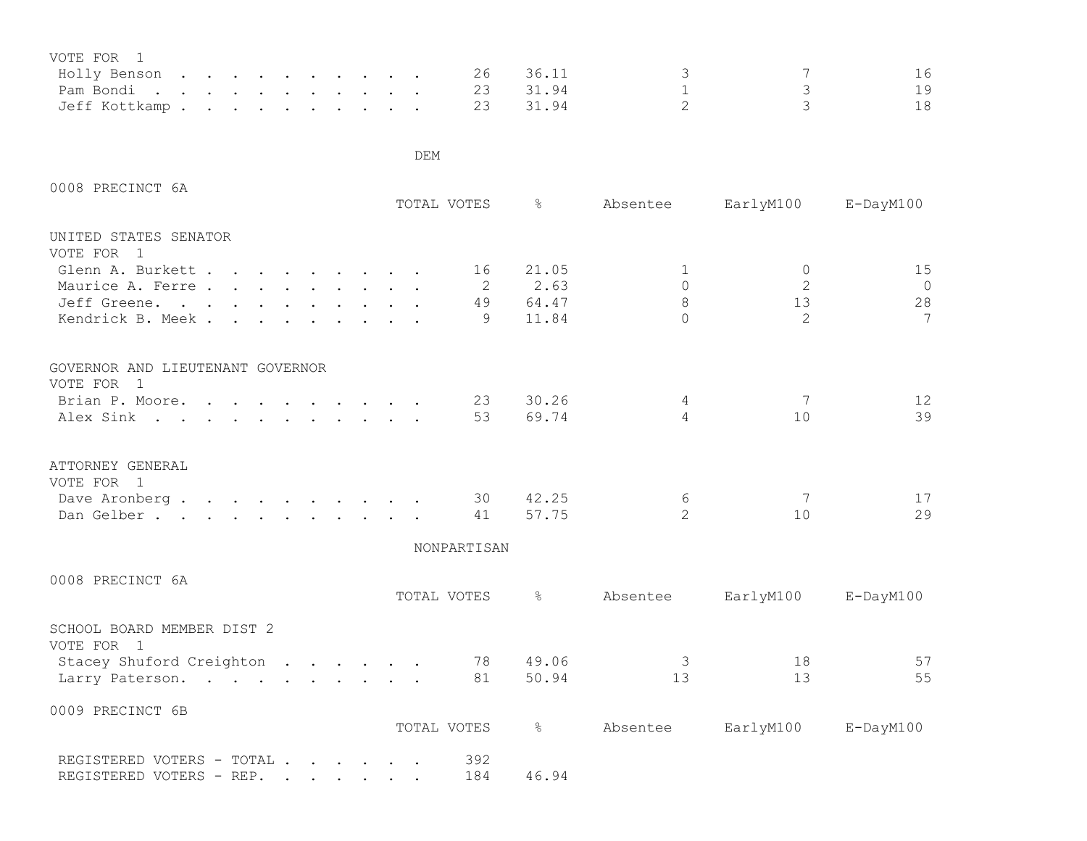| VOTE FOR 1             |  |  |  |  |  |          |               |                                 |    |
|------------------------|--|--|--|--|--|----------|---------------|---------------------------------|----|
| Holly Benson 26 36.11  |  |  |  |  |  |          | $\mathcal{S}$ | $\overline{7}$                  |    |
|                        |  |  |  |  |  | 23 31.94 |               |                                 | 19 |
| Jeff Kottkamp 23 31.94 |  |  |  |  |  |          |               | $\mathcal{L}$ and $\mathcal{L}$ | 18 |

| TOTAL VOTES | န္                                                                                                                                                                                                                                                                                             | Absentee                                                                    |                                     | E-DayM100                                                           |
|-------------|------------------------------------------------------------------------------------------------------------------------------------------------------------------------------------------------------------------------------------------------------------------------------------------------|-----------------------------------------------------------------------------|-------------------------------------|---------------------------------------------------------------------|
|             |                                                                                                                                                                                                                                                                                                |                                                                             |                                     |                                                                     |
|             |                                                                                                                                                                                                                                                                                                |                                                                             |                                     |                                                                     |
|             |                                                                                                                                                                                                                                                                                                |                                                                             |                                     | 15                                                                  |
|             |                                                                                                                                                                                                                                                                                                |                                                                             |                                     | $\overline{0}$                                                      |
|             |                                                                                                                                                                                                                                                                                                |                                                                             |                                     | 28                                                                  |
| 9           | 11.84                                                                                                                                                                                                                                                                                          | $\Omega$                                                                    | 2                                   | $\overline{7}$                                                      |
|             |                                                                                                                                                                                                                                                                                                |                                                                             |                                     |                                                                     |
|             |                                                                                                                                                                                                                                                                                                |                                                                             |                                     |                                                                     |
|             | 30.26                                                                                                                                                                                                                                                                                          | 4                                                                           | 7                                   | 12                                                                  |
| 53          |                                                                                                                                                                                                                                                                                                | $\overline{4}$                                                              | 10                                  | 39                                                                  |
|             |                                                                                                                                                                                                                                                                                                |                                                                             |                                     |                                                                     |
|             |                                                                                                                                                                                                                                                                                                |                                                                             |                                     | 17                                                                  |
| 41          | 57.75                                                                                                                                                                                                                                                                                          | $\overline{2}$                                                              | 10                                  | 29                                                                  |
|             |                                                                                                                                                                                                                                                                                                |                                                                             |                                     |                                                                     |
|             |                                                                                                                                                                                                                                                                                                |                                                                             |                                     |                                                                     |
| TOTAL VOTES | $\frac{6}{6}$                                                                                                                                                                                                                                                                                  | Absentee                                                                    |                                     | $E$ -DayM $100$                                                     |
|             |                                                                                                                                                                                                                                                                                                |                                                                             |                                     |                                                                     |
| 78          | 49.06                                                                                                                                                                                                                                                                                          | $\mathcal{S}$                                                               | 18                                  | 57                                                                  |
| 81          | 50.94                                                                                                                                                                                                                                                                                          | 13                                                                          | 13                                  | 55                                                                  |
|             |                                                                                                                                                                                                                                                                                                |                                                                             |                                     |                                                                     |
|             |                                                                                                                                                                                                                                                                                                |                                                                             |                                     | $E$ -DayM $100$                                                     |
| 392         |                                                                                                                                                                                                                                                                                                |                                                                             |                                     |                                                                     |
|             | Glenn A. Burkett<br>16<br>Maurice A. Ferre<br>2<br>Jeff Greene.<br>49<br>Kendrick B. Meek.<br>Brian P. Moore.<br>Alex Sink<br>Dave Aronberg<br>30<br>Dan Gelber.<br>Stacey Shuford Creighton<br>Larry Paterson.<br>TOTAL VOTES<br>REGISTERED VOTERS - TOTAL<br>184<br>REGISTERED VOTERS - REP. | 21.05<br>2.63<br>64.47<br>23<br>69.74<br>42.25<br>NONPARTISAN<br>&<br>46.94 | 1<br>$\Omega$<br>8<br>6<br>Absentee | EarlyM100<br>$\mathbf{0}$<br>2<br>13<br>7<br>EarlyM100<br>EarlyM100 |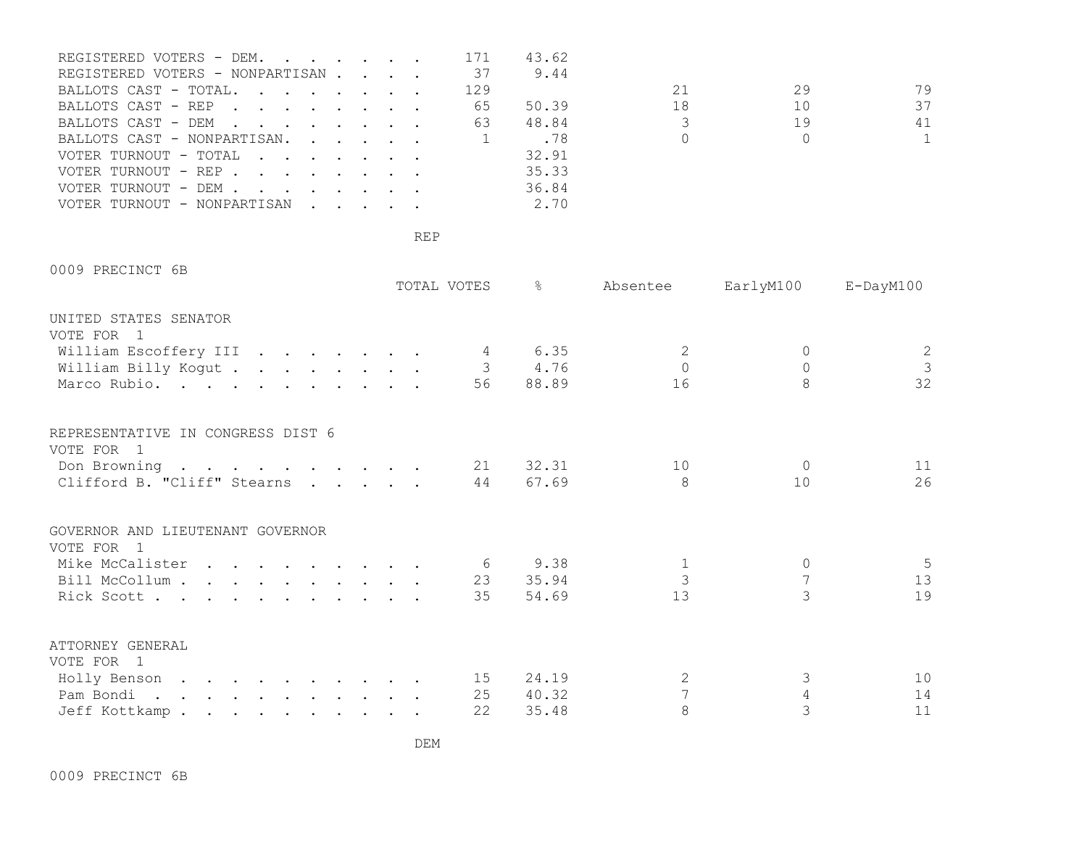| REGISTERED VOTERS - DEM. 171     |  |  |     | 43.62 |    |        |              |
|----------------------------------|--|--|-----|-------|----|--------|--------------|
| REGISTERED VOTERS - NONPARTISAN  |  |  | 37  | 9.44  |    |        |              |
| BALLOTS CAST - TOTAL.            |  |  | 129 |       | 21 | 29     | 79           |
| BALLOTS CAST - REP               |  |  | 65  | 50.39 | 18 | 10     | 37           |
| BALLOTS CAST - DEM               |  |  | 63  | 48.84 |    | 19     | 41           |
| BALLOTS CAST - NONPARTISAN       |  |  |     | .78   |    | $\cap$ | $\mathbf{1}$ |
| VOTER TURNOUT - TOTAL            |  |  |     | 32.91 |    |        |              |
| VOTER TURNOUT - REP              |  |  |     | 35.33 |    |        |              |
| VOTER TURNOUT - DEM              |  |  |     | 36.84 |    |        |              |
| VOTER TURNOUT - NONPARTISAN 2.70 |  |  |     |       |    |        |              |

0009 PRECINCT 6B

|                                     |  | TOTAL VOTES | $\approx$ | Absentee       | EarlyM100 E-DayM100 |                                       |
|-------------------------------------|--|-------------|-----------|----------------|---------------------|---------------------------------------|
| UNITED STATES SENATOR<br>VOTE FOR 1 |  |             |           |                |                     |                                       |
|                                     |  |             |           |                |                     |                                       |
| William Escoffery III 4 6.35        |  |             |           | 2              |                     | $\begin{array}{c} 2 \\ 3 \end{array}$ |
| William Billy Kogut 3 4.76          |  |             |           | $\Omega$       | $\circ$             |                                       |
| Marco Rubio.                        |  |             | 56 88.89  | 16             |                     | 32                                    |
| REPRESENTATIVE IN CONGRESS DIST 6   |  |             |           |                |                     |                                       |
| VOTE FOR 1                          |  |             |           |                |                     |                                       |
| Don Browning                        |  |             | 21 32.31  | 10             | $\Omega$            | 11                                    |
| Clifford B. "Cliff" Stearns         |  | 44          | 67.69     | 8              | 10                  | 26                                    |
|                                     |  |             |           |                |                     |                                       |
| GOVERNOR AND LIEUTENANT GOVERNOR    |  |             |           |                |                     |                                       |
| VOTE FOR 1                          |  |             |           |                |                     |                                       |
| Mike McCalister 6 9.38              |  |             |           | $\mathbf{1}$   | 0                   | - 5                                   |
| Bill McCollum 23 35.94              |  |             |           | $\mathcal{S}$  |                     | 13                                    |
| Rick Scott                          |  | 35          | 54.69     | 13             |                     | 19                                    |
| ATTORNEY GENERAL                    |  |             |           |                |                     |                                       |
| VOTE FOR 1                          |  |             |           |                |                     |                                       |
| Holly Benson 15                     |  |             | 24.19     | 2              | 3                   | 10                                    |
| Pam Bondi.                          |  | 25          | 40.32     | $\overline{7}$ |                     | 14                                    |
| Jeff Kottkamp                       |  | 22          | 35.48     | 8              | 3                   | 11                                    |
|                                     |  |             |           |                |                     |                                       |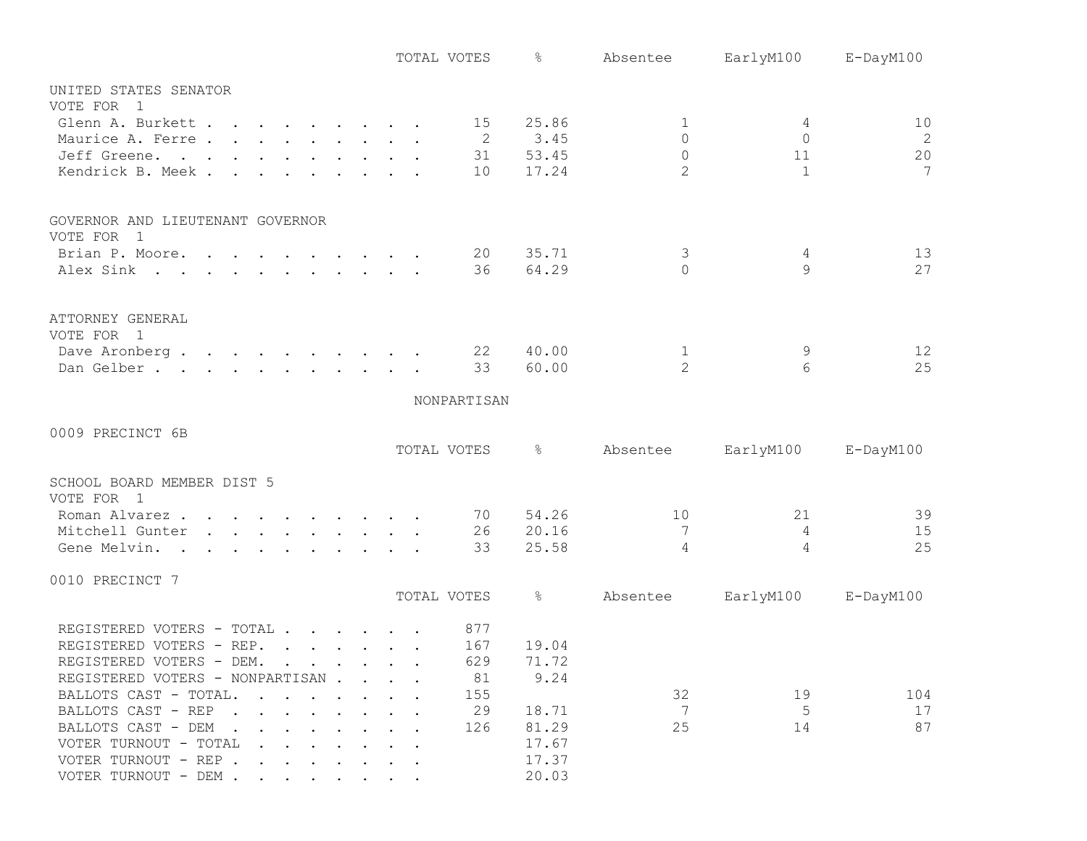|                                                                            | TOTAL VOTES | ိင            | Absentee       | EarlyM100      | E-DayM100 |
|----------------------------------------------------------------------------|-------------|---------------|----------------|----------------|-----------|
| UNITED STATES SENATOR                                                      |             |               |                |                |           |
| VOTE FOR 1                                                                 |             |               |                |                |           |
| Glenn A. Burkett 15 25.86                                                  |             |               | 1              | 4              | 10        |
| Maurice A. Ferre                                                           |             | 2 3.45        | $\Omega$       | $\Omega$       | 2         |
| Jeff Greene.                                                               |             | 31 53.45      | $\circ$        | 11             | 20        |
| Kendrick B. Meek.                                                          |             | 10 17.24      | $\overline{2}$ | $\overline{1}$ | 7         |
| GOVERNOR AND LIEUTENANT GOVERNOR                                           |             |               |                |                |           |
| VOTE FOR 1                                                                 |             |               |                |                |           |
| Brian P. Moore.                                                            | 20          | 35.71         | 3              | 4              | 13        |
| Alex Sink                                                                  | 36          | 64.29         | $\Omega$       | 9              | 27        |
| ATTORNEY GENERAL                                                           |             |               |                |                |           |
| VOTE FOR 1                                                                 |             |               |                |                |           |
| Dave Aronberg                                                              | 22          | 40.00         | $\mathbf{1}$   | 9              | 12        |
| Dan Gelber.                                                                | 33          | 60.00         | $\overline{2}$ | 6              | 25        |
|                                                                            | NONPARTISAN |               |                |                |           |
|                                                                            |             |               |                |                |           |
| 0009 PRECINCT 6B                                                           |             |               |                |                |           |
|                                                                            | TOTAL VOTES | $\frac{1}{6}$ | Absentee       | EarlyM100      | E-DayM100 |
| SCHOOL BOARD MEMBER DIST 5                                                 |             |               |                |                |           |
| VOTE FOR 1                                                                 |             |               |                |                |           |
| Roman Alvarez.                                                             | 70          | 54.26         | 10             | 21             | 39        |
| Mitchell Gunter                                                            | 26          | 20.16         | 7              | $\overline{4}$ | 15        |
| Gene Melvin.                                                               | 33          | 25.58         | 4              | 4              | 25        |
| 0010 PRECINCT 7                                                            |             |               |                |                |           |
|                                                                            | TOTAL VOTES | $\frac{1}{6}$ | Absentee       | EarlyM100      | E-DayM100 |
| REGISTERED VOTERS - TOTAL                                                  | 877         |               |                |                |           |
| REGISTERED VOTERS - REP.                                                   | 167         | 19.04         |                |                |           |
| REGISTERED VOTERS - DEM.                                                   | 629         | 71.72         |                |                |           |
| REGISTERED VOTERS - NONPARTISAN                                            | 81          | 9.24          |                |                |           |
| BALLOTS CAST - TOTAL.                                                      | 155         |               | 32             | 19             | 104       |
| BALLOTS CAST - REP                                                         | 29          | 18.71         | 7              | 5              | 17        |
| BALLOTS CAST - DEM                                                         | 126         | 81.29         | 25             | 14             | 87        |
| VOTER TURNOUT - TOTAL<br>$\mathbf{r}$ . The set of the set of $\mathbf{r}$ |             | 17.67         |                |                |           |
| VOTER TURNOUT - REP                                                        |             | 17.37         |                |                |           |
| VOTER TURNOUT - DEM                                                        |             | 20.03         |                |                |           |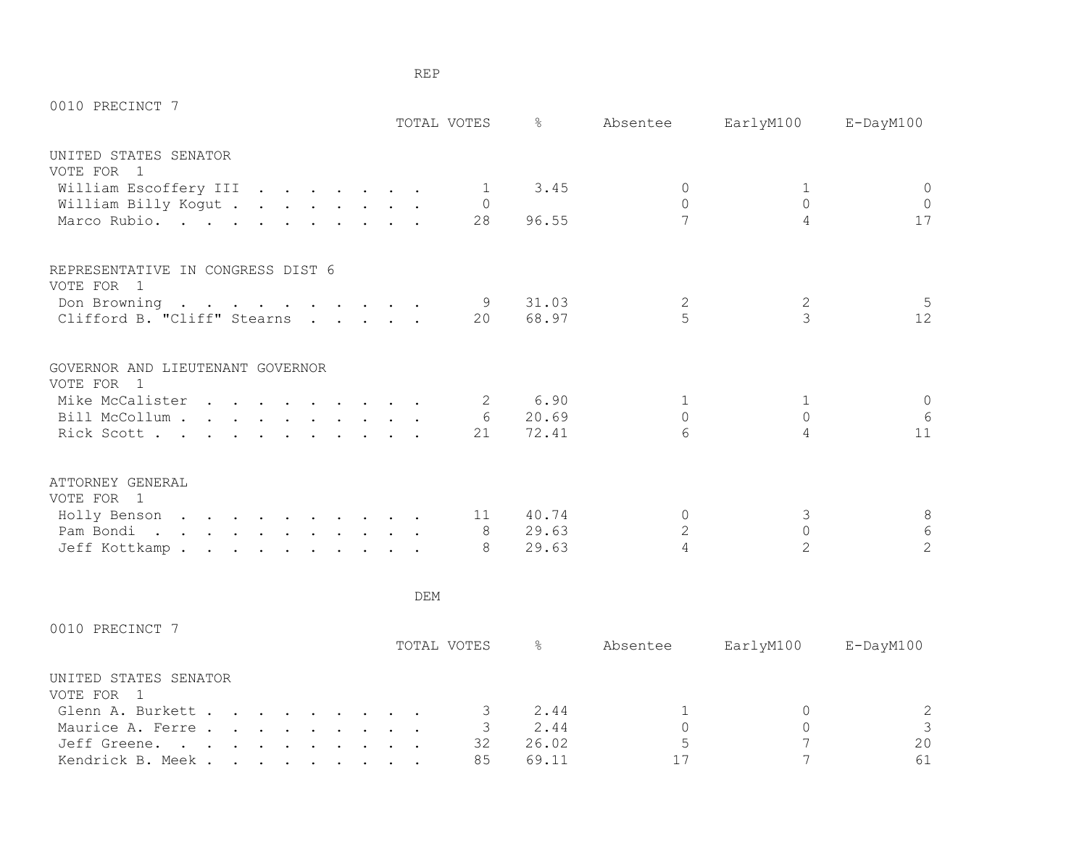| 0010 PRECINCT 7                                |  |            |                | TOTAL VOTES 8 |                | Absentee EarlyM100 | E-DayM100      |
|------------------------------------------------|--|------------|----------------|---------------|----------------|--------------------|----------------|
| UNITED STATES SENATOR                          |  |            |                |               |                |                    |                |
| VOTE FOR 1                                     |  |            |                |               |                |                    |                |
| William Escoffery III                          |  |            | $\overline{1}$ | 3.45          | $\Omega$       | 1                  | $\circ$        |
| William Billy Kogut                            |  |            | $\Omega$       |               | $\Omega$       | $\Omega$           | $\overline{0}$ |
| Marco Rubio.                                   |  |            | 28             | 96.55         | 7              | 4                  | 17             |
| REPRESENTATIVE IN CONGRESS DIST 6              |  |            |                |               |                |                    |                |
| VOTE FOR 1                                     |  |            |                |               |                |                    |                |
| Don Browning                                   |  |            | - 9            | 31.03         | 2              | 2                  | 5              |
| Clifford B. "Cliff" Stearns                    |  |            |                | 20 68.97      | $\overline{5}$ | $\overline{3}$     | 12             |
| GOVERNOR AND LIEUTENANT GOVERNOR<br>VOTE FOR 1 |  |            |                |               |                |                    |                |
| Mike McCalister 2                              |  |            |                | 6.90          | $\mathbf{1}$   | 1                  | $\circ$        |
| Bill McCollum                                  |  |            |                | 6 20.69       | $\bigcap$      | $\Omega$           | 6              |
| Rick Scott                                     |  |            | 21             | 72.41         | 6              | 4                  | 11             |
| ATTORNEY GENERAL<br>VOTE FOR 1                 |  |            |                |               |                |                    |                |
| Holly Benson                                   |  |            |                | 11 40.74      | $\Omega$       | 3                  | $\,8\,$        |
| Pam Bondi. 8                                   |  |            |                | 29.63         | $\overline{2}$ | $\circ$            | $\overline{6}$ |
| Jeff Kottkamp.                                 |  |            | $\mathcal{B}$  | 29.63         | 4              | $\overline{2}$     | $\overline{c}$ |
|                                                |  | <b>DEM</b> |                |               |                |                    |                |
| 0010 PRECINCT 7                                |  |            |                |               |                |                    |                |

| חחם<br>ヽ<br>-<br> |
|-------------------|
|-------------------|

|                                   |  |  |  |  | TOTAL VOTES | ⊁న    | Absentee | EarlyM100 | E-DayM100 |
|-----------------------------------|--|--|--|--|-------------|-------|----------|-----------|-----------|
| UNITED STATES SENATOR<br>VOTE FOR |  |  |  |  |             |       |          |           |           |
| Glenn A. Burkett                  |  |  |  |  |             | 2.44  |          |           | 2         |
| Maurice A. Ferre                  |  |  |  |  |             | 2.44  |          |           |           |
| Jeff Greene.                      |  |  |  |  | 32          | 26.02 |          |           | 20        |
| Kendrick B. Meek.                 |  |  |  |  | 85          | 69.11 |          |           | 61        |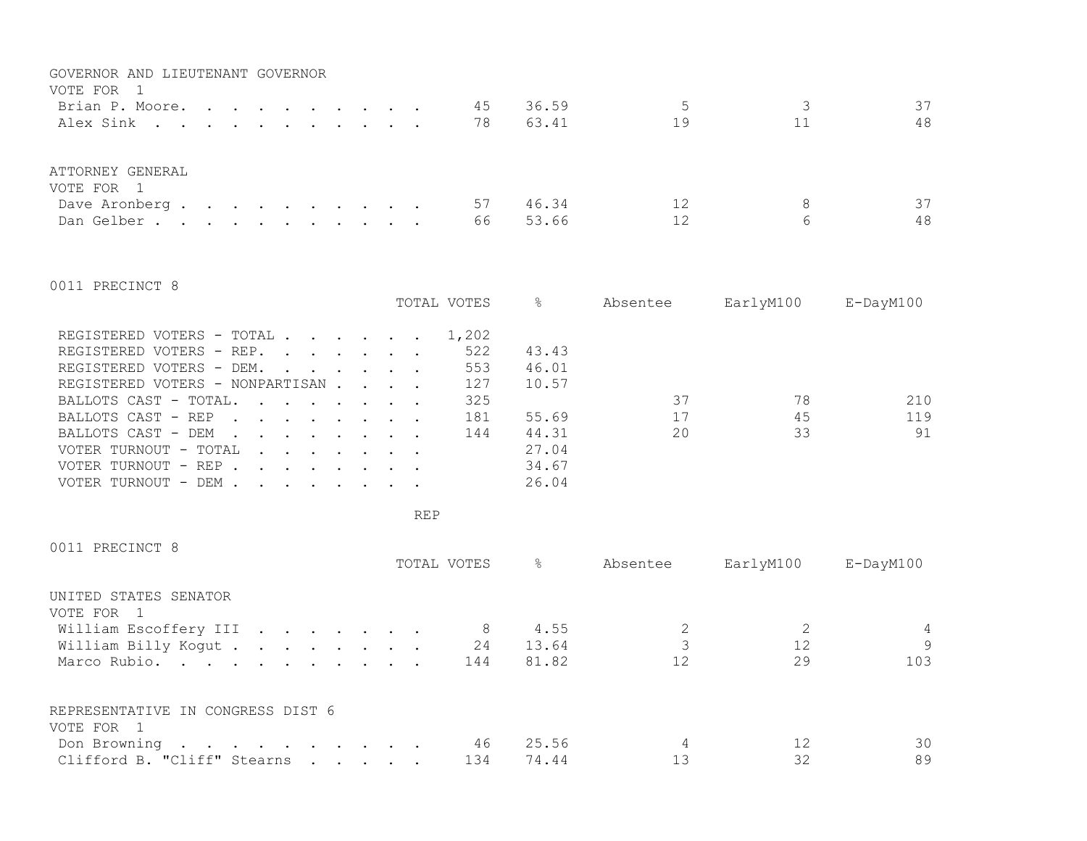| GOVERNOR AND LIEUTENANT GOVERNOR<br>VOTE FOR 1<br>Brian P. Moore.<br>Alex Sink |  |  |  |  | 45<br>78 | 36.59<br>63.41 | 19       | 37<br>48           |
|--------------------------------------------------------------------------------|--|--|--|--|----------|----------------|----------|--------------------|
| ATTORNEY GENERAL<br>VOTE FOR 1<br>Dave Aronberg.<br>Dan Gelber.                |  |  |  |  | 57<br>66 | 46.34<br>53.66 | 12<br>12 | 37<br>8<br>48<br>6 |

0011 PRECINCT 8

|                                                                                                                                                                                                                                                         |  | TOTAL VOTES | &     | Absentee | EarlyM100 | $E$ -DayM $100$ |
|---------------------------------------------------------------------------------------------------------------------------------------------------------------------------------------------------------------------------------------------------------|--|-------------|-------|----------|-----------|-----------------|
| REGISTERED VOTERS - TOTAL                                                                                                                                                                                                                               |  | 1,202       |       |          |           |                 |
| REGISTERED VOTERS - REP.                                                                                                                                                                                                                                |  | 522         | 43.43 |          |           |                 |
| REGISTERED VOTERS - DEM.                                                                                                                                                                                                                                |  | 553         | 46.01 |          |           |                 |
| REGISTERED VOTERS - NONPARTISAN                                                                                                                                                                                                                         |  | 127         | 10.57 |          |           |                 |
| BALLOTS CAST - TOTAL.                                                                                                                                                                                                                                   |  | 325         |       | 37       | 78        | 210             |
| BALLOTS CAST - REP                                                                                                                                                                                                                                      |  | 181         | 55.69 | 17       | 45        | 119             |
| BALLOTS CAST - DEM<br>$\mathbf{r}$ . The set of the set of the set of the set of the set of the set of the set of the set of the set of the set of the set of the set of the set of the set of the set of the set of the set of the set of the set of t |  | 144         | 44.31 | 20       | 33        | 91              |
| VOTER TURNOUT - TOTAL<br>$\mathbf{r}$ , $\mathbf{r}$ , $\mathbf{r}$ , $\mathbf{r}$ , $\mathbf{r}$                                                                                                                                                       |  |             | 27.04 |          |           |                 |
| VOTER TURNOUT - REP<br>$\mathbf{r}$ , $\mathbf{r}$ , $\mathbf{r}$ , $\mathbf{r}$ , $\mathbf{r}$                                                                                                                                                         |  |             | 34.67 |          |           |                 |
| VOTER TURNOUT - DEM .<br>$\mathbf{r}$ , and $\mathbf{r}$ , and $\mathbf{r}$ , and $\mathbf{r}$ , and $\mathbf{r}$                                                                                                                                       |  |             | 26.04 |          |           |                 |

REP

0011 PRECINCT 8

|                                                     |  | TOTAL VOTES | ⊱     | Absentee | EarlyM100 | E-DayM100    |
|-----------------------------------------------------|--|-------------|-------|----------|-----------|--------------|
| UNITED STATES SENATOR<br>VOTE FOR<br>$\blacksquare$ |  |             |       |          |           |              |
| William Escoffery III                               |  | 8           | 4.55  |          |           | 4            |
| William Billy Kogut                                 |  | 24          | 13.64 |          | 12        | $\mathsf{Q}$ |
| Marco Rubio.                                        |  | 144         | 81.82 | 12       | 29        | 103          |
| REPRESENTATIVE IN CONGRESS DIST 6                   |  |             |       |          |           |              |
| VOTE FOR 1                                          |  |             |       |          |           |              |
| Don Browning                                        |  | 46          | 25.56 | 4        | 12        | 30           |
| Clifford B. "Cliff" Stearns                         |  | 134         | 74.44 |          | 32        | 89           |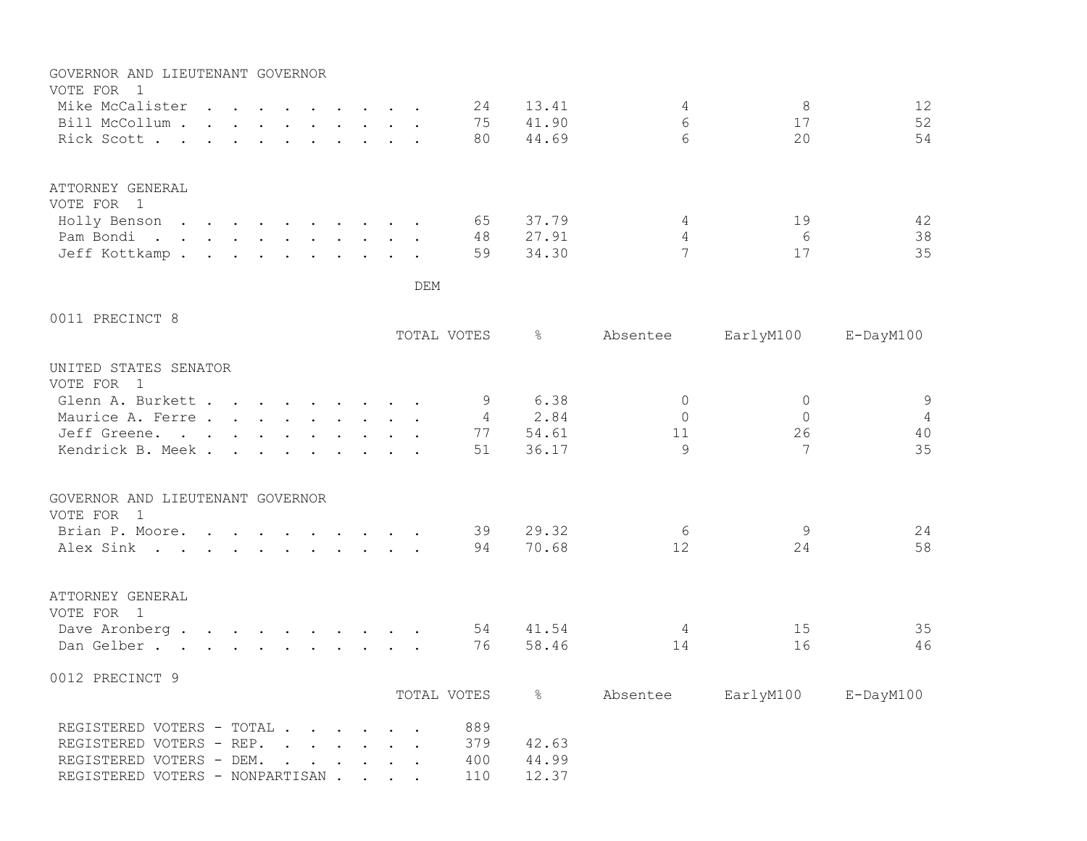| GOVERNOR AND LIEUTENANT GOVERNOR<br>VOTE FOR 1                                                                               |  |     |                |               |                   |              |                 |
|------------------------------------------------------------------------------------------------------------------------------|--|-----|----------------|---------------|-------------------|--------------|-----------------|
| Mike McCalister                                                                                                              |  |     | 24             | 13.41         | 4                 | 8            | 12              |
| Bill McCollum                                                                                                                |  |     | 75             | 41.90         | 6                 | 17           | 52              |
| Rick Scott                                                                                                                   |  |     | 80             | 44.69         | 6                 | 20           | 54              |
|                                                                                                                              |  |     |                |               |                   |              |                 |
| ATTORNEY GENERAL<br>VOTE FOR 1                                                                                               |  |     |                |               |                   |              |                 |
| Holly Benson                                                                                                                 |  |     | 65             | 37.79         | 4                 | 19           | 42              |
| Pam Bondi.                                                                                                                   |  |     | 48             | 27.91         | 4                 | 6            | 38              |
| Jeff Kottkamp.                                                                                                               |  |     | 59             | 34.30         | 7                 | 17           | 35              |
|                                                                                                                              |  | DEM |                |               |                   |              |                 |
| 0011 PRECINCT 8                                                                                                              |  |     |                |               |                   |              |                 |
|                                                                                                                              |  |     | TOTAL VOTES    | $\frac{6}{6}$ | Absentee          | EarlyM100    | $E$ -DayM $100$ |
| UNITED STATES SENATOR<br>VOTE FOR 1                                                                                          |  |     |                |               |                   |              |                 |
| Glenn A. Burkett                                                                                                             |  |     | 9              | 6.38          | $\Omega$          | $\Omega$     | $\overline{9}$  |
| Maurice A. Ferre.                                                                                                            |  |     | $\overline{4}$ | 2.84          | $\bigcap$         | $\mathbf{0}$ | $\overline{4}$  |
| Jeff Greene.                                                                                                                 |  |     | 77             | 54.61         | 11                | 26           | 40              |
| Kendrick B. Meek.<br>$\mathbf{r}$ , $\mathbf{r}$ , $\mathbf{r}$<br>$\mathbf{r}$ , $\mathbf{r}$ , $\mathbf{r}$ , $\mathbf{r}$ |  |     | 51             | 36.17         | 9                 | 7            | 35              |
| GOVERNOR AND LIEUTENANT GOVERNOR<br>VOTE FOR 1                                                                               |  |     |                |               |                   |              |                 |
|                                                                                                                              |  |     |                |               |                   |              |                 |
| Brian P. Moore.                                                                                                              |  |     | 39             | 29.32         | 6                 | 9            | 24              |
| Alex Sink                                                                                                                    |  |     | 94             | 70.68         | $12 \overline{ }$ | 24           | 58              |
| ATTORNEY GENERAL<br>VOTE FOR 1                                                                                               |  |     |                |               |                   |              |                 |
| Dave Aronberg.                                                                                                               |  |     | 54             | 41.54         | 4                 | 15           | 35              |
| Dan Gelber.                                                                                                                  |  |     | 76             | 58.46         | 14                | 16           | 46              |
| 0012 PRECINCT 9                                                                                                              |  |     |                |               |                   |              |                 |
|                                                                                                                              |  |     | TOTAL VOTES    | $\frac{6}{6}$ | Absentee          | EarlyM100    | $E$ -DayM $100$ |
| REGISTERED VOTERS - TOTAL                                                                                                    |  |     | 889            |               |                   |              |                 |
| REGISTERED VOTERS - REP.                                                                                                     |  |     | 379            | 42.63         |                   |              |                 |
| REGISTERED VOTERS - DEM.<br>$\cdot$ $\cdot$ $\cdot$ $\cdot$ $\cdot$ $\cdot$ $\cdot$                                          |  |     | 400            | 44.99         |                   |              |                 |
| REGISTERED VOTERS - NONPARTISAN                                                                                              |  |     | 110            | 12.37         |                   |              |                 |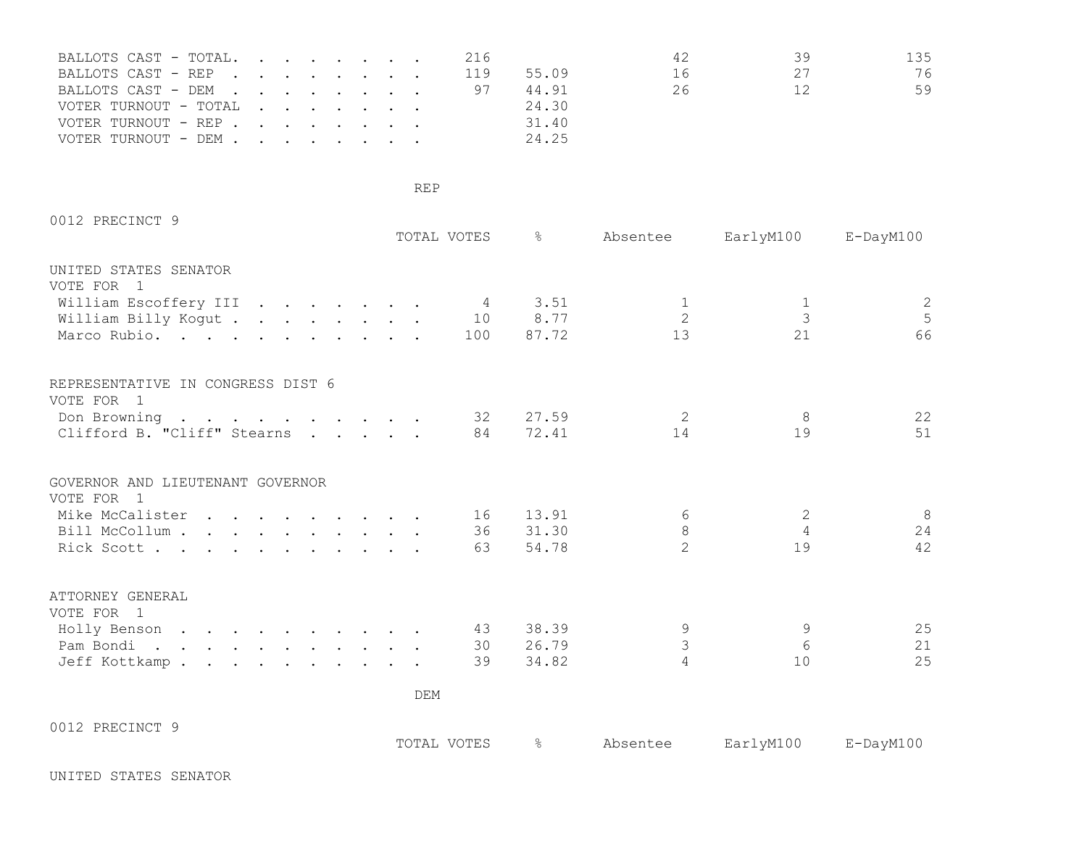| BALLOTS CAST - TOTAL. |  |  |  | 216 |       | 42 | 39 | 135 |
|-----------------------|--|--|--|-----|-------|----|----|-----|
| BALLOTS CAST - REP    |  |  |  | 119 | 55.09 | 16 | 27 | 76  |
| BALLOTS CAST - DEM    |  |  |  |     | 44.91 | 26 | 12 | 59  |
| VOTER TURNOUT - TOTAL |  |  |  |     | 24.30 |    |    |     |
| VOTER TURNOUT - REP   |  |  |  |     | 31.40 |    |    |     |
| VOTER TURNOUT - DEM   |  |  |  |     | 24.25 |    |    |     |

| 0012 PRECINCT 9                                 |  |             |                |          |                |                |                 |
|-------------------------------------------------|--|-------------|----------------|----------|----------------|----------------|-----------------|
|                                                 |  | TOTAL VOTES |                | - 옹      | Absentee       | EarlyM100      | $E$ -DayM $100$ |
| UNITED STATES SENATOR<br>VOTE FOR 1             |  |             |                |          |                |                |                 |
| William Escoffery III                           |  |             | $\overline{4}$ | 3.51     | 1              | 1              | $\mathbf{Z}$    |
| William Billy Kogut                             |  |             | 10             | 8.77     | $\overline{2}$ | 3              | 5               |
| Marco Rubio.                                    |  |             | 100            | 87.72    | 13             | 21             | 66              |
| REPRESENTATIVE IN CONGRESS DIST 6<br>VOTE FOR 1 |  |             |                |          |                |                |                 |
|                                                 |  |             | 32             | 27.59    | 2              | 8              | 22              |
| Don Browning<br>Clifford B. "Cliff" Stearns     |  |             | 84             | 72.41    | 14             | 19             | 51              |
|                                                 |  |             |                |          |                |                |                 |
| GOVERNOR AND LIEUTENANT GOVERNOR<br>VOTE FOR 1  |  |             |                |          |                |                |                 |
| Mike McCalister                                 |  |             | 16             | 13.91    | 6              | $\mathbf{2}$   | 8               |
| Bill McCollum                                   |  |             |                | 36 31.30 | 8              | $\overline{4}$ | 24              |
| Rick Scott                                      |  |             | 63             | 54.78    | $\mathcal{L}$  | 19             | 42              |
| ATTORNEY GENERAL                                |  |             |                |          |                |                |                 |
| VOTE FOR 1                                      |  |             |                |          |                |                |                 |
| Holly Benson                                    |  |             | 43             | 38.39    | 9              | 9              | 25              |
| Pam Bondi.                                      |  |             | 30             | 26.79    | 3              | 6              | 21              |
| Jeff Kottkamp.                                  |  |             | 39             | 34.82    | 4              | 10             | 25              |
|                                                 |  | <b>DEM</b>  |                |          |                |                |                 |
| 0012 PRECINCT 9                                 |  |             |                |          |                |                |                 |
|                                                 |  | TOTAL VOTES |                | ိင       | Absentee       | EarlyM100      | $E$ -DayM $100$ |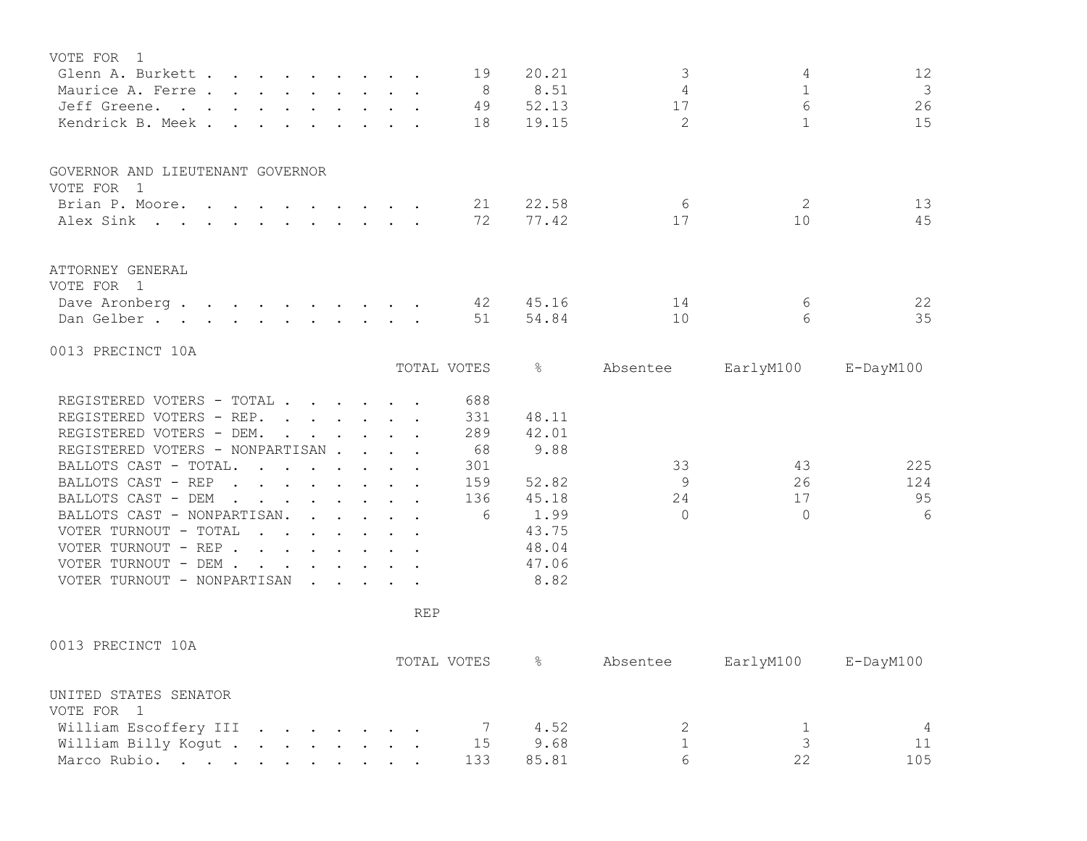| VOTE FOR<br>$\overline{1}$<br>Glenn A. Burkett                                                                                                                                                                                                          |            | 19          | 20.21     | 3              | 4               | 12              |
|---------------------------------------------------------------------------------------------------------------------------------------------------------------------------------------------------------------------------------------------------------|------------|-------------|-----------|----------------|-----------------|-----------------|
| Maurice A. Ferre                                                                                                                                                                                                                                        |            | 8           | 8.51      | 4              | $\mathbf{1}$    | $\mathcal{S}$   |
| Jeff Greene.                                                                                                                                                                                                                                            |            | 49          | 52.13     | 17             | 6               | 26              |
| Kendrick B. Meek.                                                                                                                                                                                                                                       |            | 18          | 19.15     | $\overline{2}$ | $\mathbf{1}$    | 15              |
|                                                                                                                                                                                                                                                         |            |             |           |                |                 |                 |
| GOVERNOR AND LIEUTENANT GOVERNOR<br>VOTE FOR 1                                                                                                                                                                                                          |            |             |           |                |                 |                 |
| Brian P. Moore.                                                                                                                                                                                                                                         |            | 21          | 22.58     | 6              | 2               | 13              |
| Alex Sink                                                                                                                                                                                                                                               |            | 72          | 77.42     | 17             | 10              | 45              |
| ATTORNEY GENERAL<br>VOTE FOR 1                                                                                                                                                                                                                          |            |             |           |                |                 |                 |
| Dave Aronberg                                                                                                                                                                                                                                           |            | 42          | 45.16     | 14             | 6               | 22              |
| Dan Gelber.                                                                                                                                                                                                                                             |            | 51          | 54.84     | 10             | $6\overline{6}$ | 35              |
|                                                                                                                                                                                                                                                         |            |             |           |                |                 |                 |
| 0013 PRECINCT 10A                                                                                                                                                                                                                                       |            |             |           |                |                 |                 |
|                                                                                                                                                                                                                                                         |            | TOTAL VOTES | $\approx$ | Absentee       | EarlyM100       | E-DayM100       |
| REGISTERED VOTERS - TOTAL                                                                                                                                                                                                                               |            | 688         |           |                |                 |                 |
| REGISTERED VOTERS - REP.                                                                                                                                                                                                                                |            | 331         | 48.11     |                |                 |                 |
| REGISTERED VOTERS - DEM.                                                                                                                                                                                                                                |            | 289         | 42.01     |                |                 |                 |
| REGISTERED VOTERS - NONPARTISAN                                                                                                                                                                                                                         |            | 68          | 9.88      |                |                 |                 |
| BALLOTS CAST - TOTAL.<br>$\mathcal{A}$ . The set of the set of the set of $\mathcal{A}$                                                                                                                                                                 |            | 301         |           | 33             | 43              | 225             |
| BALLOTS CAST - REP<br>$\mathbf{r}$ , $\mathbf{r}$ , $\mathbf{r}$ , $\mathbf{r}$ , $\mathbf{r}$ , $\mathbf{r}$                                                                                                                                           |            | 159         | 52.82     | 9              | 26              | 124             |
| BALLOTS CAST - DEM<br>$\mathbf{r}$ . The set of the set of the set of the set of the set of the set of the set of the set of the set of the set of the set of the set of the set of the set of the set of the set of the set of the set of the set of t |            | 136         | 45.18     | 24             | 17              | 95              |
| BALLOTS CAST - NONPARTISAN.<br>$\mathbf{r}$ . The set of $\mathbf{r}$                                                                                                                                                                                   |            | 6           | 1.99      | $\bigcap$      | $\Omega$        | 6               |
| VOTER TURNOUT - TOTAL                                                                                                                                                                                                                                   |            |             | 43.75     |                |                 |                 |
| VOTER TURNOUT - REP                                                                                                                                                                                                                                     |            |             | 48.04     |                |                 |                 |
| VOTER TURNOUT - DEM                                                                                                                                                                                                                                     |            |             | 47.06     |                |                 |                 |
| VOTER TURNOUT - NONPARTISAN                                                                                                                                                                                                                             |            |             | 8.82      |                |                 |                 |
|                                                                                                                                                                                                                                                         | <b>REP</b> |             |           |                |                 |                 |
| 0013 PRECINCT 10A                                                                                                                                                                                                                                       |            |             |           |                |                 |                 |
|                                                                                                                                                                                                                                                         |            | TOTAL VOTES | န္        | Absentee       | EarlyM100       | $E$ -DayM $100$ |
| UNITED STATES SENATOR                                                                                                                                                                                                                                   |            |             |           |                |                 |                 |

| VOTE FOR 1                   |  |  |  |  |      |  |     |
|------------------------------|--|--|--|--|------|--|-----|
| William Escoffery III 7 4.52 |  |  |  |  |      |  |     |
| William Billy Kogut 15       |  |  |  |  | 9.68 |  |     |
| Marco Rubio. 133 85.81       |  |  |  |  |      |  | 105 |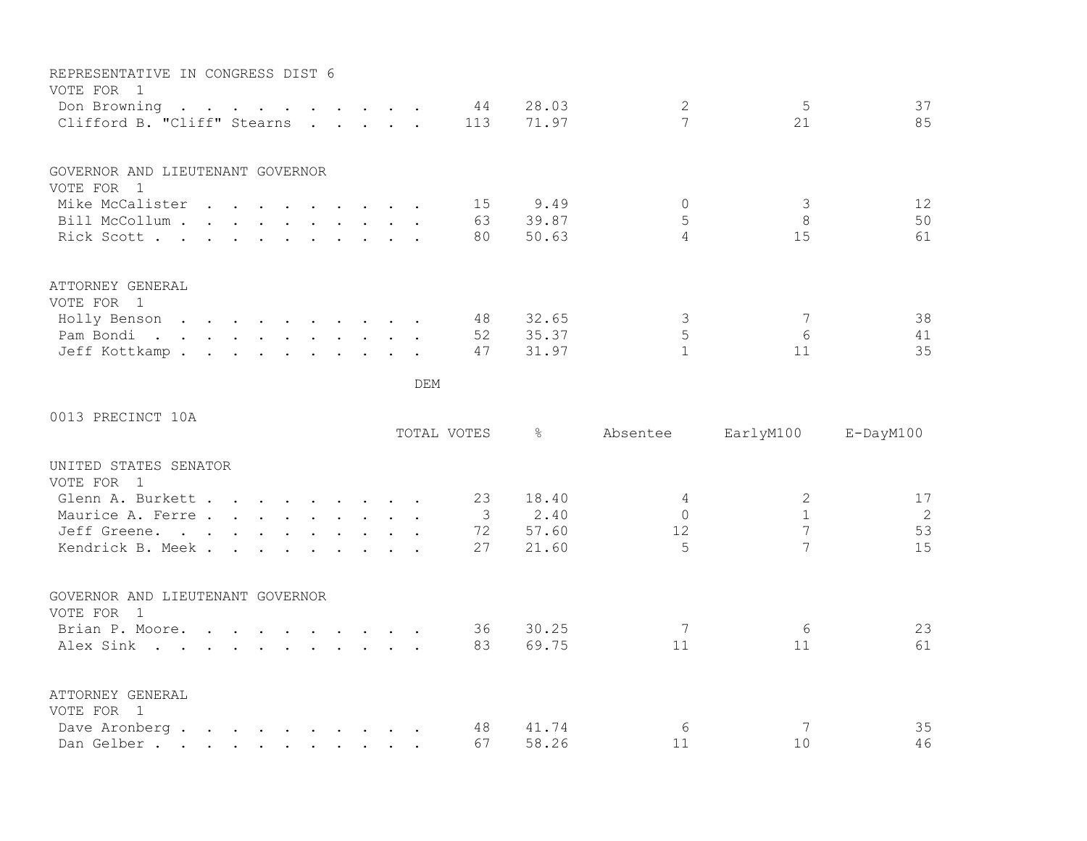| REPRESENTATIVE IN CONGRESS DIST 6                                                                                                                     |  |  |  |  |     |                |                |                     |                |                 |
|-------------------------------------------------------------------------------------------------------------------------------------------------------|--|--|--|--|-----|----------------|----------------|---------------------|----------------|-----------------|
| VOTE FOR 1<br>Don Browning<br>$\mathbf{r}$ , and $\mathbf{r}$ , and $\mathbf{r}$ , and $\mathbf{r}$ , and $\mathbf{r}$<br>Clifford B. "Cliff" Stearns |  |  |  |  |     | 44<br>113      | 28.03<br>71.97 | $\mathbf{2}$<br>7   | 5<br>21        | 37<br>85        |
|                                                                                                                                                       |  |  |  |  |     |                |                |                     |                |                 |
| GOVERNOR AND LIEUTENANT GOVERNOR                                                                                                                      |  |  |  |  |     |                |                |                     |                |                 |
| VOTE FOR 1                                                                                                                                            |  |  |  |  |     |                |                |                     |                |                 |
| Mike McCalister                                                                                                                                       |  |  |  |  |     | 15<br>63       | 9.49<br>39.87  | $\Omega$            | 3<br>8         | 12<br>50        |
| Bill McCollum                                                                                                                                         |  |  |  |  |     |                | 50.63          | 5<br>$\overline{4}$ |                |                 |
| Rick Scott                                                                                                                                            |  |  |  |  |     | 80             |                |                     | 15             | 61              |
| ATTORNEY GENERAL                                                                                                                                      |  |  |  |  |     |                |                |                     |                |                 |
| VOTE FOR 1                                                                                                                                            |  |  |  |  |     |                |                |                     |                |                 |
| Holly Benson                                                                                                                                          |  |  |  |  |     | 48             | 32.65          | $\mathcal{S}$       | 7              | 38              |
| Pam Bondi.                                                                                                                                            |  |  |  |  |     | 52             | 35.37          | $\mathsf S$         | 6              | 41              |
| Jeff Kottkamp.                                                                                                                                        |  |  |  |  |     | 47             | 31.97          | $\mathbf{1}$        | 11             | 35              |
|                                                                                                                                                       |  |  |  |  | DEM |                |                |                     |                |                 |
| 0013 PRECINCT 10A                                                                                                                                     |  |  |  |  |     |                |                |                     |                |                 |
|                                                                                                                                                       |  |  |  |  |     | TOTAL VOTES    | $\frac{6}{6}$  | Absentee            | EarlyM100      | $E$ -DayM $100$ |
| UNITED STATES SENATOR<br>VOTE FOR 1                                                                                                                   |  |  |  |  |     |                |                |                     |                |                 |
| Glenn A. Burkett                                                                                                                                      |  |  |  |  |     | 23             | 18.40          | 4                   | 2              | 17              |
| Maurice A. Ferre                                                                                                                                      |  |  |  |  |     | $\overline{3}$ | 2.40           | $\Omega$            | $\mathbf{1}$   | 2               |
| Jeff Greene.                                                                                                                                          |  |  |  |  |     | 72             | 57.60          | 12                  | $\overline{7}$ | 53              |
| Kendrick B. Meek.                                                                                                                                     |  |  |  |  |     | 27             | 21.60          | 5                   | 7              | 15              |
|                                                                                                                                                       |  |  |  |  |     |                |                |                     |                |                 |
| GOVERNOR AND LIEUTENANT GOVERNOR                                                                                                                      |  |  |  |  |     |                |                |                     |                |                 |
| VOTE FOR 1                                                                                                                                            |  |  |  |  |     |                |                |                     |                |                 |
| Brian P. Moore.                                                                                                                                       |  |  |  |  |     | 36             | 30.25          | 7                   | 6              | 23              |
| Alex Sink                                                                                                                                             |  |  |  |  |     | 83             | 69.75          | 11                  | 11             | 61              |
| ATTORNEY GENERAL                                                                                                                                      |  |  |  |  |     |                |                |                     |                |                 |
| VOTE FOR 1                                                                                                                                            |  |  |  |  |     |                |                |                     |                |                 |
| Dave Aronberg                                                                                                                                         |  |  |  |  |     | 48             | 41.74          | 6                   | 7              | 35              |
| Dan Gelber.                                                                                                                                           |  |  |  |  |     | 67             | 58.26          | 11                  | 10             | 46              |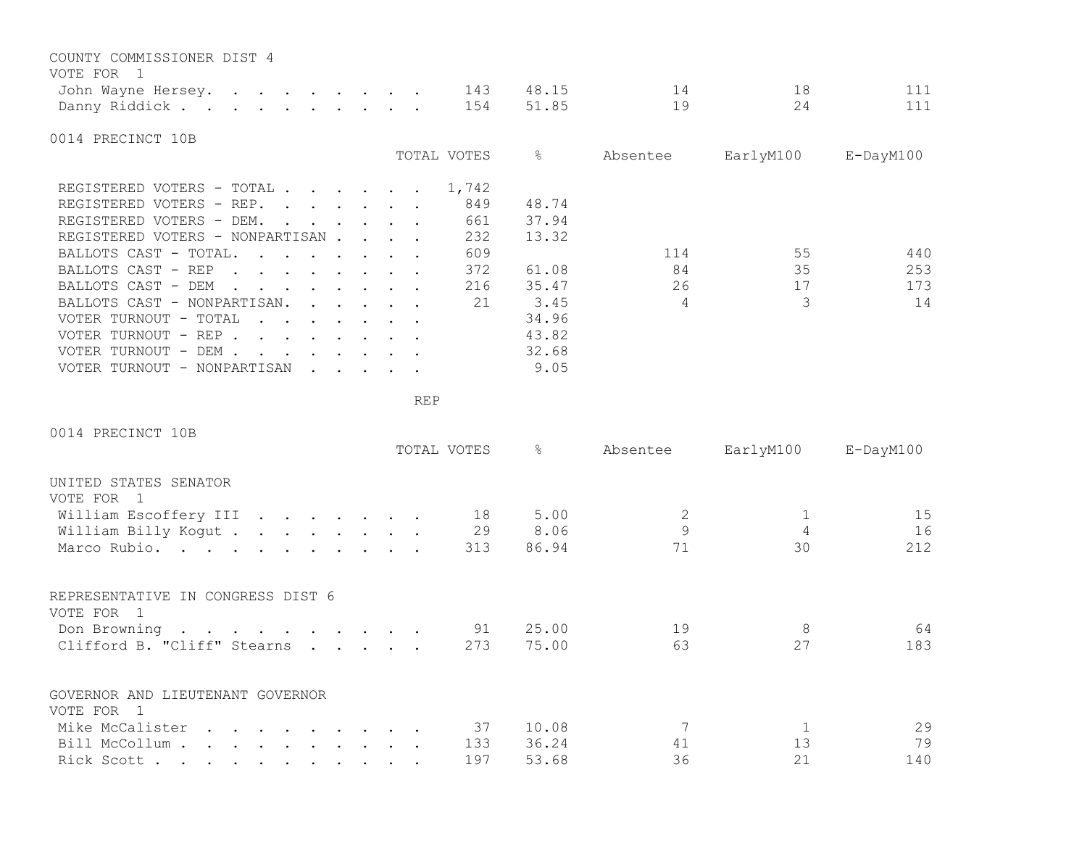| COUNTY COMMISSIONER DIST 4                                                                                     |                                                                                                                                     |  |             |           |          |           |           |
|----------------------------------------------------------------------------------------------------------------|-------------------------------------------------------------------------------------------------------------------------------------|--|-------------|-----------|----------|-----------|-----------|
| VOTE FOR 1                                                                                                     |                                                                                                                                     |  |             |           | 14       | 18        | 111       |
| John Wayne Hersey.                                                                                             |                                                                                                                                     |  | 143         | 48.15     |          |           |           |
| Danny Riddick                                                                                                  |                                                                                                                                     |  | 154         | 51.85     | 19       | 24        | 111       |
| 0014 PRECINCT 10B                                                                                              |                                                                                                                                     |  |             |           |          |           |           |
|                                                                                                                |                                                                                                                                     |  | TOTAL VOTES | $\approx$ | Absentee | EarlyM100 | E-DayM100 |
| REGISTERED VOTERS - TOTAL .<br>$\mathbf{r}$ , and $\mathbf{r}$ , and $\mathbf{r}$                              |                                                                                                                                     |  | 1,742       |           |          |           |           |
| REGISTERED VOTERS - REP.                                                                                       |                                                                                                                                     |  | 849         | 48.74     |          |           |           |
| REGISTERED VOTERS - DEM.<br>$\cdot$                                                                            |                                                                                                                                     |  | 661         | 37.94     |          |           |           |
| REGISTERED VOTERS - NONPARTISAN                                                                                |                                                                                                                                     |  | 232         | 13.32     |          |           |           |
| BALLOTS CAST - TOTAL.                                                                                          |                                                                                                                                     |  | 609         |           | 114      | 55        | 440       |
| BALLOTS CAST - REP<br>$\mathbf{r}$ , and $\mathbf{r}$ , and $\mathbf{r}$ , and $\mathbf{r}$                    |                                                                                                                                     |  | 372         | 61.08     | 84       | 35        | 253       |
| BALLOTS CAST - DEM<br>$\mathbf{r}$ , and $\mathbf{r}$ , and $\mathbf{r}$ , and $\mathbf{r}$ , and $\mathbf{r}$ |                                                                                                                                     |  | 216         | 35.47     | 26       | 17        | 173       |
| BALLOTS CAST - NONPARTISAN.                                                                                    | $\begin{array}{cccccccccccccc} \bullet & \bullet & \bullet & \bullet & \bullet & \bullet & \bullet & \bullet & \bullet \end{array}$ |  | 21          | 3.45      | 4        | 3         | 14        |
| VOTER TURNOUT - TOTAL<br>$\mathbf{L} = \mathbf{L} \mathbf{L}$<br>$\cdot$ $\cdot$ $\cdot$ $\cdot$ $\cdot$       |                                                                                                                                     |  |             | 34.96     |          |           |           |
| VOTER TURNOUT - REP.<br>$\mathbf{r}$ , and $\mathbf{r}$ , and $\mathbf{r}$ , and $\mathbf{r}$                  |                                                                                                                                     |  |             | 43.82     |          |           |           |
| VOTER TURNOUT - DEM .<br>$\mathbf{A}$ and $\mathbf{A}$ and $\mathbf{A}$                                        | $\cdot$ $\cdot$ $\cdot$ $\cdot$ $\cdot$                                                                                             |  |             | 32.68     |          |           |           |
| VOTER TURNOUT - NONPARTISAN<br>$\ddot{\phantom{0}}$                                                            | $\mathcal{L}(\mathbf{r},\mathbf{r})$ , and the contribution of $\mathcal{L}(\mathbf{r},\mathbf{r})$                                 |  |             | 9.05      |          |           |           |

| 0014 PRECINCT 10B                                                                                                                 | TOTAL VOTES | န္    | Absentee | EarlyM100      | $E$ -DayM $100$ |
|-----------------------------------------------------------------------------------------------------------------------------------|-------------|-------|----------|----------------|-----------------|
|                                                                                                                                   |             |       |          |                |                 |
| UNITED STATES SENATOR<br>VOTE FOR<br>$\sqrt{1}$                                                                                   |             |       |          |                |                 |
| William Escoffery III                                                                                                             | 18          | 5.00  | 2        |                | 15              |
| William Billy Kogut                                                                                                               | 29          | 8.06  | 9        | $\overline{4}$ | 16              |
| Marco Rubio.                                                                                                                      | 313         | 86.94 | 71       | 30             | 212             |
| REPRESENTATIVE IN CONGRESS DIST 6<br>VOTE FOR 1                                                                                   |             |       |          |                |                 |
| Don Browning                                                                                                                      | 91          | 25.00 | 19       | 8              | 64              |
| Clifford B. "Cliff" Stearns<br>$\cdot$ $\cdot$ $\cdot$ $\cdot$ $\cdot$                                                            | 273         | 75.00 | 63       | 27             | 183             |
| GOVERNOR AND LIEUTENANT GOVERNOR<br>VOTE FOR 1                                                                                    |             |       |          |                |                 |
| Mike McCalister                                                                                                                   | 37          | 10.08 |          |                | 29              |
| Bill McCollum.<br>the contract of the contract of the contract of the contract of the contract of the contract of the contract of | 133         | 36.24 | 41       | 13             | 79              |
| Rick Scott.<br>$\mathbf{r}$ , and $\mathbf{r}$ , and $\mathbf{r}$ , and $\mathbf{r}$ , and $\mathbf{r}$                           | 197         | 53.68 | 36       | 21             | 140             |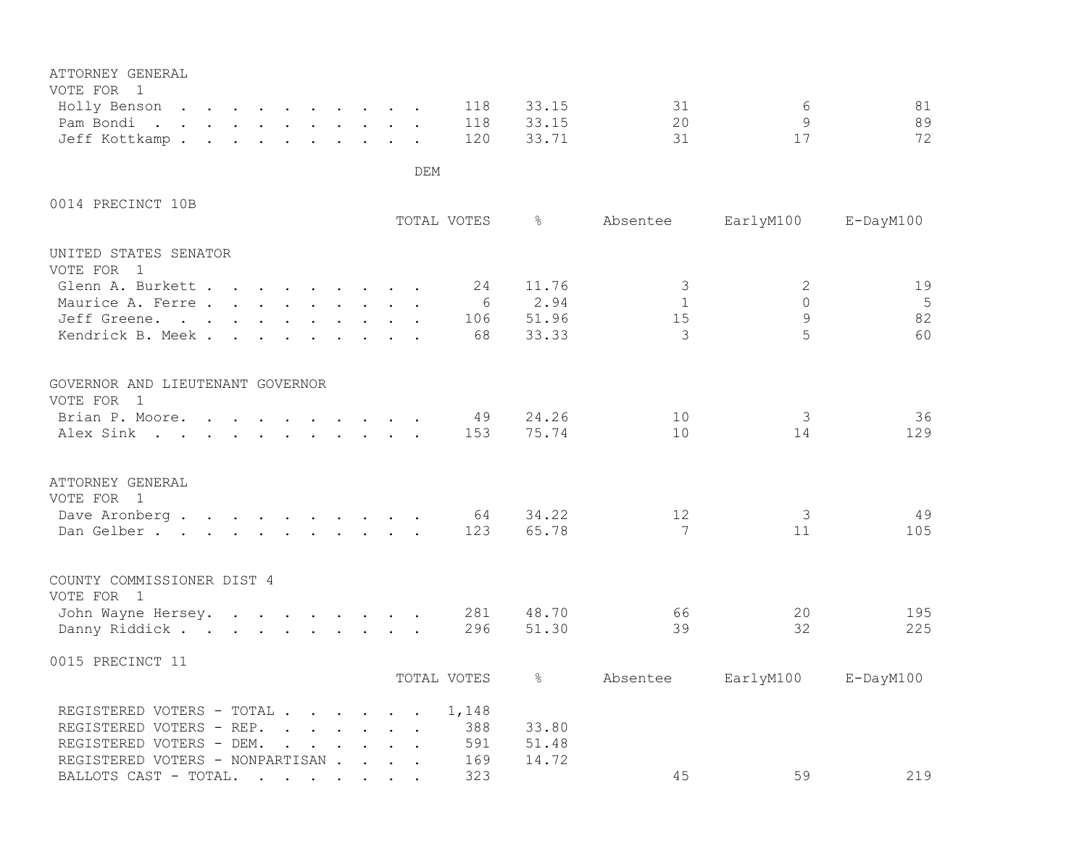| ATTORNEY GENERAL<br>VOTE FOR 1                                                                                      |                                                                                         |                                        |          |  |     |             |               |                   |               |                 |
|---------------------------------------------------------------------------------------------------------------------|-----------------------------------------------------------------------------------------|----------------------------------------|----------|--|-----|-------------|---------------|-------------------|---------------|-----------------|
| Holly Benson                                                                                                        |                                                                                         |                                        |          |  |     | 118         | 33.15         | 31                | 6             | 81              |
| Pam Bondi<br>$\mathbf{r}$ , $\mathbf{r}$ , $\mathbf{r}$ , $\mathbf{r}$ , $\mathbf{r}$ , $\mathbf{r}$ , $\mathbf{r}$ |                                                                                         |                                        |          |  |     | 118         | 33.15         | 20                | $\mathcal{G}$ | 89              |
| Jeff Kottkamp.                                                                                                      |                                                                                         |                                        |          |  |     | 120         | 33.71         | 31                | 17            | 72              |
|                                                                                                                     |                                                                                         |                                        |          |  | DEM |             |               |                   |               |                 |
| 0014 PRECINCT 10B                                                                                                   |                                                                                         |                                        |          |  |     |             |               |                   |               |                 |
|                                                                                                                     |                                                                                         |                                        |          |  |     | TOTAL VOTES | $\frac{6}{6}$ | Absentee          | EarlyM100     | E-DayM100       |
| UNITED STATES SENATOR<br>VOTE FOR 1                                                                                 |                                                                                         |                                        |          |  |     |             |               |                   |               |                 |
| Glenn A. Burkett                                                                                                    |                                                                                         |                                        |          |  |     | 24          | 11.76         | $\mathcal{S}$     | 2             | 19              |
| Maurice A. Ferre.                                                                                                   |                                                                                         |                                        |          |  |     | 6           | 2.94          | $\mathbf{1}$      | $\Omega$      | 5               |
| Jeff Greene.                                                                                                        |                                                                                         |                                        |          |  |     | 106         | 51.96         | 15                | 9             | 82              |
| Kendrick B. Meek.                                                                                                   | $\ddot{\phantom{a}}$                                                                    | $\mathbf{r}$ . The set of $\mathbf{r}$ |          |  |     | 68          | 33.33         | 3                 | 5             | 60              |
| GOVERNOR AND LIEUTENANT GOVERNOR<br>VOTE FOR 1                                                                      |                                                                                         |                                        |          |  |     |             |               |                   |               |                 |
| Brian P. Moore. .                                                                                                   | $\mathbf{r}$ , $\mathbf{r}$ , $\mathbf{r}$ , $\mathbf{r}$ , $\mathbf{r}$ , $\mathbf{r}$ |                                        |          |  |     | 49          | 24.26         | 10                | 3             | 36              |
| Alex Sink                                                                                                           |                                                                                         |                                        |          |  |     | 153         | 75.74         | 10                | 14            | 129             |
| ATTORNEY GENERAL<br>VOTE FOR 1                                                                                      |                                                                                         |                                        |          |  |     |             |               |                   |               |                 |
| Dave Aronberg.                                                                                                      |                                                                                         |                                        |          |  |     | 64          | 34.22         | $12 \overline{ }$ | 3             | 49              |
| Dan Gelber.                                                                                                         |                                                                                         |                                        |          |  |     | 123         | 65.78         | 7                 | 11            | 105             |
| COUNTY COMMISSIONER DIST 4<br>VOTE FOR 1                                                                            |                                                                                         |                                        |          |  |     |             |               |                   |               |                 |
| John Wayne Hersey.                                                                                                  |                                                                                         |                                        |          |  |     | 281         | 48.70         | 66                | 20            | 195             |
| Danny Riddick                                                                                                       |                                                                                         |                                        |          |  |     | 296         | 51.30         | 39                | 32            | 225             |
| 0015 PRECINCT 11                                                                                                    |                                                                                         |                                        |          |  |     |             |               |                   |               |                 |
|                                                                                                                     |                                                                                         |                                        |          |  |     | TOTAL VOTES | $\frac{6}{5}$ | Absentee          | EarlyM100     | $E$ -DayM $100$ |
| REGISTERED VOTERS - TOTAL                                                                                           |                                                                                         |                                        |          |  |     | 1,148       |               |                   |               |                 |
| REGISTERED VOTERS - REP.                                                                                            |                                                                                         |                                        |          |  |     | 388         | 33.80         |                   |               |                 |
| REGISTERED VOTERS - DEM.                                                                                            |                                                                                         | $\mathbf{r}$                           | $\cdots$ |  |     | 591         | 51.48         |                   |               |                 |
| REGISTERED VOTERS - NONPARTISAN                                                                                     |                                                                                         |                                        |          |  |     | 169         | 14.72         |                   |               |                 |
| BALLOTS CAST - TOTAL.                                                                                               |                                                                                         |                                        |          |  |     | 323         |               | 45                | 59            | 219             |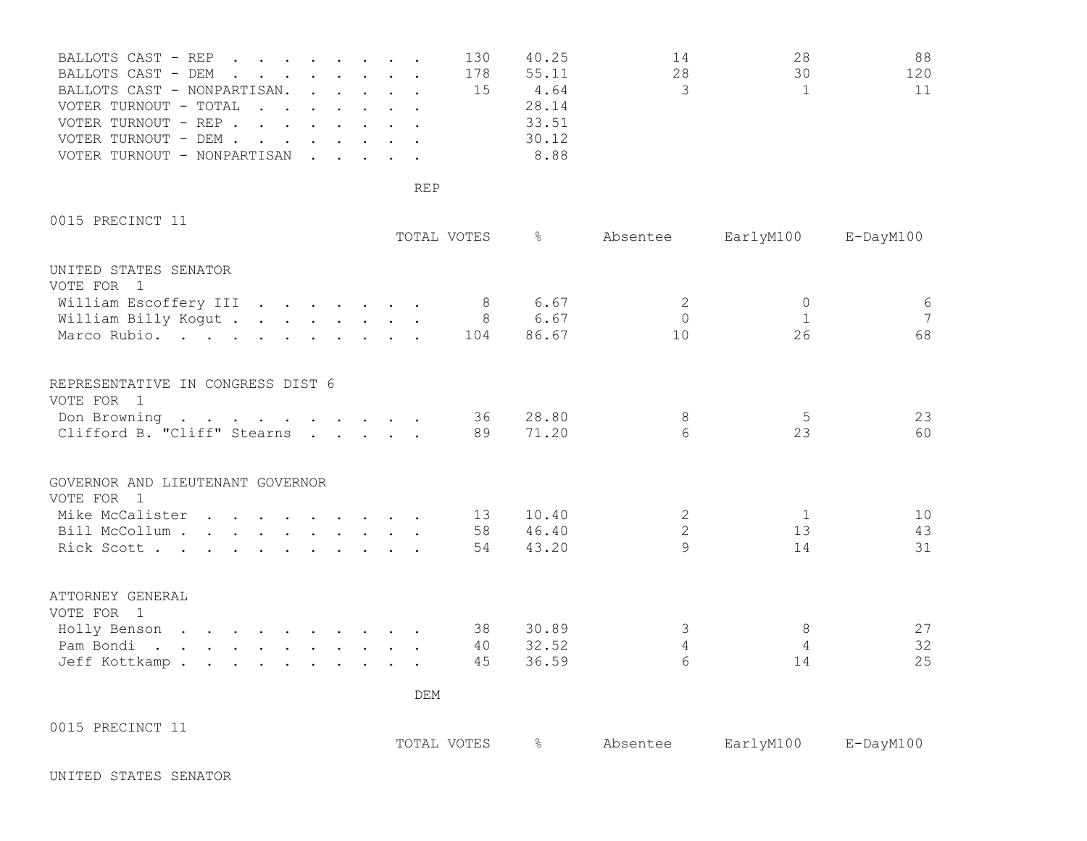| BALLOTS CAST - REP          |  |  | 130 | 40.25 | 14            | 28 | 88. |
|-----------------------------|--|--|-----|-------|---------------|----|-----|
| BALLOTS CAST - DEM          |  |  | 178 | 55.11 | 28.           | 30 | 120 |
| BALLOTS CAST - NONPARTISAN. |  |  | -15 | 4.64  | $\mathcal{S}$ |    | 11  |
| VOTER TURNOUT - TOTAL       |  |  |     | 28.14 |               |    |     |
| VOTER TURNOUT - REP         |  |  |     | 33.51 |               |    |     |
| VOTER TURNOUT - DEM         |  |  |     | 30.12 |               |    |     |
| VOTER TURNOUT - NONPARTISAN |  |  |     | 8.88  |               |    |     |

0015 PRECINCT 11

|                                                                      |  |  |  |  |     | TOTAL VOTES | $\approx$     | Absentee        | EarlyM100      | $E$ -DayM $100$ |
|----------------------------------------------------------------------|--|--|--|--|-----|-------------|---------------|-----------------|----------------|-----------------|
| UNITED STATES SENATOR<br>VOTE FOR 1                                  |  |  |  |  |     |             |               |                 |                |                 |
| William Escoffery III 8                                              |  |  |  |  |     |             | 6.67          | 2               | $\Omega$       | $\sqrt{6}$      |
| William Billy Kogut                                                  |  |  |  |  |     | 8           | 6.67          | $\Omega$        | $\mathbf{1}$   | $7\overline{ }$ |
| Marco Rubio.                                                         |  |  |  |  |     | 104         | 86.67         | 10              | 26             | 68              |
| REPRESENTATIVE IN CONGRESS DIST 6                                    |  |  |  |  |     |             |               |                 |                |                 |
| VOTE FOR 1                                                           |  |  |  |  |     |             |               |                 |                |                 |
| Don Browning $\cdot \cdot \cdot \cdot \cdot \cdot \cdot \cdot \cdot$ |  |  |  |  |     | 36          | 28.80         | 8               | 5              | 23              |
| Clifford B. "Cliff" Stearns                                          |  |  |  |  |     | 89          | 71.20         | 6               | 23             | 60              |
| GOVERNOR AND LIEUTENANT GOVERNOR<br>VOTE FOR 1                       |  |  |  |  |     |             |               |                 |                |                 |
| Mike McCalister                                                      |  |  |  |  |     | 13          | 10.40         | 2               | 1              | 10              |
| Bill McCollum                                                        |  |  |  |  |     | 58          | 46.40         | $\overline{2}$  | 13             | 43              |
| Rick Scott                                                           |  |  |  |  |     | 54          | 43.20         | $\mathsf{Q}$    | 14             | 31              |
| ATTORNEY GENERAL<br>VOTE FOR 1                                       |  |  |  |  |     |             |               |                 |                |                 |
| Holly Benson                                                         |  |  |  |  |     | 38          | 30.89         | $\mathcal{S}$   | 8              | 27              |
| Pam Bondi.                                                           |  |  |  |  |     | 40          | 32.52         | $\overline{4}$  | $\overline{4}$ | 32              |
| Jeff Kottkamp.                                                       |  |  |  |  |     | 45          | 36.59         | $6\overline{6}$ | 14             | 25              |
|                                                                      |  |  |  |  |     |             |               |                 |                |                 |
|                                                                      |  |  |  |  | DEM |             |               |                 |                |                 |
| 0015 PRECINCT 11                                                     |  |  |  |  |     | TOTAL VOTES | $\frac{8}{6}$ | Absentee        | EarlyM100      | E-DayM100       |
|                                                                      |  |  |  |  |     |             |               |                 |                |                 |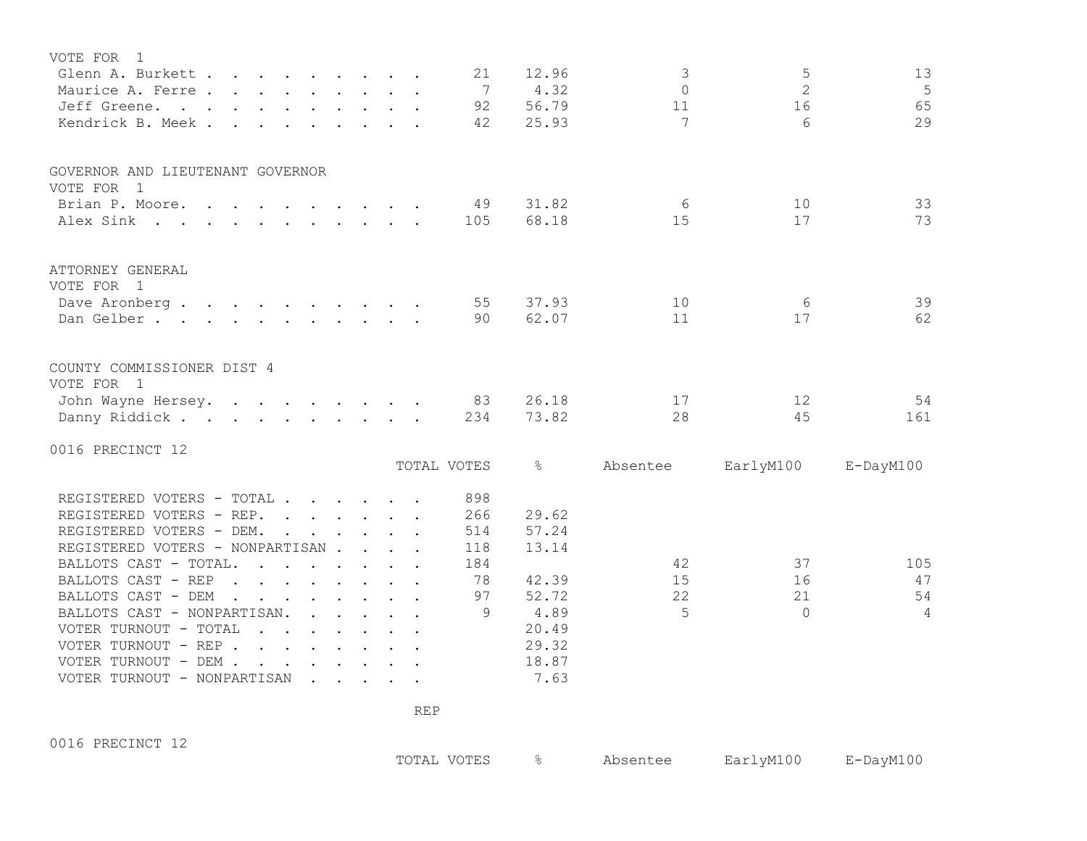| VOTE FOR<br>- 1                                                                                               |  |                              |               |                |                  |                 |
|---------------------------------------------------------------------------------------------------------------|--|------------------------------|---------------|----------------|------------------|-----------------|
| Glenn A. Burkett                                                                                              |  | 21                           | 12.96         | 3              | 5                | 13              |
| Maurice A. Ferre                                                                                              |  | $7\phantom{.0}\phantom{.0}7$ | 4.32          | $\Omega$       | $\overline{2}$   | 5               |
| Jeff Greene.<br>$\mathbf{r}$ , and $\mathbf{r}$ , and $\mathbf{r}$ , and $\mathbf{r}$ , and $\mathbf{r}$      |  | 92                           | 56.79         | 11             | 16               | 65              |
| Kendrick B. Meek.                                                                                             |  | 42                           | 25.93         | 7              | $6 \overline{6}$ | 29              |
|                                                                                                               |  |                              |               |                |                  |                 |
| GOVERNOR AND LIEUTENANT GOVERNOR                                                                              |  |                              |               |                |                  |                 |
| VOTE FOR 1                                                                                                    |  |                              |               |                |                  |                 |
| Brian P. Moore.                                                                                               |  | 49                           | 31.82         | 6              | 10               | 33              |
| Alex Sink                                                                                                     |  | 105                          | 68.18         | 15             | 17               | 73              |
| ATTORNEY GENERAL                                                                                              |  |                              |               |                |                  |                 |
| VOTE FOR 1                                                                                                    |  |                              |               |                |                  |                 |
| Dave Aronberg.<br>$\mathbf{r}$ , and $\mathbf{r}$ , and $\mathbf{r}$ , and $\mathbf{r}$ , and $\mathbf{r}$    |  | 55                           | 37.93         | 10             | 6                | 39              |
| Dan Gelber.                                                                                                   |  | 90                           | 62.07         | 11             | 17               | 62              |
|                                                                                                               |  |                              |               |                |                  |                 |
| COUNTY COMMISSIONER DIST 4<br>VOTE FOR 1                                                                      |  |                              |               |                |                  |                 |
| John Wayne Hersey.                                                                                            |  | 83                           | 26.18         | 17             | 12               | 54              |
| Danny Riddick                                                                                                 |  | 234                          | 73.82         | 28             | 45               | 161             |
| 0016 PRECINCT 12                                                                                              |  |                              |               |                |                  |                 |
|                                                                                                               |  | TOTAL VOTES                  | $\frac{8}{6}$ | Absentee       | EarlyM100        | $E$ -DayM $100$ |
| REGISTERED VOTERS - TOTAL                                                                                     |  | 898                          |               |                |                  |                 |
| REGISTERED VOTERS - REP.                                                                                      |  | 266                          | 29.62         |                |                  |                 |
| REGISTERED VOTERS - DEM.                                                                                      |  | 514                          | 57.24         |                |                  |                 |
| REGISTERED VOTERS - NONPARTISAN                                                                               |  | 118                          | 13.14         |                |                  |                 |
| BALLOTS CAST - TOTAL.<br>$\mathbf{r}$ . The set of the set of $\mathbf{r}$<br>$\sim$                          |  | 184                          |               | 42             | 37               | 105             |
| BALLOTS CAST - REP<br>$\mathbf{r}$ , and $\mathbf{r}$ , and $\mathbf{r}$ , and $\mathbf{r}$                   |  | 78                           | 42.39         | 15             | 16               | 47              |
| BALLOTS CAST - DEM<br>$\mathbf{r}$ , $\mathbf{r}$ , $\mathbf{r}$ , $\mathbf{r}$ , $\mathbf{r}$ , $\mathbf{r}$ |  | 97                           | 52.72         | 22             | 21               | 54              |
| BALLOTS CAST - NONPARTISAN.<br>$\mathcal{A}=\mathcal{A}=\mathcal{A}=\mathcal{A}=\mathcal{A}=\mathcal{A}$      |  | 9                            | 4.89          | $\overline{5}$ | $\bigcap$        | $\overline{4}$  |
| VOTER TURNOUT - TOTAL<br>$\mathbf{r}$ . The set of $\mathbf{r}$                                               |  |                              | 20.49         |                |                  |                 |
| VOTER TURNOUT - REP                                                                                           |  |                              | 29.32         |                |                  |                 |
| VOTER TURNOUT - DEM .                                                                                         |  |                              | 18.87         |                |                  |                 |
| VOTER TURNOUT - NONPARTISAN                                                                                   |  |                              | 7.63          |                |                  |                 |
|                                                                                                               |  |                              |               |                |                  |                 |

0016 PRECINCT 12

TOTAL VOTES % Absentee EarlyM100 E-DayM100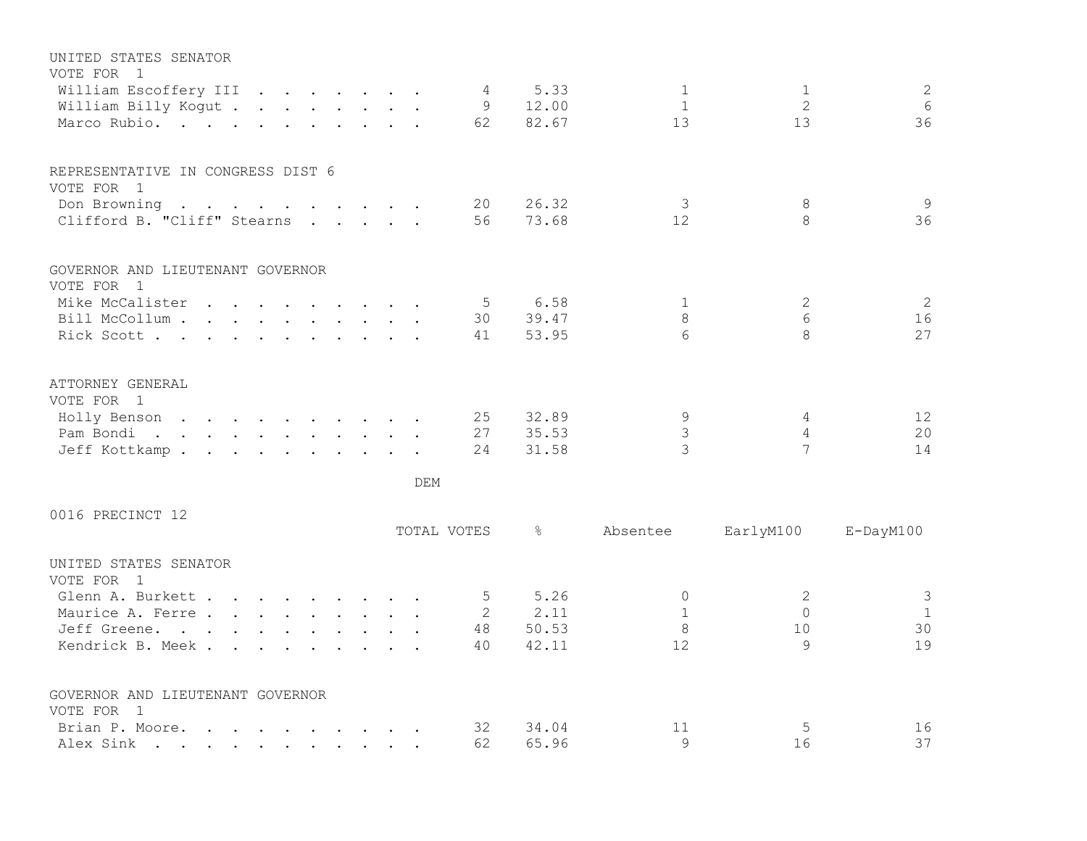| UNITED STATES SENATOR                                                                                                        |  |             |                |               |               |                |                 |
|------------------------------------------------------------------------------------------------------------------------------|--|-------------|----------------|---------------|---------------|----------------|-----------------|
| VOTE FOR 1                                                                                                                   |  |             |                |               |               |                |                 |
| William Escoffery III                                                                                                        |  |             |                | 4 5.33        | $\mathbf{1}$  | $\mathbf{1}$   | 2               |
| William Billy Kogut                                                                                                          |  |             |                | 9 12.00       | $\mathbf{1}$  | $\mathbf{2}$   | 6               |
| Marco Rubio.                                                                                                                 |  |             | 62             | 82.67         | 13            | 13             | 36              |
| REPRESENTATIVE IN CONGRESS DIST 6                                                                                            |  |             |                |               |               |                |                 |
| VOTE FOR 1                                                                                                                   |  |             |                |               |               |                |                 |
| Don Browning                                                                                                                 |  |             |                | 20 26.32      | $\mathcal{S}$ | 8              | 9               |
| Clifford B. "Cliff" Stearns                                                                                                  |  |             | 56             | 73.68         | 12            | 8              | 36              |
| GOVERNOR AND LIEUTENANT GOVERNOR                                                                                             |  |             |                |               |               |                |                 |
| VOTE FOR 1                                                                                                                   |  |             |                |               |               |                |                 |
| Mike McCalister                                                                                                              |  |             | 5 <sup>5</sup> | 6.58          | $\mathbf{1}$  | $\overline{2}$ | 2               |
| Bill McCollum                                                                                                                |  |             | 30             | 39.47         | 8             | 6              | 16              |
| Rick Scott                                                                                                                   |  |             | 41             | 53.95         | 6             | 8              | 27              |
| ATTORNEY GENERAL                                                                                                             |  |             |                |               |               |                |                 |
| VOTE FOR 1                                                                                                                   |  |             |                |               |               |                |                 |
| Holly Benson                                                                                                                 |  |             | 25             | 32.89         | 9             | 4              | 12              |
| Pam Bondi.                                                                                                                   |  |             | 27             | 35.53         | 3             | $\overline{4}$ | 20              |
| Jeff Kottkamp.                                                                                                               |  |             | 24             | 31.58         | 3             | 7              | 14              |
|                                                                                                                              |  | DEM         |                |               |               |                |                 |
| 0016 PRECINCT 12                                                                                                             |  |             |                |               |               |                |                 |
|                                                                                                                              |  | TOTAL VOTES |                | $\frac{8}{6}$ | Absentee      | EarlyM100      | $E$ -DayM $100$ |
| UNITED STATES SENATOR<br>VOTE FOR 1                                                                                          |  |             |                |               |               |                |                 |
| Glenn A. Burkett                                                                                                             |  |             | $5^{\circ}$    | 5.26          | $\mathbf{0}$  | 2              | $\mathcal{S}$   |
| Maurice A. Ferre                                                                                                             |  |             |                | 2 2.11        | $\mathbf{1}$  | $\Omega$       | $\overline{1}$  |
| Jeff Greene.                                                                                                                 |  |             |                | 48 50.53      | $\,8\,$       | 10             | 30              |
| Kendrick B. Meek                                                                                                             |  |             | 40             | 42.11         | 12            | 9              | 19              |
| GOVERNOR AND LIEUTENANT GOVERNOR                                                                                             |  |             |                |               |               |                |                 |
| VOTE FOR 1                                                                                                                   |  |             |                |               |               |                |                 |
| Brian P. Moore.<br>$\mathbf{r}$ , and $\mathbf{r}$ , and $\mathbf{r}$ , and $\mathbf{r}$ , and $\mathbf{r}$                  |  |             | 32             | 34.04         | 11            | 5              | 16              |
| Alex Sink<br>the contract of the contract of the contract of the contract of the contract of the contract of the contract of |  |             | 62             | 65.96         | $\mathsf{Q}$  | 16             | 37              |
|                                                                                                                              |  |             |                |               |               |                |                 |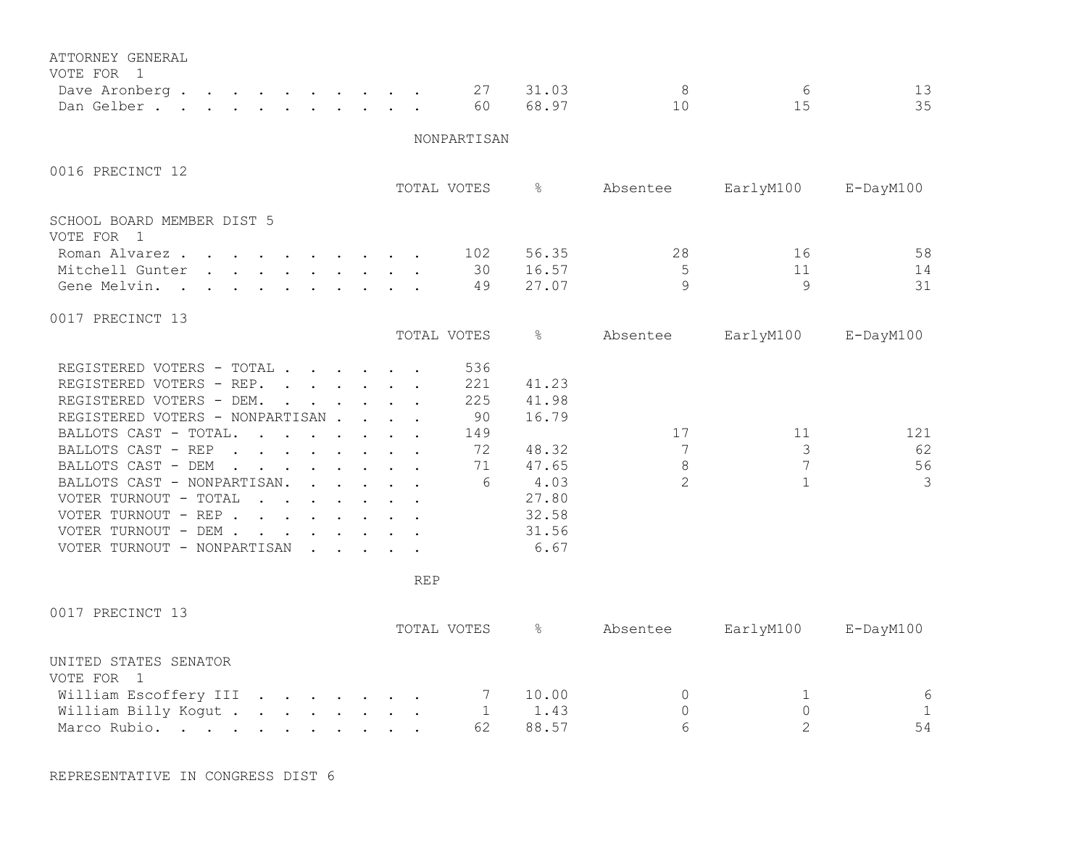| ATTORNEY GENERAL                                                                                                                                                                                                                                           |  |            |              |               |                |                |                 |
|------------------------------------------------------------------------------------------------------------------------------------------------------------------------------------------------------------------------------------------------------------|--|------------|--------------|---------------|----------------|----------------|-----------------|
| VOTE FOR 1<br>Dave Aronberg.<br>$\mathcal{A}$ . The set of the set of the set of the set of the $\mathcal{A}$                                                                                                                                              |  |            | 27           | 31.03         | 8              | 6              | 13              |
| Dan Gelber.                                                                                                                                                                                                                                                |  |            | 60           | 68.97         | 10             | 15             | 35              |
|                                                                                                                                                                                                                                                            |  |            |              |               |                |                |                 |
|                                                                                                                                                                                                                                                            |  |            | NONPARTISAN  |               |                |                |                 |
| 0016 PRECINCT 12                                                                                                                                                                                                                                           |  |            |              |               |                |                |                 |
|                                                                                                                                                                                                                                                            |  |            | TOTAL VOTES  | $\frac{8}{6}$ | Absentee       | EarlyM100      | $E$ -DayM $100$ |
| SCHOOL BOARD MEMBER DIST 5                                                                                                                                                                                                                                 |  |            |              |               |                |                |                 |
| VOTE FOR 1                                                                                                                                                                                                                                                 |  |            |              |               |                |                |                 |
| Roman Alvarez.<br>$\mathbf{r}$ , and $\mathbf{r}$ , and $\mathbf{r}$ , and $\mathbf{r}$                                                                                                                                                                    |  |            | 102          | 56.35         | 28             | 16             | 58              |
| Mitchell Gunter<br>$\mathbf{r}$ , $\mathbf{r}$ , $\mathbf{r}$ , $\mathbf{r}$ , $\mathbf{r}$ , $\mathbf{r}$ , $\mathbf{r}$                                                                                                                                  |  |            | 30           | 16.57         | $\mathsf S$    | 11             | 14              |
| Gene Melvin.<br>$\mathbf{r}$ , $\mathbf{r}$ , $\mathbf{r}$ , $\mathbf{r}$ , $\mathbf{r}$ , $\mathbf{r}$<br>$\sim$ 100 $\mu$                                                                                                                                |  |            | 49           | 27.07         | $\mathsf{Q}$   | 9              | 31              |
| 0017 PRECINCT 13                                                                                                                                                                                                                                           |  |            |              |               |                |                |                 |
|                                                                                                                                                                                                                                                            |  |            | TOTAL VOTES  | &             | Absentee       | EarlyM100      | $E$ -DayM $100$ |
| REGISTERED VOTERS - TOTAL                                                                                                                                                                                                                                  |  |            | 536          |               |                |                |                 |
| REGISTERED VOTERS - REP.                                                                                                                                                                                                                                   |  |            | 221          | 41.23         |                |                |                 |
| REGISTERED VOTERS - DEM.                                                                                                                                                                                                                                   |  |            | 225          | 41.98         |                |                |                 |
| REGISTERED VOTERS - NONPARTISAN                                                                                                                                                                                                                            |  |            | 90           | 16.79         |                |                |                 |
| BALLOTS CAST - TOTAL.<br>$\mathbf{r}$ , $\mathbf{r}$ , $\mathbf{r}$ , $\mathbf{r}$ , $\mathbf{r}$ , $\mathbf{r}$                                                                                                                                           |  |            | 149          |               | 17             | 11             | 121             |
| BALLOTS CAST - REP<br>$\mathbf{r}$ , $\mathbf{r}$ , $\mathbf{r}$ , $\mathbf{r}$ , $\mathbf{r}$ , $\mathbf{r}$                                                                                                                                              |  |            | 72           | 48.32         | 7              | 3              | 62              |
| BALLOTS CAST - DEM<br>$\sim$ $\sim$<br>$\mathbf{r}$ , $\mathbf{r}$ , $\mathbf{r}$ , $\mathbf{r}$ , $\mathbf{r}$ , $\mathbf{r}$                                                                                                                             |  |            | 71           | 47.65         | $8\,$          | 7              | 56              |
| BALLOTS CAST - NONPARTISAN.                                                                                                                                                                                                                                |  |            | 6            | 4.03          | $\overline{2}$ | $\mathbf{1}$   | 3               |
| VOTER TURNOUT - TOTAL<br>$\mathbf{r}$ . The set of the set of the set of the set of the set of the set of the set of the set of the set of the set of the set of the set of the set of the set of the set of the set of the set of the set of the set of t |  |            |              | 27.80         |                |                |                 |
| VOTER TURNOUT - REP                                                                                                                                                                                                                                        |  |            |              | 32.58         |                |                |                 |
| VOTER TURNOUT - DEM                                                                                                                                                                                                                                        |  |            |              | 31.56         |                |                |                 |
| VOTER TURNOUT - NONPARTISAN                                                                                                                                                                                                                                |  |            |              | 6.67          |                |                |                 |
|                                                                                                                                                                                                                                                            |  | <b>REP</b> |              |               |                |                |                 |
|                                                                                                                                                                                                                                                            |  |            |              |               |                |                |                 |
| 0017 PRECINCT 13                                                                                                                                                                                                                                           |  |            |              |               |                |                |                 |
|                                                                                                                                                                                                                                                            |  |            | TOTAL VOTES  | ိင            | Absentee       | EarlyM100      | E-DayM100       |
| UNITED STATES SENATOR                                                                                                                                                                                                                                      |  |            |              |               |                |                |                 |
| VOTE FOR 1                                                                                                                                                                                                                                                 |  |            |              |               |                |                |                 |
| William Escoffery III                                                                                                                                                                                                                                      |  |            | 7            | 10.00         | 0              | 1              | $\sqrt{6}$      |
| William Billy Kogut                                                                                                                                                                                                                                        |  |            | $\mathbf{1}$ | 1.43          | $\mathbb O$    | $\circ$        | $\mathbf{1}$    |
| Marco Rubio.                                                                                                                                                                                                                                               |  |            | 62           | 88.57         | 6              | $\overline{2}$ | 54              |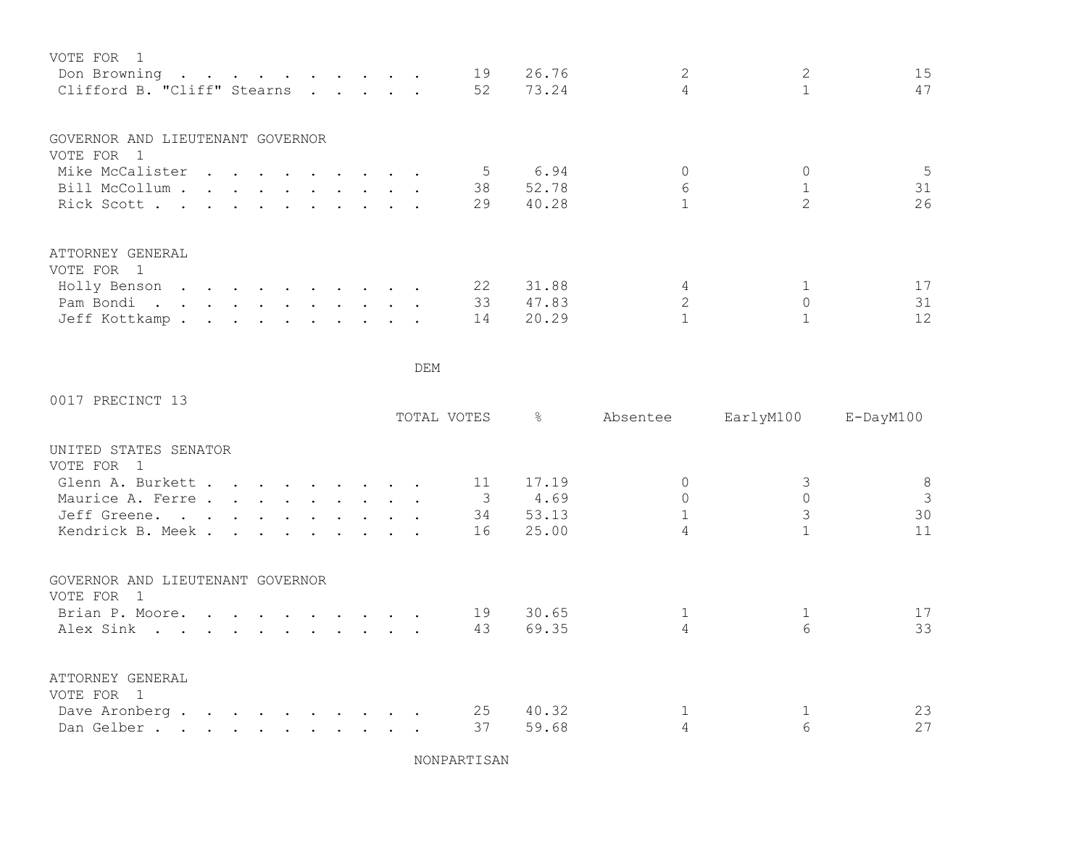| VOTE FOR 1<br>Don Browning<br>Clifford B. "Cliff" Stearns<br>$\cdot$                                                                                                                                                                            | 15<br>26.76<br>19<br>47<br>52<br>73.24 |
|-------------------------------------------------------------------------------------------------------------------------------------------------------------------------------------------------------------------------------------------------|----------------------------------------|
| GOVERNOR AND LIEUTENANT GOVERNOR<br>VOTE FOR 1                                                                                                                                                                                                  |                                        |
| Mike McCalister                                                                                                                                                                                                                                 | 5<br>5.<br>6.94                        |
| Bill McCollum                                                                                                                                                                                                                                   | 6<br>31<br>38<br>52.78                 |
| Rick Scott.<br>$\mathbf{r}$ , and $\mathbf{r}$ , and $\mathbf{r}$ , and $\mathbf{r}$                                                                                                                                                            | 26<br>29<br>40.28                      |
| ATTORNEY GENERAL                                                                                                                                                                                                                                |                                        |
| VOTE FOR 1                                                                                                                                                                                                                                      |                                        |
| Holly Benson<br>the contract of the contract of the contract of the contract of the contract of the contract of the contract of                                                                                                                 | 22<br>31.88<br>17                      |
| Pam Bondi.<br>$\cdot$ , , , , , , , ,                                                                                                                                                                                                           | 33<br>31<br>47.83                      |
| Jeff Kottkamp.<br>. The contract of the contract of the contract of the contract of the contract of the contract of the contract of the contract of the contract of the contract of the contract of the contract of the contract of the contrac | 12<br>14<br>20.29                      |

0017 PRECINCT 13

|                                                |                                                                                                                                                                                                                                   |  |  |  | TOTAL VOTES | &     | Absentee | EarlyM100 | $E$ -DayM $100$ |
|------------------------------------------------|-----------------------------------------------------------------------------------------------------------------------------------------------------------------------------------------------------------------------------------|--|--|--|-------------|-------|----------|-----------|-----------------|
| UNITED STATES SENATOR                          |                                                                                                                                                                                                                                   |  |  |  |             |       |          |           |                 |
| VOTE FOR                                       |                                                                                                                                                                                                                                   |  |  |  |             |       |          |           |                 |
| Glenn A. Burkett                               |                                                                                                                                                                                                                                   |  |  |  | 11          | 17.19 |          |           | 8               |
| Maurice A. Ferre                               |                                                                                                                                                                                                                                   |  |  |  |             | 4.69  |          |           | 3               |
| Jeff Greene.                                   |                                                                                                                                                                                                                                   |  |  |  | 34          | 53.13 |          |           | 30              |
| Kendrick B. Meek.                              | $\mathbf{r}$ , $\mathbf{r}$ , $\mathbf{r}$ , $\mathbf{r}$ , $\mathbf{r}$ , $\mathbf{r}$                                                                                                                                           |  |  |  | 16          | 25.00 |          |           | 11              |
| GOVERNOR AND LIEUTENANT GOVERNOR               |                                                                                                                                                                                                                                   |  |  |  |             |       |          |           |                 |
| VOTE FOR<br>$\overline{1}$                     |                                                                                                                                                                                                                                   |  |  |  | 19          | 30.65 |          |           | 17              |
| Brian P. Moore.                                |                                                                                                                                                                                                                                   |  |  |  |             |       |          |           |                 |
| Alex Sink                                      |                                                                                                                                                                                                                                   |  |  |  | 43          | 69.35 |          | 6         | 33              |
| ATTORNEY GENERAL<br>VOTE FOR<br>$\overline{1}$ |                                                                                                                                                                                                                                   |  |  |  |             |       |          |           |                 |
| Dave Aronberg.                                 | $\mathbf{a}$ . The contribution of the contribution of the contribution of the contribution of the contribution of the contribution of the contribution of the contribution of the contribution of the contribution of the contri |  |  |  | 25          | 40.32 |          |           | 23              |
| Dan Gelber                                     |                                                                                                                                                                                                                                   |  |  |  | 37          | 59.68 |          |           | 27              |
|                                                |                                                                                                                                                                                                                                   |  |  |  |             |       |          |           |                 |

NONPARTISAN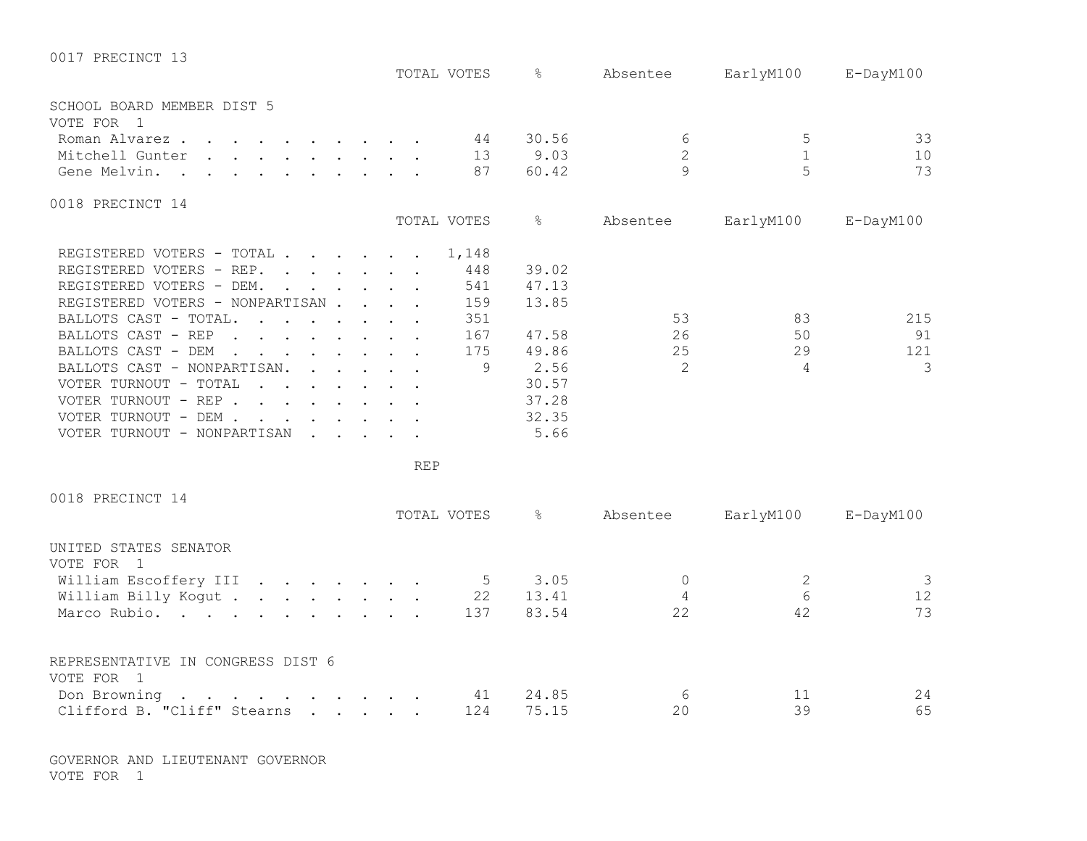| 0017 PRECINCT 13                                                                                                                                                                                                                                    |             |               |                |              |                 |
|-----------------------------------------------------------------------------------------------------------------------------------------------------------------------------------------------------------------------------------------------------|-------------|---------------|----------------|--------------|-----------------|
|                                                                                                                                                                                                                                                     | TOTAL VOTES | $\approx$     | Absentee       | EarlyM100    | $E$ -DayM $100$ |
| SCHOOL BOARD MEMBER DIST 5                                                                                                                                                                                                                          |             |               |                |              |                 |
| VOTE FOR 1                                                                                                                                                                                                                                          |             |               |                |              |                 |
| Roman Alvarez                                                                                                                                                                                                                                       | 44          | 30.56         | 6              | 5            | 33              |
| Mitchell Gunter                                                                                                                                                                                                                                     | 13          | 9.03          | $\mathbf{2}$   | $\mathbf 1$  | 10              |
| Gene Melvin.                                                                                                                                                                                                                                        | 87          | 60.42         | $\circ$        | 5            | 73              |
| 0018 PRECINCT 14                                                                                                                                                                                                                                    |             |               |                |              |                 |
|                                                                                                                                                                                                                                                     | TOTAL VOTES | $\frac{8}{6}$ | Absentee       | EarlyM100    | $E$ -DayM100    |
| REGISTERED VOTERS - TOTAL                                                                                                                                                                                                                           | 1,148       |               |                |              |                 |
| REGISTERED VOTERS - REP.                                                                                                                                                                                                                            | 448         | 39.02         |                |              |                 |
| REGISTERED VOTERS - DEM.                                                                                                                                                                                                                            | 541         | 47.13         |                |              |                 |
| REGISTERED VOTERS - NONPARTISAN                                                                                                                                                                                                                     | 159         | 13.85         |                |              |                 |
| BALLOTS CAST - TOTAL.<br>$\mathcal{A}$ . The set of the set of the set of the set of $\mathcal{A}$                                                                                                                                                  | 351         |               | 53             | 83           | 215             |
| BALLOTS CAST - REP<br>. The contract of the contract of the contract of the contract of the contract of the contract of the contract of the contract of the contract of the contract of the contract of the contract of the contract of the contrac | 167         | 47.58         | 26             | 50           | 91              |
| BALLOTS CAST - DEM<br>$\sim$<br>$\mathbf{r}$ . The set of the set of the set of $\mathbf{r}$                                                                                                                                                        | 175         | 49.86         | 25             | 29           | 121             |
| BALLOTS CAST - NONPARTISAN.<br>$\mathbf{r}$                                                                                                                                                                                                         | 9           | 2.56          | 2              | 4            | 3               |
| VOTER TURNOUT - TOTAL<br>$\mathbf{r}$ , $\mathbf{r}$ , $\mathbf{r}$ , $\mathbf{r}$ , $\mathbf{r}$ , $\mathbf{r}$                                                                                                                                    |             | 30.57         |                |              |                 |
| VOTER TURNOUT - REP                                                                                                                                                                                                                                 |             | 37.28         |                |              |                 |
| VOTER TURNOUT - DEM                                                                                                                                                                                                                                 |             | 32.35         |                |              |                 |
| VOTER TURNOUT - NONPARTISAN                                                                                                                                                                                                                         |             | 5.66          |                |              |                 |
|                                                                                                                                                                                                                                                     | <b>REP</b>  |               |                |              |                 |
| 0018 PRECINCT 14                                                                                                                                                                                                                                    |             |               |                |              |                 |
|                                                                                                                                                                                                                                                     | TOTAL VOTES | $\frac{6}{5}$ | Absentee       | EarlyM100    | $E$ -DayM100    |
| UNITED STATES SENATOR                                                                                                                                                                                                                               |             |               |                |              |                 |
| VOTE FOR 1                                                                                                                                                                                                                                          |             |               |                |              |                 |
| William Escoffery III                                                                                                                                                                                                                               | $5^{\circ}$ | 3.05          | $\overline{0}$ | $\mathbf{2}$ | 3               |
| William Billy Kogut                                                                                                                                                                                                                                 | 22          | 13.41         | $\overline{4}$ | 6            | 12              |
| Marco Rubio.                                                                                                                                                                                                                                        | 137         | 83.54         | 22             | 42           | 73              |
| REPRESENTATIVE IN CONGRESS DIST 6                                                                                                                                                                                                                   |             |               |                |              |                 |
| VOTE FOR 1                                                                                                                                                                                                                                          |             |               |                |              |                 |
| $\mathcal{A}$ is a set of the set of the set of $\mathcal{A}$ .<br>Don Browning                                                                                                                                                                     | 41          | 24.85         | 6              | 11           | 24              |
| Clifford B. "Cliff" Stearns                                                                                                                                                                                                                         | 124         | 75.15         | 20             | 39           | 65              |
|                                                                                                                                                                                                                                                     |             |               |                |              |                 |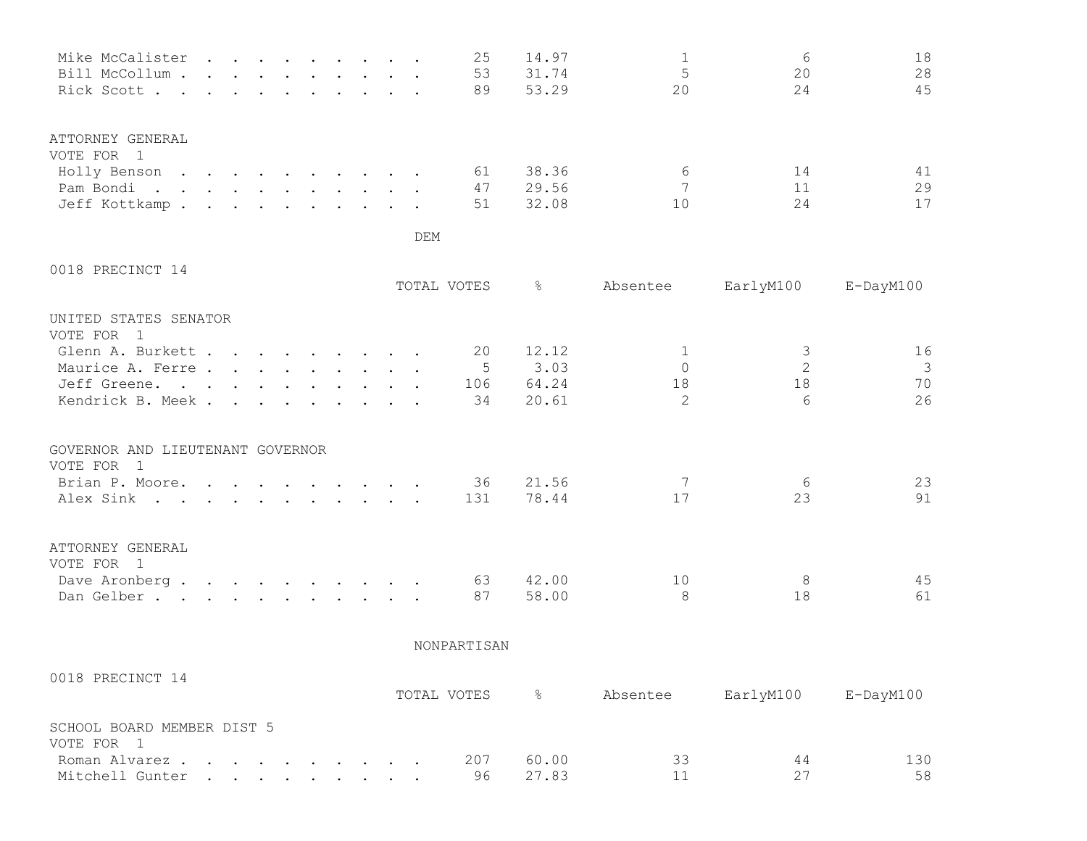| Mike McCalister  |  |  |  |  |  | 25 | 14.97 |    | 6  | 18 |
|------------------|--|--|--|--|--|----|-------|----|----|----|
| Bill McCollum    |  |  |  |  |  | 53 | 31.74 |    | 20 | 28 |
| Rick Scott       |  |  |  |  |  | 89 | 53.29 | 20 | 24 | 45 |
| ATTORNEY GENERAL |  |  |  |  |  |    |       |    |    |    |
| VOTE FOR 1       |  |  |  |  |  |    |       |    |    |    |
| Holly Benson     |  |  |  |  |  | 61 | 38.36 | 6  | 14 | 41 |
| Pam Bondi.       |  |  |  |  |  | 47 | 29.56 |    |    | 29 |
| Jeff Kottkamp.   |  |  |  |  |  | 51 | 32.08 | 10 | 24 | 17 |
|                  |  |  |  |  |  |    |       |    |    |    |

## 0018 PRECINCT 14

|                                  |                                                                                                                 |  |  |  | TOTAL VOTES | ⊱     | Absentee | EarlyM100 | E-DayM100 |
|----------------------------------|-----------------------------------------------------------------------------------------------------------------|--|--|--|-------------|-------|----------|-----------|-----------|
| UNITED STATES SENATOR            |                                                                                                                 |  |  |  |             |       |          |           |           |
| VOTE FOR 1                       |                                                                                                                 |  |  |  | 20          | 12.12 |          |           | 16        |
| Glenn A. Burkett                 |                                                                                                                 |  |  |  |             |       |          |           |           |
| Maurice A. Ferre                 |                                                                                                                 |  |  |  | 5           | 3.03  |          | 2         | 3         |
| Jeff Greene.                     |                                                                                                                 |  |  |  | 106         | 64.24 | 18       | 18        | 70        |
| Kendrick B. Meek.                |                                                                                                                 |  |  |  | 34          | 20.61 | 2        | 6         | 26        |
| GOVERNOR AND LIEUTENANT GOVERNOR |                                                                                                                 |  |  |  |             |       |          |           |           |
| VOTE FOR 1                       |                                                                                                                 |  |  |  |             |       |          |           |           |
| Brian P. Moore.                  |                                                                                                                 |  |  |  | 36          | 21.56 |          | 6         | 23        |
| Alex Sink                        |                                                                                                                 |  |  |  | 131         | 78.44 | 17       | 23        | 91        |
| ATTORNEY GENERAL                 |                                                                                                                 |  |  |  |             |       |          |           |           |
| VOTE FOR 1                       |                                                                                                                 |  |  |  |             |       |          |           |           |
| Dave Aronberg.                   | the contract of the contract of the contract of the contract of the contract of the contract of the contract of |  |  |  | 63          | 42.00 | 10       |           | 45        |
| Dan Gelber                       |                                                                                                                 |  |  |  | 87          | 58.00 | 8        | 18        | 61        |

NONPARTISAN

| 0018 PRECINCT 14           |  |  |  |  |             |           |          |           |           |
|----------------------------|--|--|--|--|-------------|-----------|----------|-----------|-----------|
|                            |  |  |  |  | TOTAL VOTES | $\approx$ | Absentee | EarlyM100 | E-DayM100 |
| SCHOOL BOARD MEMBER DIST 5 |  |  |  |  |             |           |          |           |           |
| VOTE FOR 1                 |  |  |  |  |             |           |          |           |           |
| Roman Alvarez              |  |  |  |  | 207         | 60.00     | 33       | 44        | 130       |
| Mitchell Gunter            |  |  |  |  | 96          | 27.83     |          |           | 58        |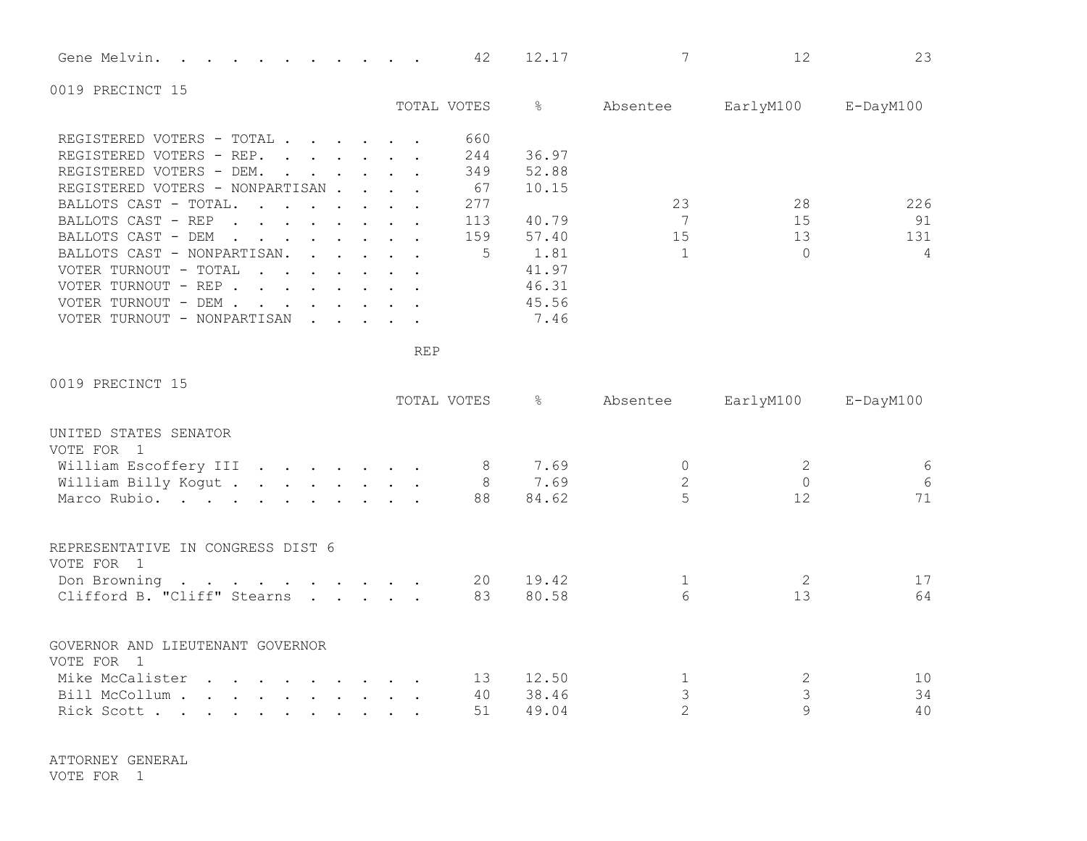| $\sim$ $\sim$<br>Gene Melvin.<br>4z<br>74 a 15 a<br><u>is a second second second second second second second second second second second second second second second </u> |
|---------------------------------------------------------------------------------------------------------------------------------------------------------------------------|
|---------------------------------------------------------------------------------------------------------------------------------------------------------------------------|

0019 PRECINCT 15

|                                                                                                                                                                                                                                                           | TOTAL VOTES | ⊱     | Absentee | EarlyM100 | $E$ -DayM $100$ |
|-----------------------------------------------------------------------------------------------------------------------------------------------------------------------------------------------------------------------------------------------------------|-------------|-------|----------|-----------|-----------------|
|                                                                                                                                                                                                                                                           |             |       |          |           |                 |
| REGISTERED VOTERS - TOTAL.<br>$\cdot$ $\cdot$ $\cdot$ $\cdot$ $\cdot$ $\cdot$                                                                                                                                                                             | 660         |       |          |           |                 |
| REGISTERED VOTERS - REP.                                                                                                                                                                                                                                  | 244         | 36.97 |          |           |                 |
| REGISTERED VOTERS - DEM.<br>and the state of the state of the state of the state of the state of the state of the state of the state of the                                                                                                               | 349         | 52.88 |          |           |                 |
| REGISTERED VOTERS - NONPARTISAN.<br>$\mathbf{r}$ , $\mathbf{r}$ , $\mathbf{r}$ , $\mathbf{r}$                                                                                                                                                             | 67          | 10.15 |          |           |                 |
| BALLOTS CAST - TOTAL.<br>$\mathbf{r}$ , and $\mathbf{r}$ , and $\mathbf{r}$ , and $\mathbf{r}$                                                                                                                                                            | 277         |       | 23       | 28        | 226             |
| BALLOTS CAST - REP<br>$\mathbf{r}$ and $\mathbf{r}$                                                                                                                                                                                                       | 113         | 40.79 |          | 15        | 91              |
| BALLOTS CAST - DEM<br>$\mathbf{r}$ , $\mathbf{r}$ , $\mathbf{r}$ , $\mathbf{r}$ , $\mathbf{r}$ , $\mathbf{r}$                                                                                                                                             | 159         | 57.40 | 15       | 13        | 131             |
| BALLOTS CAST - NONPARTISAN.<br>$\cdot$ $\cdot$ $\cdot$ $\cdot$ $\cdot$ $\cdot$                                                                                                                                                                            | 5.          | 1.81  |          |           | 4               |
| VOTER TURNOUT - TOTAL<br>$\cdots$                                                                                                                                                                                                                         |             | 41.97 |          |           |                 |
| VOTER TURNOUT - REP.<br>$\mathbf{r}$ . The set of the set of the set of the set of the set of the set of the set of the set of the set of the set of the set of the set of the set of the set of the set of the set of the set of the set of the set of t |             | 46.31 |          |           |                 |
| VOTER TURNOUT - DEM .<br>$\mathbf{r}$ , and $\mathbf{r}$ , and $\mathbf{r}$ , and $\mathbf{r}$                                                                                                                                                            |             | 45.56 |          |           |                 |
| VOTER TURNOUT - NONPARTISAN                                                                                                                                                                                                                               |             | 7.46  |          |           |                 |

REP

| 0019 PRECINCT 15                                                                                                                                                                                                                                    |             |                      |                  |           |                 |
|-----------------------------------------------------------------------------------------------------------------------------------------------------------------------------------------------------------------------------------------------------|-------------|----------------------|------------------|-----------|-----------------|
|                                                                                                                                                                                                                                                     | TOTAL VOTES | $\frac{1}{\sqrt{2}}$ | Absentee         | EarlyM100 | $E$ -DayM $100$ |
| UNITED STATES SENATOR<br>VOTE FOR 1                                                                                                                                                                                                                 |             |                      |                  |           |                 |
| William Escoffery III                                                                                                                                                                                                                               | 8           | 7.69                 |                  |           | 6               |
| William Billy Kogut                                                                                                                                                                                                                                 | 8           | 7.69                 | $\overline{2}$   |           | $6\,$           |
| Marco Rubio.                                                                                                                                                                                                                                        | 88          | 84.62                |                  | 12        | 71              |
| REPRESENTATIVE IN CONGRESS DIST 6<br>VOTE FOR 1                                                                                                                                                                                                     |             |                      |                  |           |                 |
| Don Browning                                                                                                                                                                                                                                        | 20          | 19.42                |                  |           | 17              |
| Clifford B. "Cliff" Stearns                                                                                                                                                                                                                         | 83          | 80.58                | $6 \overline{6}$ | 13        | 64              |
| GOVERNOR AND LIEUTENANT GOVERNOR<br>VOTE FOR 1                                                                                                                                                                                                      |             |                      |                  |           |                 |
| Mike McCalister<br>. The contract of the contract of the contract $\alpha$ is a set of the contract of the contract of the contract of the contract of the contract of the contract of the contract of the contract of the contract of the contract | 13          | 12.50                |                  | 2         | 10              |
| Bill McCollum .<br>. The contract of the contract of the contract of the contract of the contract of the contract of the contract of the contract of the contract of the contract of the contract of the contract of the contract of the contrac    | 40          | 38.46                |                  |           | 34              |
| Rick Scott                                                                                                                                                                                                                                          | 51          | 49.04                | $\overline{2}$   |           | 40              |

ATTORNEY GENERAL

VOTE FOR 1